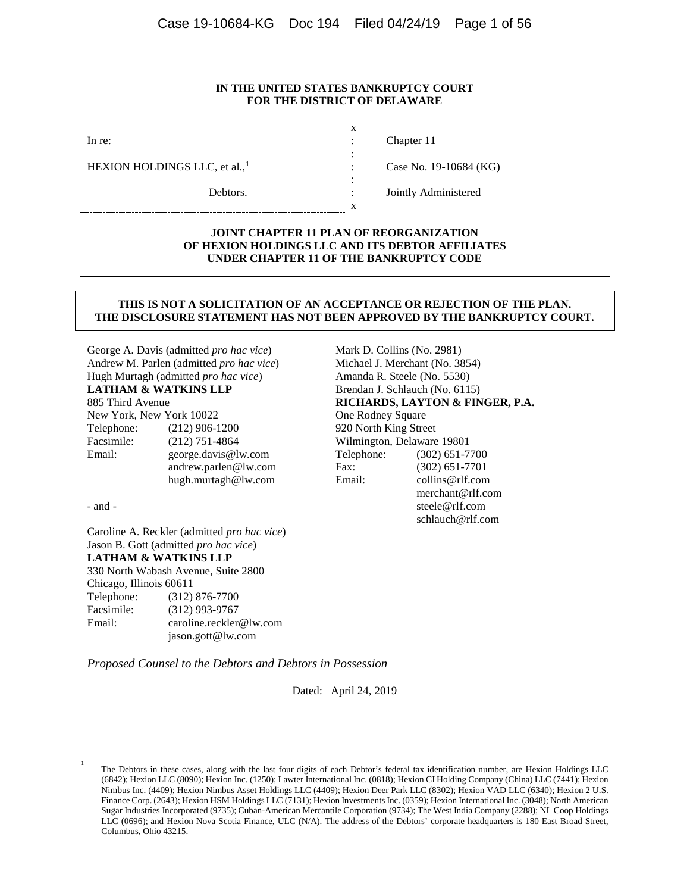### **IN THE UNITED STATES BANKRUPTCY COURT FOR THE DISTRICT OF DELAWARE**

x : : : :

x

In re:

HEXION HOLDINGS LLC, et al.,<sup>[1](#page-0-0)</sup>

Debtors.

Chapter 11

Case No. 19-10684 (KG)

: Jointly Administered

### **JOINT CHAPTER 11 PLAN OF REORGANIZATION OF HEXION HOLDINGS LLC AND ITS DEBTOR AFFILIATES UNDER CHAPTER 11 OF THE BANKRUPTCY CODE**

#### **THIS IS NOT A SOLICITATION OF AN ACCEPTANCE OR REJECTION OF THE PLAN. THE DISCLOSURE STATEMENT HAS NOT BEEN APPROVED BY THE BANKRUPTCY COURT.**

George A. Davis (admitted *pro hac vice*) Andrew M. Parlen (admitted *pro hac vice*) Hugh Murtagh (admitted *pro hac vice*) **LATHAM & WATKINS LLP**

# 885 Third Avenue

New York, New York 10022 Telephone: (212) 906-1200 Facsimile:  $(212)$  751-4864<br>Email:  $\frac{\text{george} \, \text{davis}(a)}{a}$ george.davis@lw.com andrew.parlen@lw.com hugh.murtagh@lw.com

- and -

<span id="page-0-0"></span> $\frac{1}{1}$ 

Caroline A. Reckler (admitted *pro hac vice*) Jason B. Gott (admitted *pro hac vice*) **LATHAM & WATKINS LLP** 330 North Wabash Avenue, Suite 2800 Chicago, Illinois 60611 Telephone: (312) 876-7700 Facsimile: (312) 993-9767 Email: caroline.reckler@lw.com jason.gott@lw.com

Mark D. Collins (No. 2981) Michael J. Merchant (No. 3854) Amanda R. Steele (No. 5530) Brendan J. Schlauch (No. 6115) **RICHARDS, LAYTON & FINGER, P.A.** One Rodney Square 920 North King Street Wilmington, Delaware 19801<br>Telephone: (302) 651-7  $(302)$  651-7700 Fax: (302) 651-7701 Email: collins@rlf.com merchant@rlf.com steele@rlf.com schlauch@rlf.com

*Proposed Counsel to the Debtors and Debtors in Possession*

Dated: April 24, 2019

The Debtors in these cases, along with the last four digits of each Debtor's federal tax identification number, are Hexion Holdings LLC (6842); Hexion LLC (8090); Hexion Inc. (1250); Lawter International Inc. (0818); Hexion CI Holding Company (China) LLC (7441); Hexion Nimbus Inc. (4409); Hexion Nimbus Asset Holdings LLC (4409); Hexion Deer Park LLC (8302); Hexion VAD LLC (6340); Hexion 2 U.S. Finance Corp. (2643); Hexion HSM Holdings LLC (7131); Hexion Investments Inc. (0359); Hexion International Inc. (3048); North American Sugar Industries Incorporated (9735); Cuban-American Mercantile Corporation (9734); The West India Company (2288); NL Coop Holdings LLC (0696); and Hexion Nova Scotia Finance, ULC (N/A). The address of the Debtors' corporate headquarters is 180 East Broad Street, Columbus, Ohio 43215.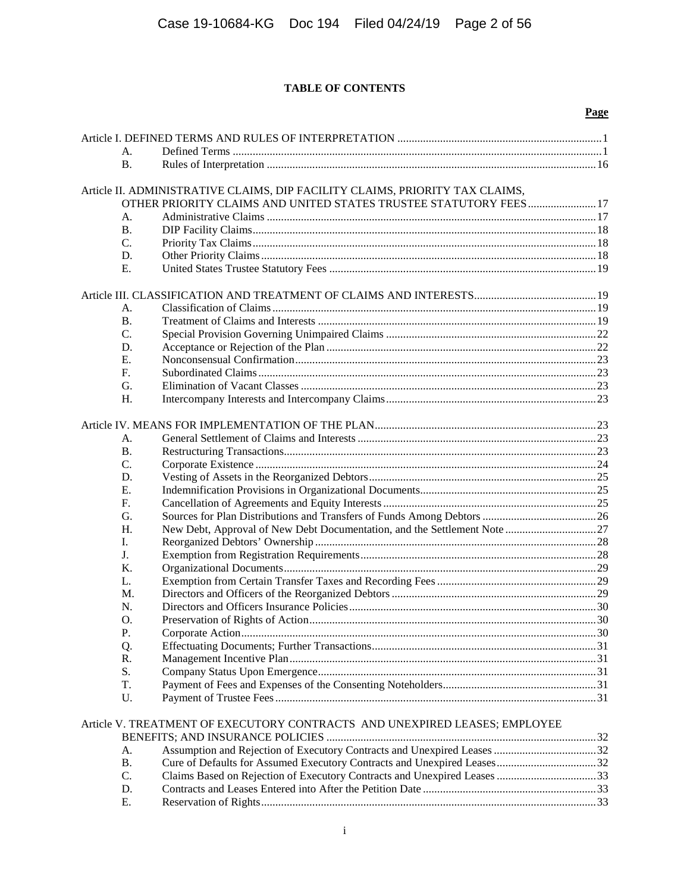# **TABLE OF CONTENTS**

|           |                                                                                                                                                                          | Page |
|-----------|--------------------------------------------------------------------------------------------------------------------------------------------------------------------------|------|
|           |                                                                                                                                                                          |      |
| А.        |                                                                                                                                                                          |      |
| <b>B.</b> |                                                                                                                                                                          |      |
|           | Article II. ADMINISTRATIVE CLAIMS, DIP FACILITY CLAIMS, PRIORITY TAX CLAIMS,                                                                                             |      |
|           | OTHER PRIORITY CLAIMS AND UNITED STATES TRUSTEE STATUTORY FEES 17                                                                                                        |      |
| А.        |                                                                                                                                                                          |      |
| <b>B.</b> |                                                                                                                                                                          |      |
| C.        |                                                                                                                                                                          |      |
| D.        |                                                                                                                                                                          |      |
| Ε.        |                                                                                                                                                                          |      |
|           |                                                                                                                                                                          |      |
| А.        |                                                                                                                                                                          |      |
| <b>B.</b> |                                                                                                                                                                          |      |
| C.        |                                                                                                                                                                          |      |
| D.        |                                                                                                                                                                          |      |
| Е.        |                                                                                                                                                                          |      |
| F.        |                                                                                                                                                                          |      |
| G.        |                                                                                                                                                                          |      |
| H.        |                                                                                                                                                                          |      |
|           |                                                                                                                                                                          |      |
|           |                                                                                                                                                                          |      |
| А.        |                                                                                                                                                                          |      |
| <b>B.</b> |                                                                                                                                                                          |      |
| C.        |                                                                                                                                                                          |      |
| D.        |                                                                                                                                                                          |      |
| Ε.        |                                                                                                                                                                          |      |
| F.        |                                                                                                                                                                          |      |
| G.        |                                                                                                                                                                          |      |
| H.        |                                                                                                                                                                          |      |
| I.        |                                                                                                                                                                          |      |
| J.        |                                                                                                                                                                          |      |
| K.        |                                                                                                                                                                          |      |
| L.        |                                                                                                                                                                          |      |
| M.        |                                                                                                                                                                          |      |
| N.        |                                                                                                                                                                          |      |
| O.        |                                                                                                                                                                          |      |
| Ρ.        |                                                                                                                                                                          |      |
|           |                                                                                                                                                                          |      |
| Q.        |                                                                                                                                                                          |      |
| R.        |                                                                                                                                                                          |      |
| S.        |                                                                                                                                                                          |      |
| T.        |                                                                                                                                                                          |      |
| U.        |                                                                                                                                                                          |      |
|           | Article V. TREATMENT OF EXECUTORY CONTRACTS AND UNEXPIRED LEASES; EMPLOYEE                                                                                               |      |
|           |                                                                                                                                                                          |      |
|           | $\mathbf{C}$ and $\mathbf{D}$ is the set of $\mathbf{E}$ and $\mathbf{C}$ and $\mathbf{C}$ and $\mathbf{C}$ and $\mathbf{D}$ is the set of $\mathbf{I}$ and $\mathbf{I}$ | 22   |

| A.        |  |
|-----------|--|
| <b>B.</b> |  |
| C.        |  |
| D.        |  |
| E.        |  |
|           |  |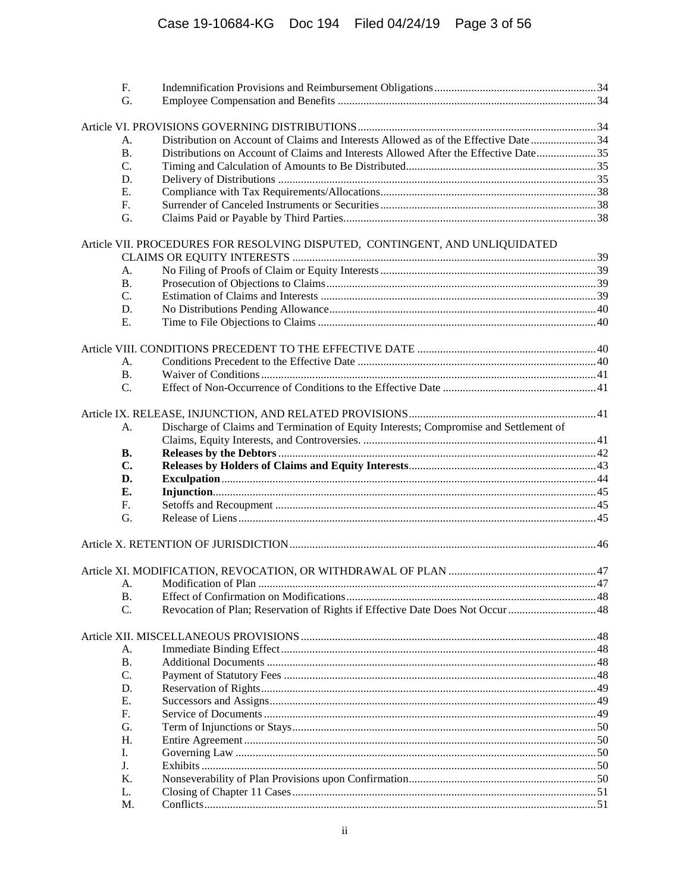| F.                                                                                        |                                                                                       |  |  |
|-------------------------------------------------------------------------------------------|---------------------------------------------------------------------------------------|--|--|
|                                                                                           | G.                                                                                    |  |  |
|                                                                                           |                                                                                       |  |  |
|                                                                                           |                                                                                       |  |  |
| A.                                                                                        | Distribution on Account of Claims and Interests Allowed as of the Effective Date 34   |  |  |
| Distributions on Account of Claims and Interests Allowed After the Effective Date35<br>В. |                                                                                       |  |  |
| C.                                                                                        |                                                                                       |  |  |
| D.                                                                                        |                                                                                       |  |  |
| Е.                                                                                        |                                                                                       |  |  |
| F.                                                                                        |                                                                                       |  |  |
| G.                                                                                        |                                                                                       |  |  |
|                                                                                           |                                                                                       |  |  |
|                                                                                           | Article VII. PROCEDURES FOR RESOLVING DISPUTED, CONTINGENT, AND UNLIQUIDATED          |  |  |
|                                                                                           |                                                                                       |  |  |
| А.                                                                                        |                                                                                       |  |  |
| В.                                                                                        |                                                                                       |  |  |
| C.                                                                                        |                                                                                       |  |  |
| D.                                                                                        |                                                                                       |  |  |
| Ε.                                                                                        |                                                                                       |  |  |
|                                                                                           |                                                                                       |  |  |
|                                                                                           |                                                                                       |  |  |
| А.                                                                                        |                                                                                       |  |  |
| <b>B.</b>                                                                                 |                                                                                       |  |  |
| C.                                                                                        |                                                                                       |  |  |
|                                                                                           |                                                                                       |  |  |
|                                                                                           |                                                                                       |  |  |
| А.                                                                                        | Discharge of Claims and Termination of Equity Interests; Compromise and Settlement of |  |  |
|                                                                                           |                                                                                       |  |  |
| <b>B.</b>                                                                                 |                                                                                       |  |  |
| C.                                                                                        |                                                                                       |  |  |
| D.                                                                                        |                                                                                       |  |  |
| Е.                                                                                        |                                                                                       |  |  |
| F.                                                                                        |                                                                                       |  |  |
| G.                                                                                        |                                                                                       |  |  |
|                                                                                           |                                                                                       |  |  |
|                                                                                           |                                                                                       |  |  |
|                                                                                           |                                                                                       |  |  |
|                                                                                           |                                                                                       |  |  |
|                                                                                           |                                                                                       |  |  |
| <b>B.</b>                                                                                 |                                                                                       |  |  |
| C.                                                                                        | Revocation of Plan; Reservation of Rights if Effective Date Does Not Occur 48         |  |  |
|                                                                                           |                                                                                       |  |  |
|                                                                                           |                                                                                       |  |  |
| А.                                                                                        |                                                                                       |  |  |
| В.                                                                                        |                                                                                       |  |  |
| C.                                                                                        |                                                                                       |  |  |
| D.                                                                                        |                                                                                       |  |  |
| Ε.                                                                                        |                                                                                       |  |  |
| F.                                                                                        |                                                                                       |  |  |
| G.                                                                                        |                                                                                       |  |  |
| Н.                                                                                        |                                                                                       |  |  |
| Ι.                                                                                        |                                                                                       |  |  |
| J.                                                                                        |                                                                                       |  |  |
| Κ.                                                                                        |                                                                                       |  |  |
| L.                                                                                        |                                                                                       |  |  |
| M.                                                                                        |                                                                                       |  |  |
|                                                                                           |                                                                                       |  |  |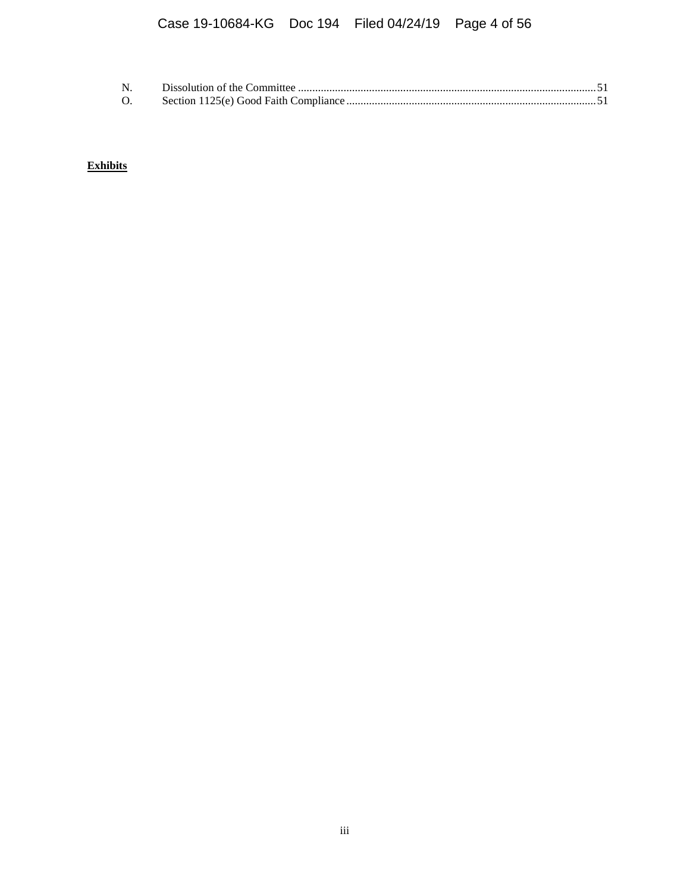| $\Omega$ . |  |
|------------|--|

**Exhibits**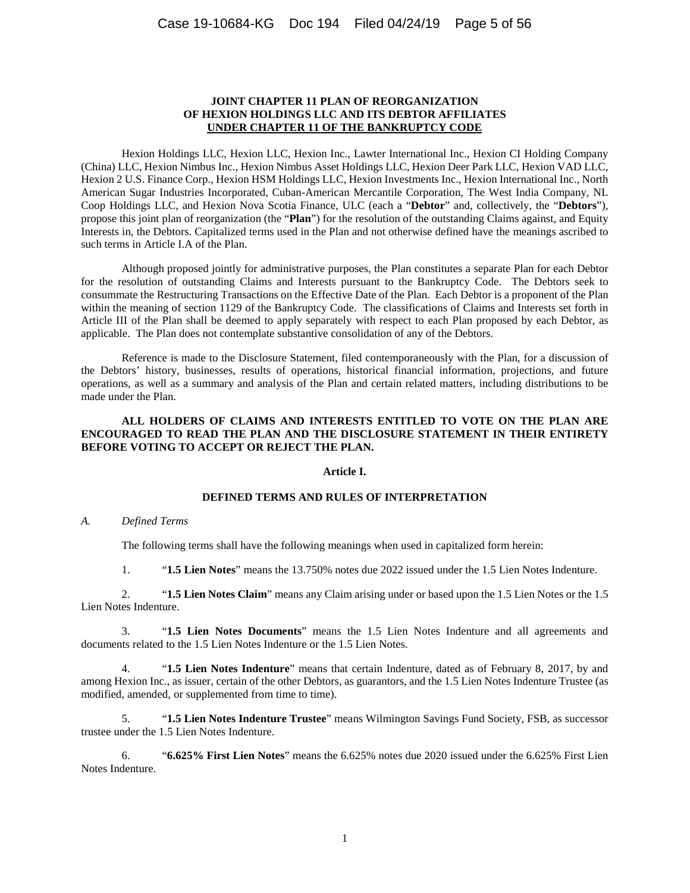#### **JOINT CHAPTER 11 PLAN OF REORGANIZATION OF HEXION HOLDINGS LLC AND ITS DEBTOR AFFILIATES UNDER CHAPTER 11 OF THE BANKRUPTCY CODE**

Hexion Holdings LLC, Hexion LLC, Hexion Inc., Lawter International Inc., Hexion CI Holding Company (China) LLC, Hexion Nimbus Inc., Hexion Nimbus Asset Holdings LLC, Hexion Deer Park LLC, Hexion VAD LLC, Hexion 2 U.S. Finance Corp., Hexion HSM Holdings LLC, Hexion Investments Inc., Hexion International Inc., North American Sugar Industries Incorporated, Cuban-American Mercantile Corporation, The West India Company, NL Coop Holdings LLC, and Hexion Nova Scotia Finance, ULC (each a "**Debtor**" and, collectively, the "**Debtors**"), propose this joint plan of reorganization (the "**Plan**") for the resolution of the outstanding Claims against, and Equity Interests in, the Debtors. Capitalized terms used in the Plan and not otherwise defined have the meanings ascribed to such terms in [Article I.A](#page-4-0) of the Plan.

Although proposed jointly for administrative purposes, the Plan constitutes a separate Plan for each Debtor for the resolution of outstanding Claims and Interests pursuant to the Bankruptcy Code. The Debtors seek to consummate the Restructuring Transactions on the Effective Date of the Plan. Each Debtor is a proponent of the Plan within the meaning of section 1129 of the Bankruptcy Code. The classifications of Claims and Interests set forth in [Article III](#page-22-0) of the Plan shall be deemed to apply separately with respect to each Plan proposed by each Debtor, as applicable. The Plan does not contemplate substantive consolidation of any of the Debtors.

Reference is made to the Disclosure Statement, filed contemporaneously with the Plan, for a discussion of the Debtors' history, businesses, results of operations, historical financial information, projections, and future operations, as well as a summary and analysis of the Plan and certain related matters, including distributions to be made under the Plan.

# **ALL HOLDERS OF CLAIMS AND INTERESTS ENTITLED TO VOTE ON THE PLAN ARE ENCOURAGED TO READ THE PLAN AND THE DISCLOSURE STATEMENT IN THEIR ENTIRETY BEFORE VOTING TO ACCEPT OR REJECT THE PLAN.**

# **Article I.**

#### **DEFINED TERMS AND RULES OF INTERPRETATION**

### <span id="page-4-0"></span>*A. Defined Terms*

The following terms shall have the following meanings when used in capitalized form herein:

1. "**1.5 Lien Notes**" means the 13.750% notes due 2022 issued under the 1.5 Lien Notes Indenture.

2. "**1.5 Lien Notes Claim**" means any Claim arising under or based upon the 1.5 Lien Notes or the 1.5 Lien Notes Indenture.

3. "**1.5 Lien Notes Documents**" means the 1.5 Lien Notes Indenture and all agreements and documents related to the 1.5 Lien Notes Indenture or the 1.5 Lien Notes.

4. "**1.5 Lien Notes Indenture**" means that certain Indenture, dated as of February 8, 2017, by and among Hexion Inc., as issuer, certain of the other Debtors, as guarantors, and the 1.5 Lien Notes Indenture Trustee (as modified, amended, or supplemented from time to time).

5. "**1.5 Lien Notes Indenture Trustee**" means Wilmington Savings Fund Society, FSB, as successor trustee under the 1.5 Lien Notes Indenture.

6. "**6.625% First Lien Notes**" means the 6.625% notes due 2020 issued under the 6.625% First Lien Notes Indenture.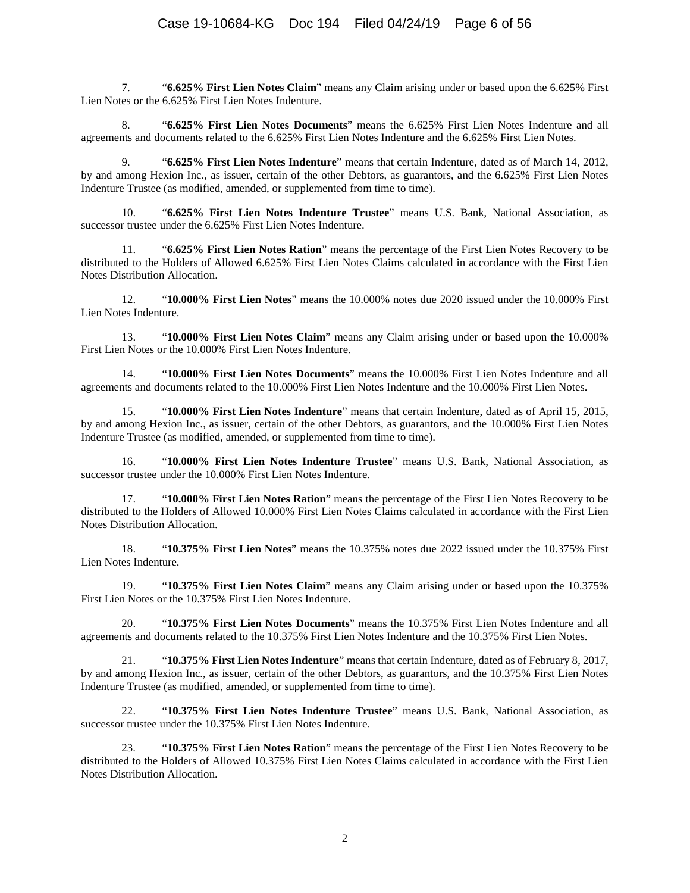7. "**6.625% First Lien Notes Claim**" means any Claim arising under or based upon the 6.625% First Lien Notes or the 6.625% First Lien Notes Indenture.

8. "**6.625% First Lien Notes Documents**" means the 6.625% First Lien Notes Indenture and all agreements and documents related to the 6.625% First Lien Notes Indenture and the 6.625% First Lien Notes.

9. "**6.625% First Lien Notes Indenture**" means that certain Indenture, dated as of March 14, 2012, by and among Hexion Inc., as issuer, certain of the other Debtors, as guarantors, and the 6.625% First Lien Notes Indenture Trustee (as modified, amended, or supplemented from time to time).

10. "**6.625% First Lien Notes Indenture Trustee**" means U.S. Bank, National Association, as successor trustee under the 6.625% First Lien Notes Indenture.

11. "**6.625% First Lien Notes Ration**" means the percentage of the First Lien Notes Recovery to be distributed to the Holders of Allowed 6.625% First Lien Notes Claims calculated in accordance with the First Lien Notes Distribution Allocation.

12. "**10.000% First Lien Notes**" means the 10.000% notes due 2020 issued under the 10.000% First Lien Notes Indenture.

13. "**10.000% First Lien Notes Claim**" means any Claim arising under or based upon the 10.000% First Lien Notes or the 10.000% First Lien Notes Indenture.

14. "**10.000% First Lien Notes Documents**" means the 10.000% First Lien Notes Indenture and all agreements and documents related to the 10.000% First Lien Notes Indenture and the 10.000% First Lien Notes.

15. "**10.000% First Lien Notes Indenture**" means that certain Indenture, dated as of April 15, 2015, by and among Hexion Inc., as issuer, certain of the other Debtors, as guarantors, and the 10.000% First Lien Notes Indenture Trustee (as modified, amended, or supplemented from time to time).

16. "**10.000% First Lien Notes Indenture Trustee**" means U.S. Bank, National Association, as successor trustee under the 10.000% First Lien Notes Indenture.

17. "**10.000% First Lien Notes Ration**" means the percentage of the First Lien Notes Recovery to be distributed to the Holders of Allowed 10.000% First Lien Notes Claims calculated in accordance with the First Lien Notes Distribution Allocation.

18. "**10.375% First Lien Notes**" means the 10.375% notes due 2022 issued under the 10.375% First Lien Notes Indenture.

19. "**10.375% First Lien Notes Claim**" means any Claim arising under or based upon the 10.375% First Lien Notes or the 10.375% First Lien Notes Indenture.

20. "**10.375% First Lien Notes Documents**" means the 10.375% First Lien Notes Indenture and all agreements and documents related to the 10.375% First Lien Notes Indenture and the 10.375% First Lien Notes.

21. "**10.375% First Lien Notes Indenture**" means that certain Indenture, dated as of February 8, 2017, by and among Hexion Inc., as issuer, certain of the other Debtors, as guarantors, and the 10.375% First Lien Notes Indenture Trustee (as modified, amended, or supplemented from time to time).

22. "**10.375% First Lien Notes Indenture Trustee**" means U.S. Bank, National Association, as successor trustee under the 10.375% First Lien Notes Indenture.

23. "**10.375% First Lien Notes Ration**" means the percentage of the First Lien Notes Recovery to be distributed to the Holders of Allowed 10.375% First Lien Notes Claims calculated in accordance with the First Lien Notes Distribution Allocation.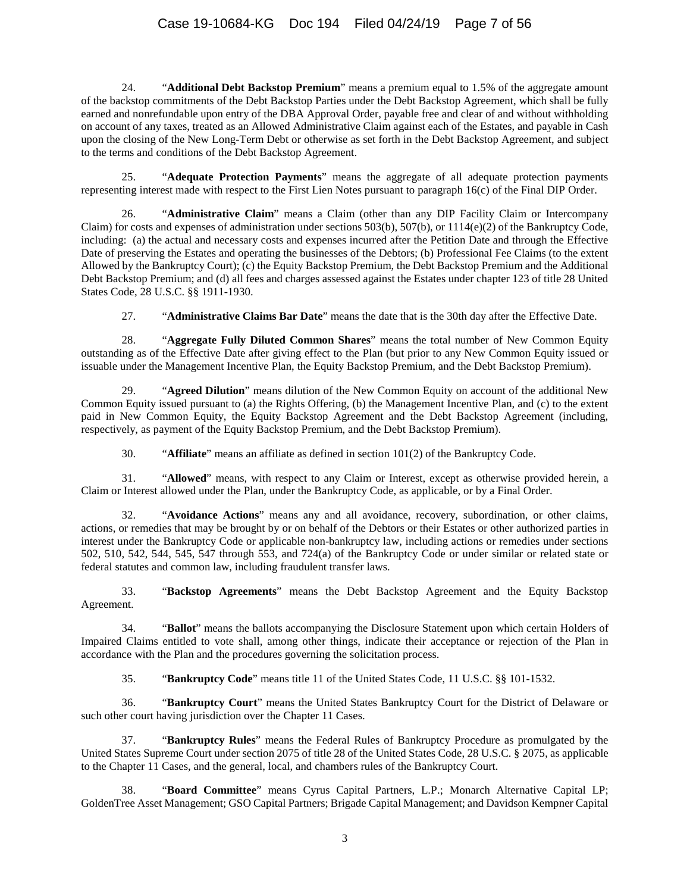24. "**Additional Debt Backstop Premium**" means a premium equal to 1.5% of the aggregate amount of the backstop commitments of the Debt Backstop Parties under the Debt Backstop Agreement, which shall be fully earned and nonrefundable upon entry of the DBA Approval Order, payable free and clear of and without withholding on account of any taxes, treated as an Allowed Administrative Claim against each of the Estates, and payable in Cash upon the closing of the New Long-Term Debt or otherwise as set forth in the Debt Backstop Agreement, and subject to the terms and conditions of the Debt Backstop Agreement.

25. "**Adequate Protection Payments**" means the aggregate of all adequate protection payments representing interest made with respect to the First Lien Notes pursuant to paragraph 16(c) of the Final DIP Order.

26. "**Administrative Claim**" means a Claim (other than any DIP Facility Claim or Intercompany Claim) for costs and expenses of administration under sections 503(b), 507(b), or 1114(e)(2) of the Bankruptcy Code, including: (a) the actual and necessary costs and expenses incurred after the Petition Date and through the Effective Date of preserving the Estates and operating the businesses of the Debtors; (b) Professional Fee Claims (to the extent Allowed by the Bankruptcy Court); (c) the Equity Backstop Premium, the Debt Backstop Premium and the Additional Debt Backstop Premium; and (d) all fees and charges assessed against the Estates under chapter 123 of title 28 United States Code, 28 U.S.C. §§ 1911-1930.

27. "**Administrative Claims Bar Date**" means the date that is the 30th day after the Effective Date.

28. "**Aggregate Fully Diluted Common Shares**" means the total number of New Common Equity outstanding as of the Effective Date after giving effect to the Plan (but prior to any New Common Equity issued or issuable under the Management Incentive Plan, the Equity Backstop Premium, and the Debt Backstop Premium).

29. "**Agreed Dilution**" means dilution of the New Common Equity on account of the additional New Common Equity issued pursuant to (a) the Rights Offering, (b) the Management Incentive Plan, and (c) to the extent paid in New Common Equity, the Equity Backstop Agreement and the Debt Backstop Agreement (including, respectively, as payment of the Equity Backstop Premium, and the Debt Backstop Premium).

30. "**Affiliate**" means an affiliate as defined in section 101(2) of the Bankruptcy Code.

31. "**Allowed**" means, with respect to any Claim or Interest, except as otherwise provided herein, a Claim or Interest allowed under the Plan, under the Bankruptcy Code, as applicable, or by a Final Order.

32. "**Avoidance Actions**" means any and all avoidance, recovery, subordination, or other claims, actions, or remedies that may be brought by or on behalf of the Debtors or their Estates or other authorized parties in interest under the Bankruptcy Code or applicable non-bankruptcy law, including actions or remedies under sections 502, 510, 542, 544, 545, 547 through 553, and 724(a) of the Bankruptcy Code or under similar or related state or federal statutes and common law, including fraudulent transfer laws.

33. "**Backstop Agreements**" means the Debt Backstop Agreement and the Equity Backstop Agreement.

34. "**Ballot**" means the ballots accompanying the Disclosure Statement upon which certain Holders of Impaired Claims entitled to vote shall, among other things, indicate their acceptance or rejection of the Plan in accordance with the Plan and the procedures governing the solicitation process.

35. "**Bankruptcy Code**" means title 11 of the United States Code, 11 U.S.C. §§ 101-1532.

36. "**Bankruptcy Court**" means the United States Bankruptcy Court for the District of Delaware or such other court having jurisdiction over the Chapter 11 Cases.

37. "**Bankruptcy Rules**" means the Federal Rules of Bankruptcy Procedure as promulgated by the United States Supreme Court under section 2075 of title 28 of the United States Code, 28 U.S.C. § 2075, as applicable to the Chapter 11 Cases, and the general, local, and chambers rules of the Bankruptcy Court.

38. "**Board Committee**" means Cyrus Capital Partners, L.P.; Monarch Alternative Capital LP; GoldenTree Asset Management; GSO Capital Partners; Brigade Capital Management; and Davidson Kempner Capital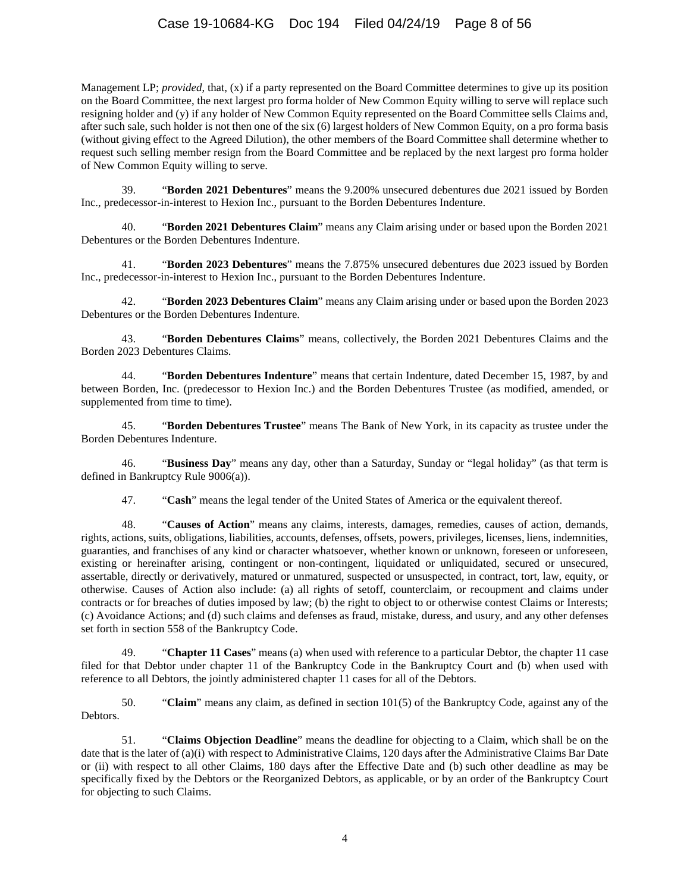Management LP; *provided*, that, (x) if a party represented on the Board Committee determines to give up its position on the Board Committee, the next largest pro forma holder of New Common Equity willing to serve will replace such resigning holder and (y) if any holder of New Common Equity represented on the Board Committee sells Claims and, after such sale, such holder is not then one of the six (6) largest holders of New Common Equity, on a pro forma basis (without giving effect to the Agreed Dilution), the other members of the Board Committee shall determine whether to request such selling member resign from the Board Committee and be replaced by the next largest pro forma holder of New Common Equity willing to serve.

39. "**Borden 2021 Debentures**" means the 9.200% unsecured debentures due 2021 issued by Borden Inc., predecessor-in-interest to Hexion Inc., pursuant to the Borden Debentures Indenture.

40. "**Borden 2021 Debentures Claim**" means any Claim arising under or based upon the Borden 2021 Debentures or the Borden Debentures Indenture.

41. "**Borden 2023 Debentures**" means the 7.875% unsecured debentures due 2023 issued by Borden Inc., predecessor-in-interest to Hexion Inc., pursuant to the Borden Debentures Indenture.

42. "**Borden 2023 Debentures Claim**" means any Claim arising under or based upon the Borden 2023 Debentures or the Borden Debentures Indenture.

43. "**Borden Debentures Claims**" means, collectively, the Borden 2021 Debentures Claims and the Borden 2023 Debentures Claims.

44. "**Borden Debentures Indenture**" means that certain Indenture, dated December 15, 1987, by and between Borden, Inc. (predecessor to Hexion Inc.) and the Borden Debentures Trustee (as modified, amended, or supplemented from time to time).

45. "**Borden Debentures Trustee**" means The Bank of New York, in its capacity as trustee under the Borden Debentures Indenture.

46. "**Business Day**" means any day, other than a Saturday, Sunday or "legal holiday" (as that term is defined in Bankruptcy Rule 9006(a)).

47. "**Cash**" means the legal tender of the United States of America or the equivalent thereof.

48. "**Causes of Action**" means any claims, interests, damages, remedies, causes of action, demands, rights, actions, suits, obligations, liabilities, accounts, defenses, offsets, powers, privileges, licenses, liens, indemnities, guaranties, and franchises of any kind or character whatsoever, whether known or unknown, foreseen or unforeseen, existing or hereinafter arising, contingent or non-contingent, liquidated or unliquidated, secured or unsecured, assertable, directly or derivatively, matured or unmatured, suspected or unsuspected, in contract, tort, law, equity, or otherwise. Causes of Action also include: (a) all rights of setoff, counterclaim, or recoupment and claims under contracts or for breaches of duties imposed by law; (b) the right to object to or otherwise contest Claims or Interests; (c) Avoidance Actions; and (d) such claims and defenses as fraud, mistake, duress, and usury, and any other defenses set forth in section 558 of the Bankruptcy Code.

49. "**Chapter 11 Cases**" means (a) when used with reference to a particular Debtor, the chapter 11 case filed for that Debtor under chapter 11 of the Bankruptcy Code in the Bankruptcy Court and (b) when used with reference to all Debtors, the jointly administered chapter 11 cases for all of the Debtors.

50. "**Claim**" means any claim, as defined in section 101(5) of the Bankruptcy Code, against any of the Debtors.

51. "**Claims Objection Deadline**" means the deadline for objecting to a Claim, which shall be on the date that is the later of (a)(i) with respect to Administrative Claims, 120 days after the Administrative Claims Bar Date or (ii) with respect to all other Claims, 180 days after the Effective Date and (b) such other deadline as may be specifically fixed by the Debtors or the Reorganized Debtors, as applicable, or by an order of the Bankruptcy Court for objecting to such Claims.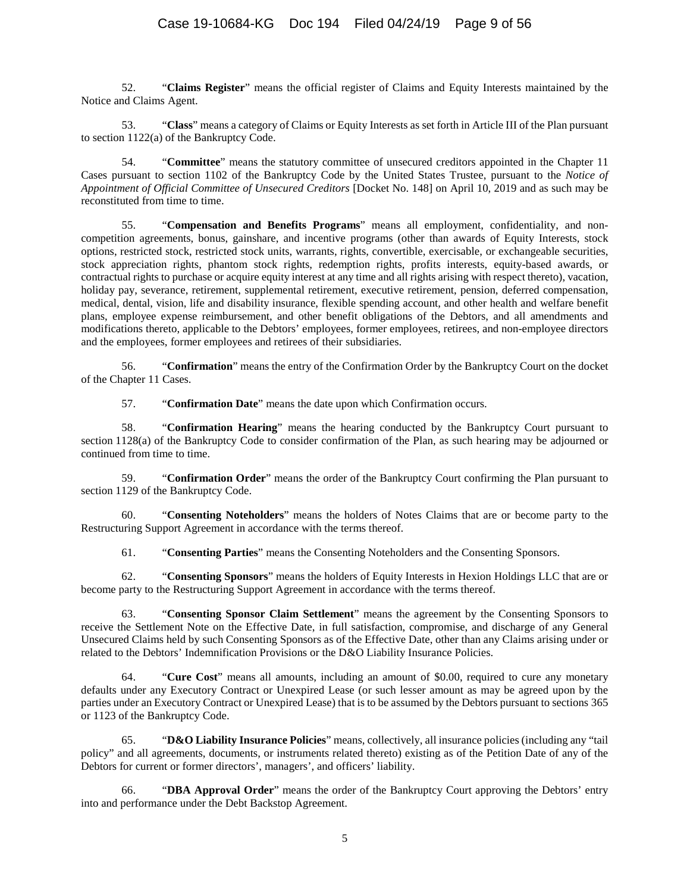52. "**Claims Register**" means the official register of Claims and Equity Interests maintained by the Notice and Claims Agent.

53. "**Class**" means a category of Claims or Equity Interests as set forth i[n Article III](#page-22-0) of the Plan pursuant to section 1122(a) of the Bankruptcy Code.

54. "**Committee**" means the statutory committee of unsecured creditors appointed in the Chapter 11 Cases pursuant to section 1102 of the Bankruptcy Code by the United States Trustee, pursuant to the *Notice of Appointment of Official Committee of Unsecured Creditors* [Docket No. 148] on April 10, 2019 and as such may be reconstituted from time to time.

55. "**Compensation and Benefits Programs**" means all employment, confidentiality, and noncompetition agreements, bonus, gainshare, and incentive programs (other than awards of Equity Interests, stock options, restricted stock, restricted stock units, warrants, rights, convertible, exercisable, or exchangeable securities, stock appreciation rights, phantom stock rights, redemption rights, profits interests, equity-based awards, or contractual rights to purchase or acquire equity interest at any time and all rights arising with respect thereto), vacation, holiday pay, severance, retirement, supplemental retirement, executive retirement, pension, deferred compensation, medical, dental, vision, life and disability insurance, flexible spending account, and other health and welfare benefit plans, employee expense reimbursement, and other benefit obligations of the Debtors, and all amendments and modifications thereto, applicable to the Debtors' employees, former employees, retirees, and non-employee directors and the employees, former employees and retirees of their subsidiaries.

56. "**Confirmation**" means the entry of the Confirmation Order by the Bankruptcy Court on the docket of the Chapter 11 Cases.

57. "**Confirmation Date**" means the date upon which Confirmation occurs.

58. "**Confirmation Hearing**" means the hearing conducted by the Bankruptcy Court pursuant to section 1128(a) of the Bankruptcy Code to consider confirmation of the Plan, as such hearing may be adjourned or continued from time to time.

59. "**Confirmation Order**" means the order of the Bankruptcy Court confirming the Plan pursuant to section 1129 of the Bankruptcy Code.

60. "**Consenting Noteholders**" means the holders of Notes Claims that are or become party to the Restructuring Support Agreement in accordance with the terms thereof.

61. "**Consenting Parties**" means the Consenting Noteholders and the Consenting Sponsors.

62. "**Consenting Sponsors**" means the holders of Equity Interests in Hexion Holdings LLC that are or become party to the Restructuring Support Agreement in accordance with the terms thereof.

63. "**Consenting Sponsor Claim Settlement**" means the agreement by the Consenting Sponsors to receive the Settlement Note on the Effective Date, in full satisfaction, compromise, and discharge of any General Unsecured Claims held by such Consenting Sponsors as of the Effective Date, other than any Claims arising under or related to the Debtors' Indemnification Provisions or the D&O Liability Insurance Policies.

64. "**Cure Cost**" means all amounts, including an amount of \$0.00, required to cure any monetary defaults under any Executory Contract or Unexpired Lease (or such lesser amount as may be agreed upon by the parties under an Executory Contract or Unexpired Lease) that is to be assumed by the Debtors pursuant to sections 365 or 1123 of the Bankruptcy Code.

65. "**D&O Liability Insurance Policies**" means, collectively, all insurance policies (including any "tail policy" and all agreements, documents, or instruments related thereto) existing as of the Petition Date of any of the Debtors for current or former directors', managers', and officers' liability.

66. "**DBA Approval Order**" means the order of the Bankruptcy Court approving the Debtors' entry into and performance under the Debt Backstop Agreement.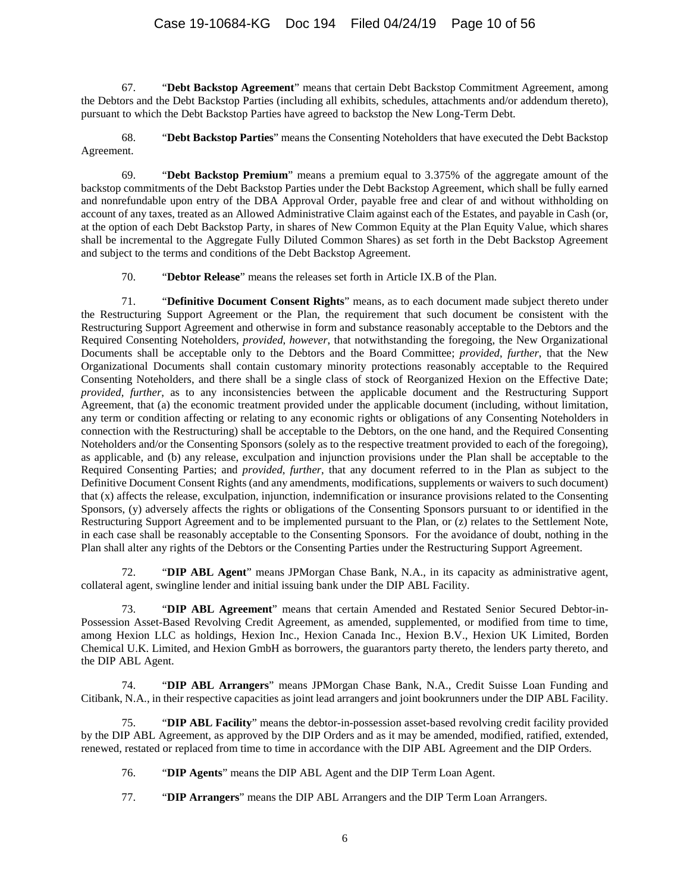67. "**Debt Backstop Agreement**" means that certain Debt Backstop Commitment Agreement, among the Debtors and the Debt Backstop Parties (including all exhibits, schedules, attachments and/or addendum thereto), pursuant to which the Debt Backstop Parties have agreed to backstop the New Long-Term Debt.

68. "**Debt Backstop Parties**" means the Consenting Noteholders that have executed the Debt Backstop Agreement.

69. "**Debt Backstop Premium**" means a premium equal to 3.375% of the aggregate amount of the backstop commitments of the Debt Backstop Parties under the Debt Backstop Agreement, which shall be fully earned and nonrefundable upon entry of the DBA Approval Order, payable free and clear of and without withholding on account of any taxes, treated as an Allowed Administrative Claim against each of the Estates, and payable in Cash (or, at the option of each Debt Backstop Party, in shares of New Common Equity at the Plan Equity Value, which shares shall be incremental to the Aggregate Fully Diluted Common Shares) as set forth in the Debt Backstop Agreement and subject to the terms and conditions of the Debt Backstop Agreement.

70. "**Debtor Release**" means the releases set forth in [Article IX.B](#page-45-0) of the Plan.

71. "**Definitive Document Consent Rights**" means, as to each document made subject thereto under the Restructuring Support Agreement or the Plan, the requirement that such document be consistent with the Restructuring Support Agreement and otherwise in form and substance reasonably acceptable to the Debtors and the Required Consenting Noteholders, *provided*, *however*, that notwithstanding the foregoing, the New Organizational Documents shall be acceptable only to the Debtors and the Board Committee; *provided*, *further*, that the New Organizational Documents shall contain customary minority protections reasonably acceptable to the Required Consenting Noteholders, and there shall be a single class of stock of Reorganized Hexion on the Effective Date; *provided*, *further*, as to any inconsistencies between the applicable document and the Restructuring Support Agreement, that (a) the economic treatment provided under the applicable document (including, without limitation, any term or condition affecting or relating to any economic rights or obligations of any Consenting Noteholders in connection with the Restructuring) shall be acceptable to the Debtors, on the one hand, and the Required Consenting Noteholders and/or the Consenting Sponsors (solely as to the respective treatment provided to each of the foregoing), as applicable, and (b) any release, exculpation and injunction provisions under the Plan shall be acceptable to the Required Consenting Parties; and *provided*, *further*, that any document referred to in the Plan as subject to the Definitive Document Consent Rights (and any amendments, modifications, supplements or waivers to such document) that (x) affects the release, exculpation, injunction, indemnification or insurance provisions related to the Consenting Sponsors, (y) adversely affects the rights or obligations of the Consenting Sponsors pursuant to or identified in the Restructuring Support Agreement and to be implemented pursuant to the Plan, or (z) relates to the Settlement Note, in each case shall be reasonably acceptable to the Consenting Sponsors. For the avoidance of doubt, nothing in the Plan shall alter any rights of the Debtors or the Consenting Parties under the Restructuring Support Agreement.

72. "**DIP ABL Agent**" means JPMorgan Chase Bank, N.A., in its capacity as administrative agent, collateral agent, swingline lender and initial issuing bank under the DIP ABL Facility.

73. "**DIP ABL Agreement**" means that certain Amended and Restated Senior Secured Debtor-in-Possession Asset-Based Revolving Credit Agreement, as amended, supplemented, or modified from time to time, among Hexion LLC as holdings, Hexion Inc., Hexion Canada Inc., Hexion B.V., Hexion UK Limited, Borden Chemical U.K. Limited, and Hexion GmbH as borrowers, the guarantors party thereto, the lenders party thereto, and the DIP ABL Agent.

74. "**DIP ABL Arrangers**" means JPMorgan Chase Bank, N.A., Credit Suisse Loan Funding and Citibank, N.A., in their respective capacities as joint lead arrangers and joint bookrunners under the DIP ABL Facility.

75. "**DIP ABL Facility**" means the debtor-in-possession asset-based revolving credit facility provided by the DIP ABL Agreement, as approved by the DIP Orders and as it may be amended, modified, ratified, extended, renewed, restated or replaced from time to time in accordance with the DIP ABL Agreement and the DIP Orders.

76. "**DIP Agents**" means the DIP ABL Agent and the DIP Term Loan Agent.

77. "**DIP Arrangers**" means the DIP ABL Arrangers and the DIP Term Loan Arrangers.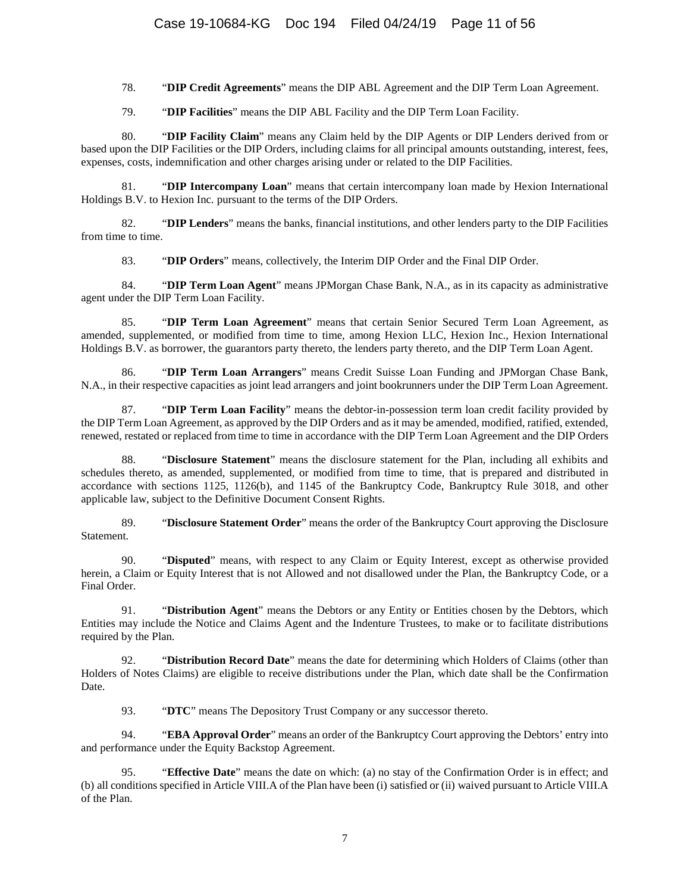78. "**DIP Credit Agreements**" means the DIP ABL Agreement and the DIP Term Loan Agreement.

79. "**DIP Facilities**" means the DIP ABL Facility and the DIP Term Loan Facility.

80. "**DIP Facility Claim**" means any Claim held by the DIP Agents or DIP Lenders derived from or based upon the DIP Facilities or the DIP Orders, including claims for all principal amounts outstanding, interest, fees, expenses, costs, indemnification and other charges arising under or related to the DIP Facilities.

81. "**DIP Intercompany Loan**" means that certain intercompany loan made by Hexion International Holdings B.V. to Hexion Inc. pursuant to the terms of the DIP Orders.

82. "**DIP Lenders**" means the banks, financial institutions, and other lenders party to the DIP Facilities from time to time.

83. "**DIP Orders**" means, collectively, the Interim DIP Order and the Final DIP Order.

84. "**DIP Term Loan Agent**" means JPMorgan Chase Bank, N.A., as in its capacity as administrative agent under the DIP Term Loan Facility.

85. "**DIP Term Loan Agreement**" means that certain Senior Secured Term Loan Agreement, as amended, supplemented, or modified from time to time, among Hexion LLC, Hexion Inc., Hexion International Holdings B.V. as borrower, the guarantors party thereto, the lenders party thereto, and the DIP Term Loan Agent.

86. "**DIP Term Loan Arrangers**" means Credit Suisse Loan Funding and JPMorgan Chase Bank, N.A., in their respective capacities as joint lead arrangers and joint bookrunners under the DIP Term Loan Agreement.

87. "**DIP Term Loan Facility**" means the debtor-in-possession term loan credit facility provided by the DIP Term Loan Agreement, as approved by the DIP Orders and as it may be amended, modified, ratified, extended, renewed, restated or replaced from time to time in accordance with the DIP Term Loan Agreement and the DIP Orders

88. "**Disclosure Statement**" means the disclosure statement for the Plan, including all exhibits and schedules thereto, as amended, supplemented, or modified from time to time, that is prepared and distributed in accordance with sections 1125, 1126(b), and 1145 of the Bankruptcy Code, Bankruptcy Rule 3018, and other applicable law, subject to the Definitive Document Consent Rights.

89. "**Disclosure Statement Order**" means the order of the Bankruptcy Court approving the Disclosure Statement.

90. "**Disputed**" means, with respect to any Claim or Equity Interest, except as otherwise provided herein, a Claim or Equity Interest that is not Allowed and not disallowed under the Plan, the Bankruptcy Code, or a Final Order.

91. "**Distribution Agent**" means the Debtors or any Entity or Entities chosen by the Debtors, which Entities may include the Notice and Claims Agent and the Indenture Trustees, to make or to facilitate distributions required by the Plan.

92. "**Distribution Record Date**" means the date for determining which Holders of Claims (other than Holders of Notes Claims) are eligible to receive distributions under the Plan, which date shall be the Confirmation Date.

93. "**DTC**" means The Depository Trust Company or any successor thereto.

94. "**EBA Approval Order**" means an order of the Bankruptcy Court approving the Debtors' entry into and performance under the Equity Backstop Agreement.

95. "**Effective Date**" means the date on which: (a) no stay of the Confirmation Order is in effect; and (b) all conditions specified i[n Article VIII.A](#page-43-0) of the Plan have been (i) satisfied or (ii) waived pursuant t[o Article VIII.A](#page-43-0) of the Plan.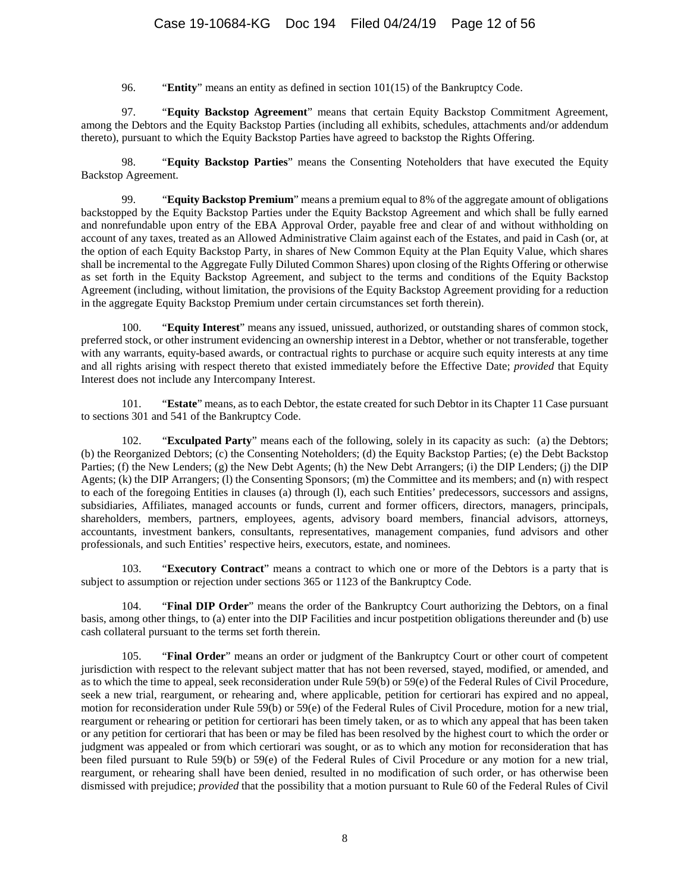96. "**Entity**" means an entity as defined in section 101(15) of the Bankruptcy Code.

97. "**Equity Backstop Agreement**" means that certain Equity Backstop Commitment Agreement, among the Debtors and the Equity Backstop Parties (including all exhibits, schedules, attachments and/or addendum thereto), pursuant to which the Equity Backstop Parties have agreed to backstop the Rights Offering.

98. "**Equity Backstop Parties**" means the Consenting Noteholders that have executed the Equity Backstop Agreement.

99. "**Equity Backstop Premium**" means a premium equal to 8% of the aggregate amount of obligations backstopped by the Equity Backstop Parties under the Equity Backstop Agreement and which shall be fully earned and nonrefundable upon entry of the EBA Approval Order, payable free and clear of and without withholding on account of any taxes, treated as an Allowed Administrative Claim against each of the Estates, and paid in Cash (or, at the option of each Equity Backstop Party, in shares of New Common Equity at the Plan Equity Value, which shares shall be incremental to the Aggregate Fully Diluted Common Shares) upon closing of the Rights Offering or otherwise as set forth in the Equity Backstop Agreement, and subject to the terms and conditions of the Equity Backstop Agreement (including, without limitation, the provisions of the Equity Backstop Agreement providing for a reduction in the aggregate Equity Backstop Premium under certain circumstances set forth therein).

100. "**Equity Interest**" means any issued, unissued, authorized, or outstanding shares of common stock, preferred stock, or other instrument evidencing an ownership interest in a Debtor, whether or not transferable, together with any warrants, equity-based awards, or contractual rights to purchase or acquire such equity interests at any time and all rights arising with respect thereto that existed immediately before the Effective Date; *provided* that Equity Interest does not include any Intercompany Interest.

101. "**Estate**" means, as to each Debtor, the estate created for such Debtor in its Chapter 11 Case pursuant to sections 301 and 541 of the Bankruptcy Code.

102. "**Exculpated Party**" means each of the following, solely in its capacity as such: (a) the Debtors; (b) the Reorganized Debtors; (c) the Consenting Noteholders; (d) the Equity Backstop Parties; (e) the Debt Backstop Parties; (f) the New Lenders; (g) the New Debt Agents; (h) the New Debt Arrangers; (i) the DIP Lenders; (j) the DIP Agents; (k) the DIP Arrangers; (l) the Consenting Sponsors; (m) the Committee and its members; and (n) with respect to each of the foregoing Entities in clauses (a) through (l), each such Entities' predecessors, successors and assigns, subsidiaries, Affiliates, managed accounts or funds, current and former officers, directors, managers, principals, shareholders, members, partners, employees, agents, advisory board members, financial advisors, attorneys, accountants, investment bankers, consultants, representatives, management companies, fund advisors and other professionals, and such Entities' respective heirs, executors, estate, and nominees.

103. "**Executory Contract**" means a contract to which one or more of the Debtors is a party that is subject to assumption or rejection under sections 365 or 1123 of the Bankruptcy Code.

104. "**Final DIP Order**" means the order of the Bankruptcy Court authorizing the Debtors, on a final basis, among other things, to (a) enter into the DIP Facilities and incur postpetition obligations thereunder and (b) use cash collateral pursuant to the terms set forth therein.

105. "**Final Order**" means an order or judgment of the Bankruptcy Court or other court of competent jurisdiction with respect to the relevant subject matter that has not been reversed, stayed, modified, or amended, and as to which the time to appeal, seek reconsideration under Rule 59(b) or 59(e) of the Federal Rules of Civil Procedure, seek a new trial, reargument, or rehearing and, where applicable, petition for certiorari has expired and no appeal, motion for reconsideration under Rule 59(b) or 59(e) of the Federal Rules of Civil Procedure, motion for a new trial, reargument or rehearing or petition for certiorari has been timely taken, or as to which any appeal that has been taken or any petition for certiorari that has been or may be filed has been resolved by the highest court to which the order or judgment was appealed or from which certiorari was sought, or as to which any motion for reconsideration that has been filed pursuant to Rule 59(b) or 59(e) of the Federal Rules of Civil Procedure or any motion for a new trial, reargument, or rehearing shall have been denied, resulted in no modification of such order, or has otherwise been dismissed with prejudice; *provided* that the possibility that a motion pursuant to Rule 60 of the Federal Rules of Civil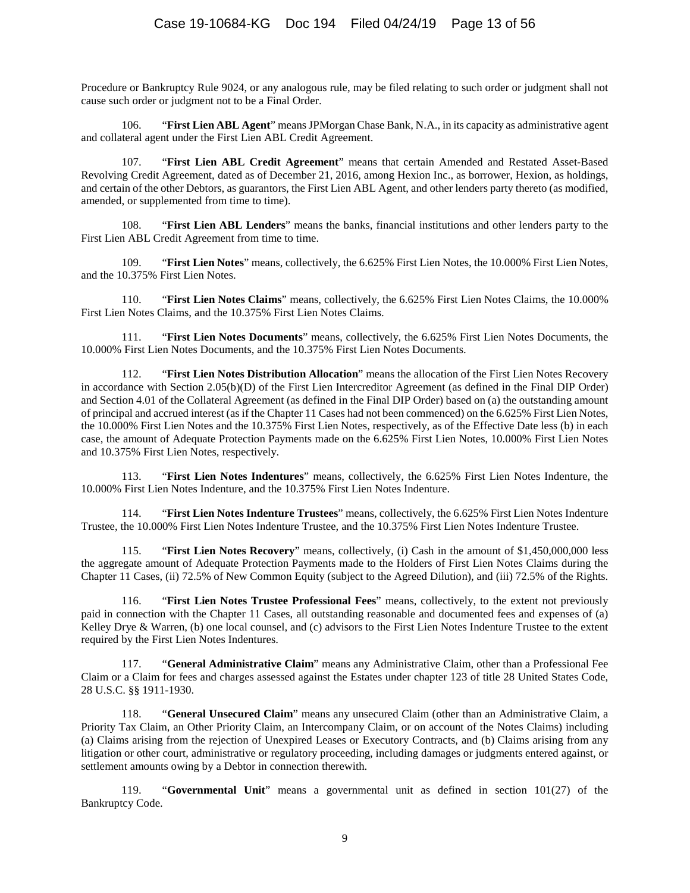Procedure or Bankruptcy Rule 9024, or any analogous rule, may be filed relating to such order or judgment shall not cause such order or judgment not to be a Final Order.

106. "**First Lien ABL Agent**" means JPMorgan Chase Bank, N.A., in its capacity as administrative agent and collateral agent under the First Lien ABL Credit Agreement.

107. "**First Lien ABL Credit Agreement**" means that certain Amended and Restated Asset-Based Revolving Credit Agreement, dated as of December 21, 2016, among Hexion Inc., as borrower, Hexion, as holdings, and certain of the other Debtors, as guarantors, the First Lien ABL Agent, and other lenders party thereto (as modified, amended, or supplemented from time to time).

108. "**First Lien ABL Lenders**" means the banks, financial institutions and other lenders party to the First Lien ABL Credit Agreement from time to time.

109. "**First Lien Notes**" means, collectively, the 6.625% First Lien Notes, the 10.000% First Lien Notes, and the 10.375% First Lien Notes.

110. "**First Lien Notes Claims**" means, collectively, the 6.625% First Lien Notes Claims, the 10.000% First Lien Notes Claims, and the 10.375% First Lien Notes Claims.

111. "**First Lien Notes Documents**" means, collectively, the 6.625% First Lien Notes Documents, the 10.000% First Lien Notes Documents, and the 10.375% First Lien Notes Documents.

112. "**First Lien Notes Distribution Allocation**" means the allocation of the First Lien Notes Recovery in accordance with Section 2.05(b)(D) of the First Lien Intercreditor Agreement (as defined in the Final DIP Order) and Section 4.01 of the Collateral Agreement (as defined in the Final DIP Order) based on (a) the outstanding amount of principal and accrued interest (as if the Chapter 11 Cases had not been commenced) on the 6.625% First Lien Notes, the 10.000% First Lien Notes and the 10.375% First Lien Notes, respectively, as of the Effective Date less (b) in each case, the amount of Adequate Protection Payments made on the 6.625% First Lien Notes, 10.000% First Lien Notes and 10.375% First Lien Notes, respectively.

113. "**First Lien Notes Indentures**" means, collectively, the 6.625% First Lien Notes Indenture, the 10.000% First Lien Notes Indenture, and the 10.375% First Lien Notes Indenture.

114. "**First Lien Notes Indenture Trustees**" means, collectively, the 6.625% First Lien Notes Indenture Trustee, the 10.000% First Lien Notes Indenture Trustee, and the 10.375% First Lien Notes Indenture Trustee.

115. "**First Lien Notes Recovery**" means, collectively, (i) Cash in the amount of \$1,450,000,000 less the aggregate amount of Adequate Protection Payments made to the Holders of First Lien Notes Claims during the Chapter 11 Cases, (ii) 72.5% of New Common Equity (subject to the Agreed Dilution), and (iii) 72.5% of the Rights.

116. "**First Lien Notes Trustee Professional Fees**" means, collectively, to the extent not previously paid in connection with the Chapter 11 Cases, all outstanding reasonable and documented fees and expenses of (a) Kelley Drye & Warren, (b) one local counsel, and (c) advisors to the First Lien Notes Indenture Trustee to the extent required by the First Lien Notes Indentures.

"General Administrative Claim" means any Administrative Claim, other than a Professional Fee Claim or a Claim for fees and charges assessed against the Estates under chapter 123 of title 28 United States Code, 28 U.S.C. §§ 1911-1930.

118. "**General Unsecured Claim**" means any unsecured Claim (other than an Administrative Claim, a Priority Tax Claim, an Other Priority Claim, an Intercompany Claim, or on account of the Notes Claims) including (a) Claims arising from the rejection of Unexpired Leases or Executory Contracts, and (b) Claims arising from any litigation or other court, administrative or regulatory proceeding, including damages or judgments entered against, or settlement amounts owing by a Debtor in connection therewith.

119. "**Governmental Unit**" means a governmental unit as defined in section 101(27) of the Bankruptcy Code.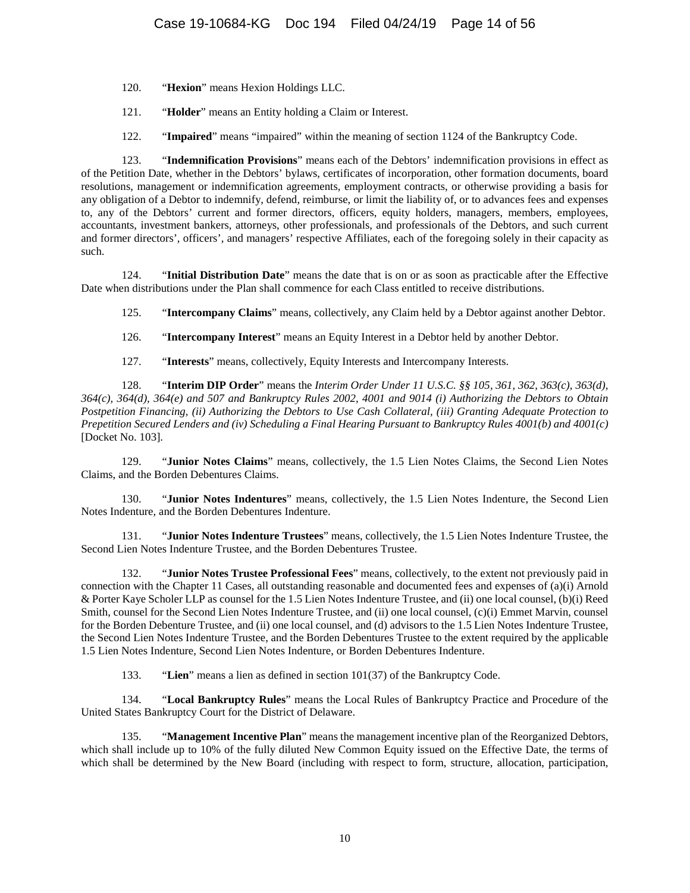- 120. "**Hexion**" means Hexion Holdings LLC.
- 121. "**Holder**" means an Entity holding a Claim or Interest.
- 122. "**Impaired**" means "impaired" within the meaning of section 1124 of the Bankruptcy Code.

123. "**Indemnification Provisions**" means each of the Debtors' indemnification provisions in effect as of the Petition Date, whether in the Debtors' bylaws, certificates of incorporation, other formation documents, board resolutions, management or indemnification agreements, employment contracts, or otherwise providing a basis for any obligation of a Debtor to indemnify, defend, reimburse, or limit the liability of, or to advances fees and expenses to, any of the Debtors' current and former directors, officers, equity holders, managers, members, employees, accountants, investment bankers, attorneys, other professionals, and professionals of the Debtors, and such current and former directors', officers', and managers' respective Affiliates, each of the foregoing solely in their capacity as such.

124. "**Initial Distribution Date**" means the date that is on or as soon as practicable after the Effective Date when distributions under the Plan shall commence for each Class entitled to receive distributions.

125. "**Intercompany Claims**" means, collectively, any Claim held by a Debtor against another Debtor.

126. "**Intercompany Interest**" means an Equity Interest in a Debtor held by another Debtor.

127. "**Interests**" means, collectively, Equity Interests and Intercompany Interests.

128. "**Interim DIP Order**" means the *Interim Order Under 11 U.S.C. §§ 105, 361, 362, 363(c), 363(d), 364(c), 364(d), 364(e) and 507 and Bankruptcy Rules 2002, 4001 and 9014 (i) Authorizing the Debtors to Obtain Postpetition Financing, (ii) Authorizing the Debtors to Use Cash Collateral, (iii) Granting Adequate Protection to Prepetition Secured Lenders and (iv) Scheduling a Final Hearing Pursuant to Bankruptcy Rules 4001(b) and 4001(c)* [Docket No. 103].

129. "**Junior Notes Claims**" means, collectively, the 1.5 Lien Notes Claims, the Second Lien Notes Claims, and the Borden Debentures Claims.

130. "**Junior Notes Indentures**" means, collectively, the 1.5 Lien Notes Indenture, the Second Lien Notes Indenture, and the Borden Debentures Indenture.

131. "**Junior Notes Indenture Trustees**" means, collectively, the 1.5 Lien Notes Indenture Trustee, the Second Lien Notes Indenture Trustee, and the Borden Debentures Trustee.

132. "**Junior Notes Trustee Professional Fees**" means, collectively, to the extent not previously paid in connection with the Chapter 11 Cases, all outstanding reasonable and documented fees and expenses of (a)(i) Arnold & Porter Kaye Scholer LLP as counsel for the 1.5 Lien Notes Indenture Trustee, and (ii) one local counsel, (b)(i) Reed Smith, counsel for the Second Lien Notes Indenture Trustee, and (ii) one local counsel, (c)(i) Emmet Marvin, counsel for the Borden Debenture Trustee, and (ii) one local counsel, and (d) advisors to the 1.5 Lien Notes Indenture Trustee, the Second Lien Notes Indenture Trustee, and the Borden Debentures Trustee to the extent required by the applicable 1.5 Lien Notes Indenture, Second Lien Notes Indenture, or Borden Debentures Indenture.

133. "**Lien**" means a lien as defined in section 101(37) of the Bankruptcy Code.

134. "**Local Bankruptcy Rules**" means the Local Rules of Bankruptcy Practice and Procedure of the United States Bankruptcy Court for the District of Delaware.

135. "**Management Incentive Plan**" means the management incentive plan of the Reorganized Debtors, which shall include up to 10% of the fully diluted New Common Equity issued on the Effective Date, the terms of which shall be determined by the New Board (including with respect to form, structure, allocation, participation,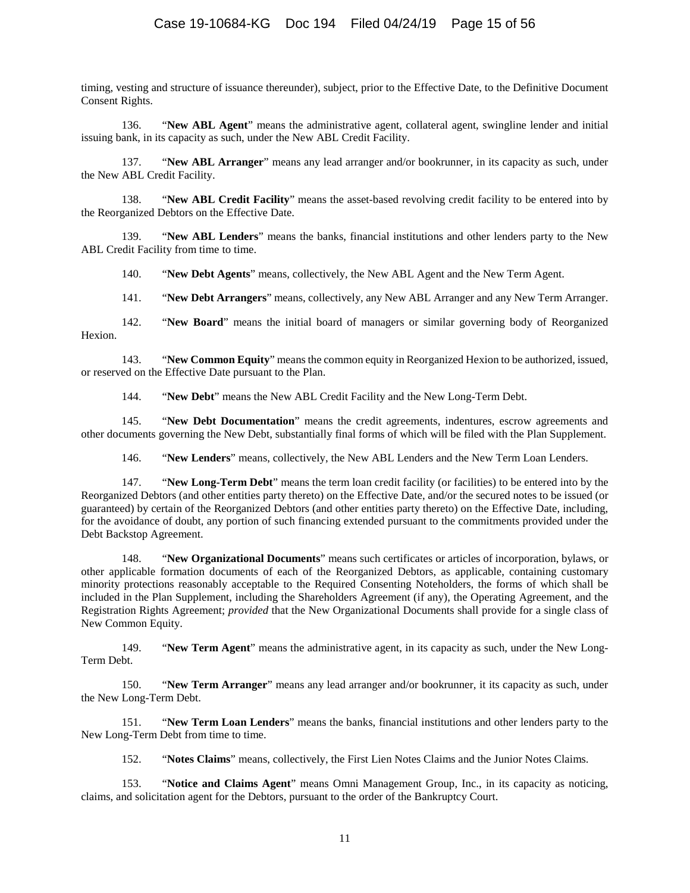# Case 19-10684-KG Doc 194 Filed 04/24/19 Page 15 of 56

timing, vesting and structure of issuance thereunder), subject, prior to the Effective Date, to the Definitive Document Consent Rights.

136. "**New ABL Agent**" means the administrative agent, collateral agent, swingline lender and initial issuing bank, in its capacity as such, under the New ABL Credit Facility.

137. "**New ABL Arranger**" means any lead arranger and/or bookrunner, in its capacity as such, under the New ABL Credit Facility.

138. "**New ABL Credit Facility**" means the asset-based revolving credit facility to be entered into by the Reorganized Debtors on the Effective Date.

139. "**New ABL Lenders**" means the banks, financial institutions and other lenders party to the New ABL Credit Facility from time to time.

140. "**New Debt Agents**" means, collectively, the New ABL Agent and the New Term Agent.

141. "**New Debt Arrangers**" means, collectively, any New ABL Arranger and any New Term Arranger.

142. "**New Board**" means the initial board of managers or similar governing body of Reorganized Hexion.

143. "**New Common Equity**" means the common equity in Reorganized Hexion to be authorized, issued, or reserved on the Effective Date pursuant to the Plan.

144. "**New Debt**" means the New ABL Credit Facility and the New Long-Term Debt.

145. "**New Debt Documentation**" means the credit agreements, indentures, escrow agreements and other documents governing the New Debt, substantially final forms of which will be filed with the Plan Supplement.

146. "**New Lenders**" means, collectively, the New ABL Lenders and the New Term Loan Lenders.

147. "**New Long-Term Debt**" means the term loan credit facility (or facilities) to be entered into by the Reorganized Debtors (and other entities party thereto) on the Effective Date, and/or the secured notes to be issued (or guaranteed) by certain of the Reorganized Debtors (and other entities party thereto) on the Effective Date, including, for the avoidance of doubt, any portion of such financing extended pursuant to the commitments provided under the Debt Backstop Agreement.

148. "**New Organizational Documents**" means such certificates or articles of incorporation, bylaws, or other applicable formation documents of each of the Reorganized Debtors, as applicable, containing customary minority protections reasonably acceptable to the Required Consenting Noteholders, the forms of which shall be included in the Plan Supplement, including the Shareholders Agreement (if any), the Operating Agreement, and the Registration Rights Agreement; *provided* that the New Organizational Documents shall provide for a single class of New Common Equity.

149. "**New Term Agent**" means the administrative agent, in its capacity as such, under the New Long-Term Debt.

150. "**New Term Arranger**" means any lead arranger and/or bookrunner, it its capacity as such, under the New Long-Term Debt.

151. "**New Term Loan Lenders**" means the banks, financial institutions and other lenders party to the New Long-Term Debt from time to time.

152. "**Notes Claims**" means, collectively, the First Lien Notes Claims and the Junior Notes Claims.

153. "**Notice and Claims Agent**" means Omni Management Group, Inc., in its capacity as noticing, claims, and solicitation agent for the Debtors, pursuant to the order of the Bankruptcy Court.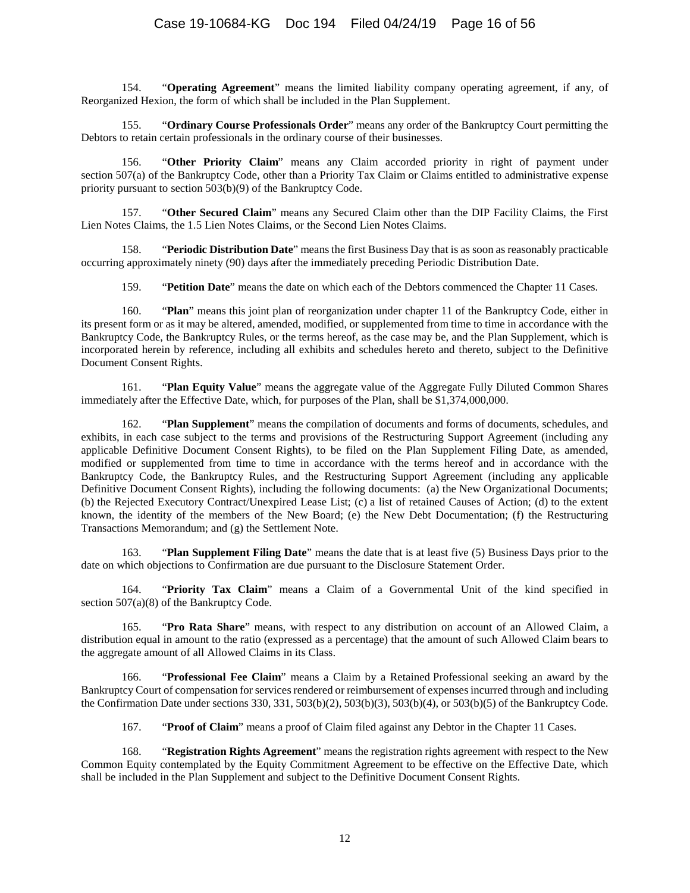154. "**Operating Agreement**" means the limited liability company operating agreement, if any, of Reorganized Hexion, the form of which shall be included in the Plan Supplement.

155. "**Ordinary Course Professionals Order**" means any order of the Bankruptcy Court permitting the Debtors to retain certain professionals in the ordinary course of their businesses.

156. "**Other Priority Claim**" means any Claim accorded priority in right of payment under section 507(a) of the Bankruptcy Code, other than a Priority Tax Claim or Claims entitled to administrative expense priority pursuant to section 503(b)(9) of the Bankruptcy Code.

157. "**Other Secured Claim**" means any Secured Claim other than the DIP Facility Claims, the First Lien Notes Claims, the 1.5 Lien Notes Claims, or the Second Lien Notes Claims.

158. "**Periodic Distribution Date**" means the first Business Day that is as soon as reasonably practicable occurring approximately ninety (90) days after the immediately preceding Periodic Distribution Date.

159. "**Petition Date**" means the date on which each of the Debtors commenced the Chapter 11 Cases.

160. "**Plan**" means this joint plan of reorganization under chapter 11 of the Bankruptcy Code, either in its present form or as it may be altered, amended, modified, or supplemented from time to time in accordance with the Bankruptcy Code, the Bankruptcy Rules, or the terms hereof, as the case may be, and the Plan Supplement, which is incorporated herein by reference, including all exhibits and schedules hereto and thereto, subject to the Definitive Document Consent Rights.

161. "**Plan Equity Value**" means the aggregate value of the Aggregate Fully Diluted Common Shares immediately after the Effective Date, which, for purposes of the Plan, shall be \$1,374,000,000.

162. "**Plan Supplement**" means the compilation of documents and forms of documents, schedules, and exhibits, in each case subject to the terms and provisions of the Restructuring Support Agreement (including any applicable Definitive Document Consent Rights), to be filed on the Plan Supplement Filing Date, as amended, modified or supplemented from time to time in accordance with the terms hereof and in accordance with the Bankruptcy Code, the Bankruptcy Rules, and the Restructuring Support Agreement (including any applicable Definitive Document Consent Rights), including the following documents: (a) the New Organizational Documents; (b) the Rejected Executory Contract/Unexpired Lease List; (c) a list of retained Causes of Action; (d) to the extent known, the identity of the members of the New Board; (e) the New Debt Documentation; (f) the Restructuring Transactions Memorandum; and (g) the Settlement Note.

163. "**Plan Supplement Filing Date**" means the date that is at least five (5) Business Days prior to the date on which objections to Confirmation are due pursuant to the Disclosure Statement Order.

164. "**Priority Tax Claim**" means a Claim of a Governmental Unit of the kind specified in section 507(a)(8) of the Bankruptcy Code.

165. "**Pro Rata Share**" means, with respect to any distribution on account of an Allowed Claim, a distribution equal in amount to the ratio (expressed as a percentage) that the amount of such Allowed Claim bears to the aggregate amount of all Allowed Claims in its Class.

166. "**Professional Fee Claim**" means a Claim by a Retained Professional seeking an award by the Bankruptcy Court of compensation for services rendered or reimbursement of expenses incurred through and including the Confirmation Date under sections 330, 331, 503(b)(2), 503(b)(3), 503(b)(4), or 503(b)(5) of the Bankruptcy Code.

167. "**Proof of Claim**" means a proof of Claim filed against any Debtor in the Chapter 11 Cases.

168. "**Registration Rights Agreement**" means the registration rights agreement with respect to the New Common Equity contemplated by the Equity Commitment Agreement to be effective on the Effective Date, which shall be included in the Plan Supplement and subject to the Definitive Document Consent Rights.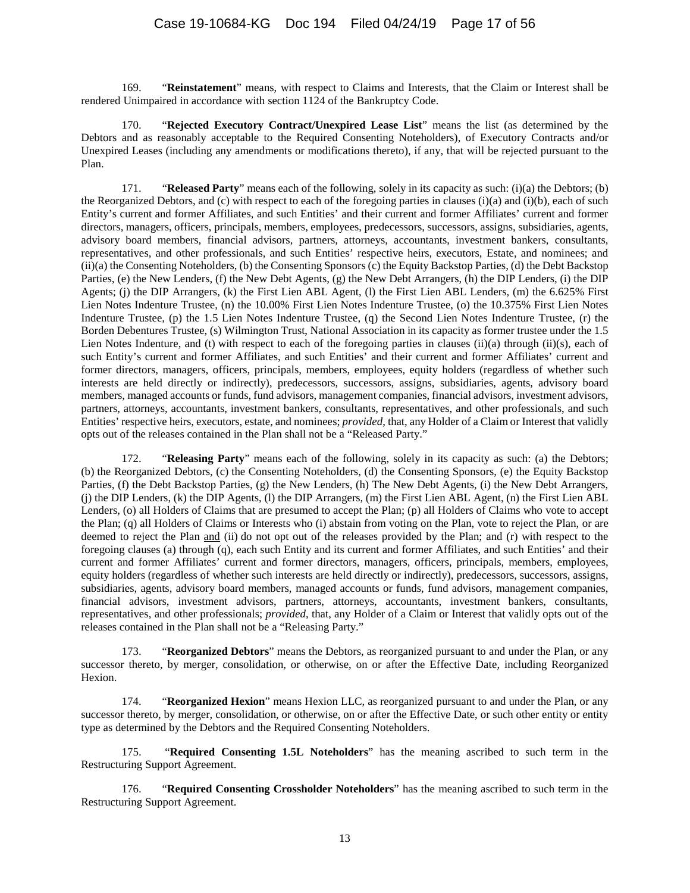169. "**Reinstatement**" means, with respect to Claims and Interests, that the Claim or Interest shall be rendered Unimpaired in accordance with section 1124 of the Bankruptcy Code.

170. "**Rejected Executory Contract/Unexpired Lease List**" means the list (as determined by the Debtors and as reasonably acceptable to the Required Consenting Noteholders), of Executory Contracts and/or Unexpired Leases (including any amendments or modifications thereto), if any, that will be rejected pursuant to the Plan.

171. "**Released Party**" means each of the following, solely in its capacity as such: (i)(a) the Debtors; (b) the Reorganized Debtors, and (c) with respect to each of the foregoing parties in clauses (i)(a) and (i)(b), each of such Entity's current and former Affiliates, and such Entities' and their current and former Affiliates' current and former directors, managers, officers, principals, members, employees, predecessors, successors, assigns, subsidiaries, agents, advisory board members, financial advisors, partners, attorneys, accountants, investment bankers, consultants, representatives, and other professionals, and such Entities' respective heirs, executors, Estate, and nominees; and (ii)(a) the Consenting Noteholders, (b) the Consenting Sponsors (c) the Equity Backstop Parties, (d) the Debt Backstop Parties, (e) the New Lenders, (f) the New Debt Agents, (g) the New Debt Arrangers, (h) the DIP Lenders, (i) the DIP Agents; (j) the DIP Arrangers, (k) the First Lien ABL Agent, (l) the First Lien ABL Lenders, (m) the 6.625% First Lien Notes Indenture Trustee, (n) the 10.00% First Lien Notes Indenture Trustee, (o) the 10.375% First Lien Notes Indenture Trustee, (p) the 1.5 Lien Notes Indenture Trustee, (q) the Second Lien Notes Indenture Trustee, (r) the Borden Debentures Trustee, (s) Wilmington Trust, National Association in its capacity as former trustee under the 1.5 Lien Notes Indenture, and (t) with respect to each of the foregoing parties in clauses (ii)(a) through (ii)(s), each of such Entity's current and former Affiliates, and such Entities' and their current and former Affiliates' current and former directors, managers, officers, principals, members, employees, equity holders (regardless of whether such interests are held directly or indirectly), predecessors, successors, assigns, subsidiaries, agents, advisory board members, managed accounts or funds, fund advisors, management companies, financial advisors, investment advisors, partners, attorneys, accountants, investment bankers, consultants, representatives, and other professionals, and such Entities' respective heirs, executors, estate, and nominees; *provided*, that, any Holder of a Claim or Interest that validly opts out of the releases contained in the Plan shall not be a "Released Party."

172. "**Releasing Party**" means each of the following, solely in its capacity as such: (a) the Debtors; (b) the Reorganized Debtors, (c) the Consenting Noteholders, (d) the Consenting Sponsors, (e) the Equity Backstop Parties, (f) the Debt Backstop Parties, (g) the New Lenders, (h) The New Debt Agents, (i) the New Debt Arrangers, (j) the DIP Lenders, (k) the DIP Agents, (l) the DIP Arrangers, (m) the First Lien ABL Agent, (n) the First Lien ABL Lenders, (o) all Holders of Claims that are presumed to accept the Plan; (p) all Holders of Claims who vote to accept the Plan; (q) all Holders of Claims or Interests who (i) abstain from voting on the Plan, vote to reject the Plan, or are deemed to reject the Plan and (ii) do not opt out of the releases provided by the Plan; and (r) with respect to the foregoing clauses (a) through (q), each such Entity and its current and former Affiliates, and such Entities' and their current and former Affiliates' current and former directors, managers, officers, principals, members, employees, equity holders (regardless of whether such interests are held directly or indirectly), predecessors, successors, assigns, subsidiaries, agents, advisory board members, managed accounts or funds, fund advisors, management companies, financial advisors, investment advisors, partners, attorneys, accountants, investment bankers, consultants, representatives, and other professionals; *provided*, that, any Holder of a Claim or Interest that validly opts out of the releases contained in the Plan shall not be a "Releasing Party."

173. "**Reorganized Debtors**" means the Debtors, as reorganized pursuant to and under the Plan, or any successor thereto, by merger, consolidation, or otherwise, on or after the Effective Date, including Reorganized Hexion.

174. "**Reorganized Hexion**" means Hexion LLC, as reorganized pursuant to and under the Plan, or any successor thereto, by merger, consolidation, or otherwise, on or after the Effective Date, or such other entity or entity type as determined by the Debtors and the Required Consenting Noteholders.

175. "**Required Consenting 1.5L Noteholders**" has the meaning ascribed to such term in the Restructuring Support Agreement.

176. "**Required Consenting Crossholder Noteholders**" has the meaning ascribed to such term in the Restructuring Support Agreement.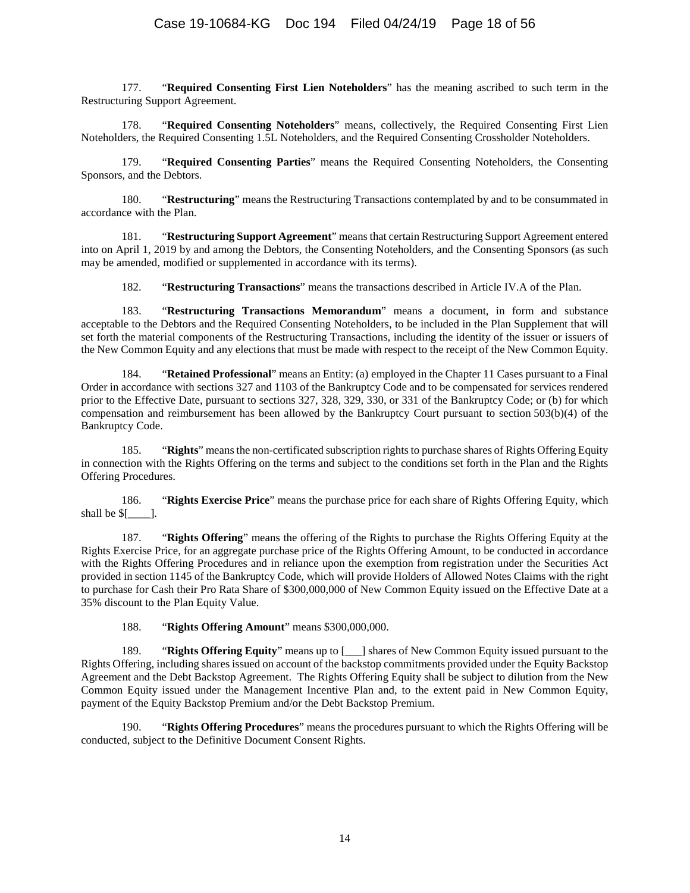177. "**Required Consenting First Lien Noteholders**" has the meaning ascribed to such term in the Restructuring Support Agreement.

178. "**Required Consenting Noteholders**" means, collectively, the Required Consenting First Lien Noteholders, the Required Consenting 1.5L Noteholders, and the Required Consenting Crossholder Noteholders.

179. "**Required Consenting Parties**" means the Required Consenting Noteholders, the Consenting Sponsors, and the Debtors.

180. "**Restructuring**" means the Restructuring Transactions contemplated by and to be consummated in accordance with the Plan.

181. "**Restructuring Support Agreement**" means that certain Restructuring Support Agreement entered into on April 1, 2019 by and among the Debtors, the Consenting Noteholders, and the Consenting Sponsors (as such may be amended, modified or supplemented in accordance with its terms).

182. "**Restructuring Transactions**" means the transactions described i[n Article IV.A](#page-26-0) of the Plan.

183. "**Restructuring Transactions Memorandum**" means a document, in form and substance acceptable to the Debtors and the Required Consenting Noteholders, to be included in the Plan Supplement that will set forth the material components of the Restructuring Transactions, including the identity of the issuer or issuers of the New Common Equity and any elections that must be made with respect to the receipt of the New Common Equity.

184. "**Retained Professional**" means an Entity: (a) employed in the Chapter 11 Cases pursuant to a Final Order in accordance with sections 327 and 1103 of the Bankruptcy Code and to be compensated for services rendered prior to the Effective Date, pursuant to sections 327, 328, 329, 330, or 331 of the Bankruptcy Code; or (b) for which compensation and reimbursement has been allowed by the Bankruptcy Court pursuant to section 503(b)(4) of the Bankruptcy Code.

185. "**Rights**" means the non-certificated subscription rights to purchase shares of Rights Offering Equity in connection with the Rights Offering on the terms and subject to the conditions set forth in the Plan and the Rights Offering Procedures.

186. "**Rights Exercise Price**" means the purchase price for each share of Rights Offering Equity, which shall be  $[$ 

187. "**Rights Offering**" means the offering of the Rights to purchase the Rights Offering Equity at the Rights Exercise Price, for an aggregate purchase price of the Rights Offering Amount, to be conducted in accordance with the Rights Offering Procedures and in reliance upon the exemption from registration under the Securities Act provided in section 1145 of the Bankruptcy Code, which will provide Holders of Allowed Notes Claims with the right to purchase for Cash their Pro Rata Share of \$300,000,000 of New Common Equity issued on the Effective Date at a 35% discount to the Plan Equity Value.

188. "**Rights Offering Amount**" means \$300,000,000.

189. "**Rights Offering Equity**" means up to [\_\_\_] shares of New Common Equity issued pursuant to the Rights Offering, including shares issued on account of the backstop commitments provided under the Equity Backstop Agreement and the Debt Backstop Agreement. The Rights Offering Equity shall be subject to dilution from the New Common Equity issued under the Management Incentive Plan and, to the extent paid in New Common Equity, payment of the Equity Backstop Premium and/or the Debt Backstop Premium.

190. "**Rights Offering Procedures**" means the procedures pursuant to which the Rights Offering will be conducted, subject to the Definitive Document Consent Rights.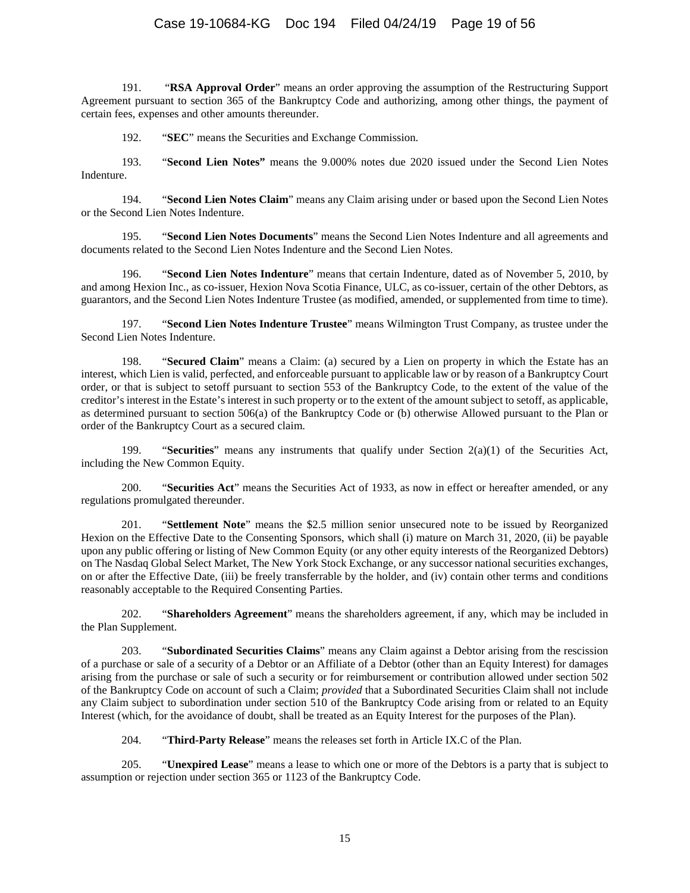# Case 19-10684-KG Doc 194 Filed 04/24/19 Page 19 of 56

191. "**RSA Approval Order**" means an order approving the assumption of the Restructuring Support Agreement pursuant to section 365 of the Bankruptcy Code and authorizing, among other things, the payment of certain fees, expenses and other amounts thereunder.

192. "**SEC**" means the Securities and Exchange Commission.

193. "**Second Lien Notes"** means the 9.000% notes due 2020 issued under the Second Lien Notes Indenture.

194. "**Second Lien Notes Claim**" means any Claim arising under or based upon the Second Lien Notes or the Second Lien Notes Indenture.

195. "**Second Lien Notes Documents**" means the Second Lien Notes Indenture and all agreements and documents related to the Second Lien Notes Indenture and the Second Lien Notes.

196. "**Second Lien Notes Indenture**" means that certain Indenture, dated as of November 5, 2010, by and among Hexion Inc., as co-issuer, Hexion Nova Scotia Finance, ULC, as co-issuer, certain of the other Debtors, as guarantors, and the Second Lien Notes Indenture Trustee (as modified, amended, or supplemented from time to time).

197. "**Second Lien Notes Indenture Trustee**" means Wilmington Trust Company, as trustee under the Second Lien Notes Indenture.

198. "**Secured Claim**" means a Claim: (a) secured by a Lien on property in which the Estate has an interest, which Lien is valid, perfected, and enforceable pursuant to applicable law or by reason of a Bankruptcy Court order, or that is subject to setoff pursuant to section 553 of the Bankruptcy Code, to the extent of the value of the creditor's interest in the Estate's interest in such property or to the extent of the amount subject to setoff, as applicable, as determined pursuant to section 506(a) of the Bankruptcy Code or (b) otherwise Allowed pursuant to the Plan or order of the Bankruptcy Court as a secured claim.

199. "**Securities**" means any instruments that qualify under Section 2(a)(1) of the Securities Act, including the New Common Equity.

200. "**Securities Act**" means the Securities Act of 1933, as now in effect or hereafter amended, or any regulations promulgated thereunder.

201. "**Settlement Note**" means the \$2.5 million senior unsecured note to be issued by Reorganized Hexion on the Effective Date to the Consenting Sponsors, which shall (i) mature on March 31, 2020, (ii) be payable upon any public offering or listing of New Common Equity (or any other equity interests of the Reorganized Debtors) on The Nasdaq Global Select Market, The New York Stock Exchange, or any successor national securities exchanges, on or after the Effective Date, (iii) be freely transferrable by the holder, and (iv) contain other terms and conditions reasonably acceptable to the Required Consenting Parties.

202. "**Shareholders Agreement**" means the shareholders agreement, if any, which may be included in the Plan Supplement.

203. "**Subordinated Securities Claims**" means any Claim against a Debtor arising from the rescission of a purchase or sale of a security of a Debtor or an Affiliate of a Debtor (other than an Equity Interest) for damages arising from the purchase or sale of such a security or for reimbursement or contribution allowed under section 502 of the Bankruptcy Code on account of such a Claim; *provided* that a Subordinated Securities Claim shall not include any Claim subject to subordination under section 510 of the Bankruptcy Code arising from or related to an Equity Interest (which, for the avoidance of doubt, shall be treated as an Equity Interest for the purposes of the Plan).

204. "**Third-Party Release**" means the releases set forth in [Article IX.C](#page-45-1) of the Plan.

205. "**Unexpired Lease**" means a lease to which one or more of the Debtors is a party that is subject to assumption or rejection under section 365 or 1123 of the Bankruptcy Code.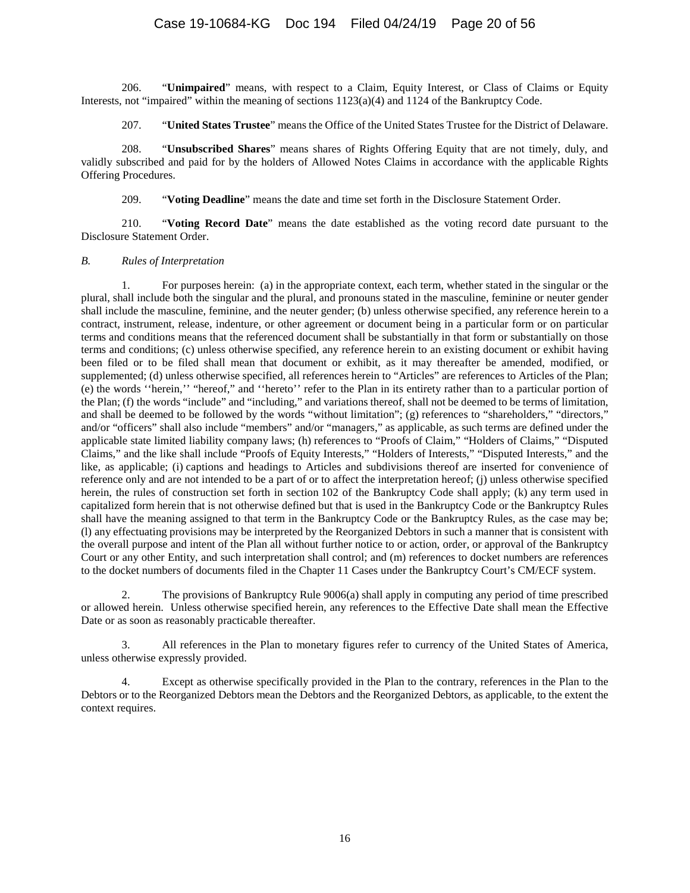206. "**Unimpaired**" means, with respect to a Claim, Equity Interest, or Class of Claims or Equity Interests, not "impaired" within the meaning of sections 1123(a)(4) and 1124 of the Bankruptcy Code.

207. "**United States Trustee**" means the Office of the United States Trustee for the District of Delaware.

208. "**Unsubscribed Shares**" means shares of Rights Offering Equity that are not timely, duly, and validly subscribed and paid for by the holders of Allowed Notes Claims in accordance with the applicable Rights Offering Procedures.

209. "**Voting Deadline**" means the date and time set forth in the Disclosure Statement Order.

210. "**Voting Record Date**" means the date established as the voting record date pursuant to the Disclosure Statement Order.

### *B. Rules of Interpretation*

1. For purposes herein: (a) in the appropriate context, each term, whether stated in the singular or the plural, shall include both the singular and the plural, and pronouns stated in the masculine, feminine or neuter gender shall include the masculine, feminine, and the neuter gender; (b) unless otherwise specified, any reference herein to a contract, instrument, release, indenture, or other agreement or document being in a particular form or on particular terms and conditions means that the referenced document shall be substantially in that form or substantially on those terms and conditions; (c) unless otherwise specified, any reference herein to an existing document or exhibit having been filed or to be filed shall mean that document or exhibit, as it may thereafter be amended, modified, or supplemented; (d) unless otherwise specified, all references herein to "Articles" are references to Articles of the Plan; (e) the words ''herein,'' "hereof," and ''hereto'' refer to the Plan in its entirety rather than to a particular portion of the Plan; (f) the words "include" and "including," and variations thereof, shall not be deemed to be terms of limitation, and shall be deemed to be followed by the words "without limitation"; (g) references to "shareholders," "directors," and/or "officers" shall also include "members" and/or "managers," as applicable, as such terms are defined under the applicable state limited liability company laws; (h) references to "Proofs of Claim," "Holders of Claims," "Disputed Claims," and the like shall include "Proofs of Equity Interests," "Holders of Interests," "Disputed Interests," and the like, as applicable; (i) captions and headings to Articles and subdivisions thereof are inserted for convenience of reference only and are not intended to be a part of or to affect the interpretation hereof; (j) unless otherwise specified herein, the rules of construction set forth in section 102 of the Bankruptcy Code shall apply; (k) any term used in capitalized form herein that is not otherwise defined but that is used in the Bankruptcy Code or the Bankruptcy Rules shall have the meaning assigned to that term in the Bankruptcy Code or the Bankruptcy Rules, as the case may be; (l) any effectuating provisions may be interpreted by the Reorganized Debtors in such a manner that is consistent with the overall purpose and intent of the Plan all without further notice to or action, order, or approval of the Bankruptcy Court or any other Entity, and such interpretation shall control; and (m) references to docket numbers are references to the docket numbers of documents filed in the Chapter 11 Cases under the Bankruptcy Court's CM/ECF system.

2. The provisions of Bankruptcy Rule 9006(a) shall apply in computing any period of time prescribed or allowed herein. Unless otherwise specified herein, any references to the Effective Date shall mean the Effective Date or as soon as reasonably practicable thereafter.

3. All references in the Plan to monetary figures refer to currency of the United States of America, unless otherwise expressly provided.

4. Except as otherwise specifically provided in the Plan to the contrary, references in the Plan to the Debtors or to the Reorganized Debtors mean the Debtors and the Reorganized Debtors, as applicable, to the extent the context requires.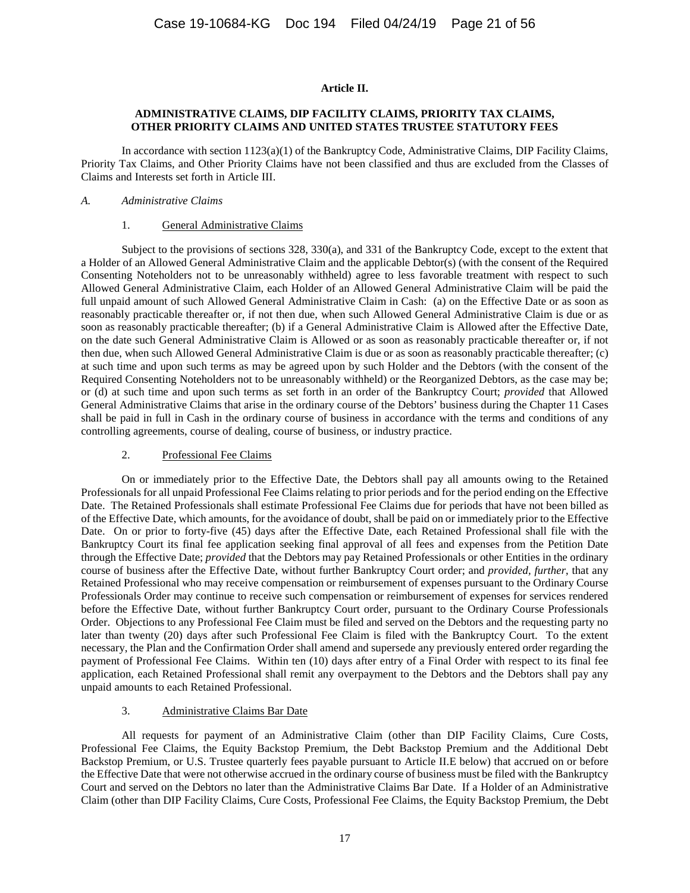### **Article II.**

### **ADMINISTRATIVE CLAIMS, DIP FACILITY CLAIMS, PRIORITY TAX CLAIMS, OTHER PRIORITY CLAIMS AND UNITED STATES TRUSTEE STATUTORY FEES**

<span id="page-20-0"></span>In accordance with section 1123(a)(1) of the Bankruptcy Code, Administrative Claims, DIP Facility Claims, Priority Tax Claims, and Other Priority Claims have not been classified and thus are excluded from the Classes of Claims and Interests set forth in [Article III.](#page-22-0)

#### *A. Administrative Claims*

### 1. General Administrative Claims

Subject to the provisions of sections 328, 330(a), and 331 of the Bankruptcy Code, except to the extent that a Holder of an Allowed General Administrative Claim and the applicable Debtor(s) (with the consent of the Required Consenting Noteholders not to be unreasonably withheld) agree to less favorable treatment with respect to such Allowed General Administrative Claim, each Holder of an Allowed General Administrative Claim will be paid the full unpaid amount of such Allowed General Administrative Claim in Cash: (a) on the Effective Date or as soon as reasonably practicable thereafter or, if not then due, when such Allowed General Administrative Claim is due or as soon as reasonably practicable thereafter; (b) if a General Administrative Claim is Allowed after the Effective Date, on the date such General Administrative Claim is Allowed or as soon as reasonably practicable thereafter or, if not then due, when such Allowed General Administrative Claim is due or as soon as reasonably practicable thereafter; (c) at such time and upon such terms as may be agreed upon by such Holder and the Debtors (with the consent of the Required Consenting Noteholders not to be unreasonably withheld) or the Reorganized Debtors, as the case may be; or (d) at such time and upon such terms as set forth in an order of the Bankruptcy Court; *provided* that Allowed General Administrative Claims that arise in the ordinary course of the Debtors' business during the Chapter 11 Cases shall be paid in full in Cash in the ordinary course of business in accordance with the terms and conditions of any controlling agreements, course of dealing, course of business, or industry practice.

# 2. Professional Fee Claims

On or immediately prior to the Effective Date, the Debtors shall pay all amounts owing to the Retained Professionals for all unpaid Professional Fee Claims relating to prior periods and for the period ending on the Effective Date. The Retained Professionals shall estimate Professional Fee Claims due for periods that have not been billed as of the Effective Date, which amounts, for the avoidance of doubt, shall be paid on or immediately prior to the Effective Date. On or prior to forty-five (45) days after the Effective Date, each Retained Professional shall file with the Bankruptcy Court its final fee application seeking final approval of all fees and expenses from the Petition Date through the Effective Date; *provided* that the Debtors may pay Retained Professionals or other Entities in the ordinary course of business after the Effective Date, without further Bankruptcy Court order; and *provided, further*, that any Retained Professional who may receive compensation or reimbursement of expenses pursuant to the Ordinary Course Professionals Order may continue to receive such compensation or reimbursement of expenses for services rendered before the Effective Date, without further Bankruptcy Court order, pursuant to the Ordinary Course Professionals Order. Objections to any Professional Fee Claim must be filed and served on the Debtors and the requesting party no later than twenty (20) days after such Professional Fee Claim is filed with the Bankruptcy Court. To the extent necessary, the Plan and the Confirmation Order shall amend and supersede any previously entered order regarding the payment of Professional Fee Claims. Within ten (10) days after entry of a Final Order with respect to its final fee application, each Retained Professional shall remit any overpayment to the Debtors and the Debtors shall pay any unpaid amounts to each Retained Professional.

# 3. Administrative Claims Bar Date

All requests for payment of an Administrative Claim (other than DIP Facility Claims, Cure Costs, Professional Fee Claims, the Equity Backstop Premium, the Debt Backstop Premium and the Additional Debt Backstop Premium, or U.S. Trustee quarterly fees payable pursuant to Article II.E below) that accrued on or before the Effective Date that were not otherwise accrued in the ordinary course of business must be filed with the Bankruptcy Court and served on the Debtors no later than the Administrative Claims Bar Date. If a Holder of an Administrative Claim (other than DIP Facility Claims, Cure Costs, Professional Fee Claims, the Equity Backstop Premium, the Debt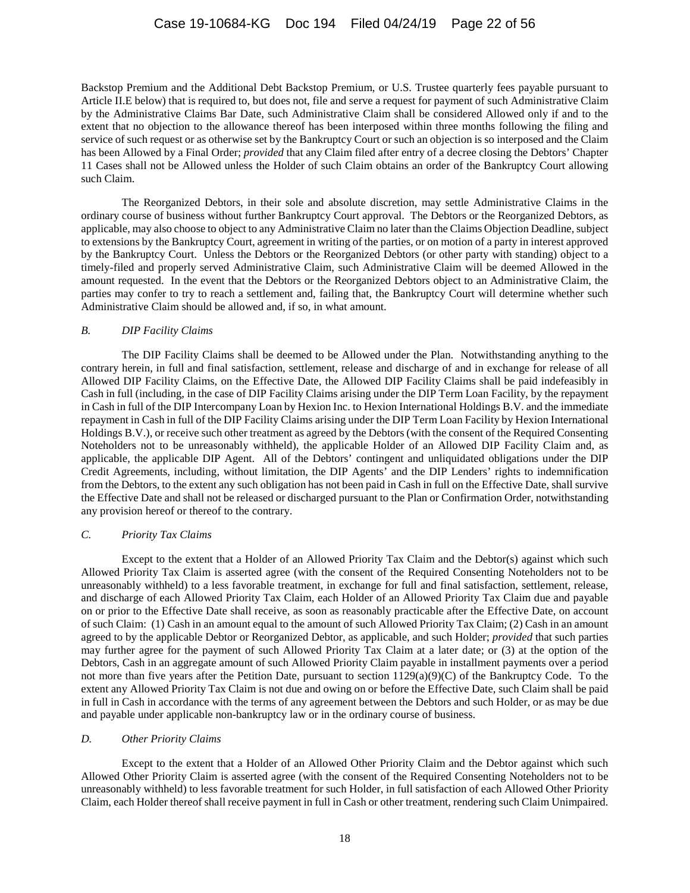Backstop Premium and the Additional Debt Backstop Premium, or U.S. Trustee quarterly fees payable pursuant to Article II.E below) that is required to, but does not, file and serve a request for payment of such Administrative Claim by the Administrative Claims Bar Date, such Administrative Claim shall be considered Allowed only if and to the extent that no objection to the allowance thereof has been interposed within three months following the filing and service of such request or as otherwise set by the Bankruptcy Court or such an objection is so interposed and the Claim has been Allowed by a Final Order; *provided* that any Claim filed after entry of a decree closing the Debtors' Chapter 11 Cases shall not be Allowed unless the Holder of such Claim obtains an order of the Bankruptcy Court allowing such Claim.

The Reorganized Debtors, in their sole and absolute discretion, may settle Administrative Claims in the ordinary course of business without further Bankruptcy Court approval. The Debtors or the Reorganized Debtors, as applicable, may also choose to object to any Administrative Claim no later than the Claims Objection Deadline, subject to extensions by the Bankruptcy Court, agreement in writing of the parties, or on motion of a party in interest approved by the Bankruptcy Court. Unless the Debtors or the Reorganized Debtors (or other party with standing) object to a timely-filed and properly served Administrative Claim, such Administrative Claim will be deemed Allowed in the amount requested. In the event that the Debtors or the Reorganized Debtors object to an Administrative Claim, the parties may confer to try to reach a settlement and, failing that, the Bankruptcy Court will determine whether such Administrative Claim should be allowed and, if so, in what amount.

### *B. DIP Facility Claims*

The DIP Facility Claims shall be deemed to be Allowed under the Plan. Notwithstanding anything to the contrary herein, in full and final satisfaction, settlement, release and discharge of and in exchange for release of all Allowed DIP Facility Claims, on the Effective Date, the Allowed DIP Facility Claims shall be paid indefeasibly in Cash in full (including, in the case of DIP Facility Claims arising under the DIP Term Loan Facility, by the repayment in Cash in full of the DIP Intercompany Loan by Hexion Inc. to Hexion International Holdings B.V. and the immediate repayment in Cash in full of the DIP Facility Claims arising under the DIP Term Loan Facility by Hexion International Holdings B.V.), or receive such other treatment as agreed by the Debtors (with the consent of the Required Consenting Noteholders not to be unreasonably withheld), the applicable Holder of an Allowed DIP Facility Claim and, as applicable, the applicable DIP Agent. All of the Debtors' contingent and unliquidated obligations under the DIP Credit Agreements, including, without limitation, the DIP Agents' and the DIP Lenders' rights to indemnification from the Debtors, to the extent any such obligation has not been paid in Cash in full on the Effective Date, shall survive the Effective Date and shall not be released or discharged pursuant to the Plan or Confirmation Order, notwithstanding any provision hereof or thereof to the contrary.

#### *C. Priority Tax Claims*

Except to the extent that a Holder of an Allowed Priority Tax Claim and the Debtor(s) against which such Allowed Priority Tax Claim is asserted agree (with the consent of the Required Consenting Noteholders not to be unreasonably withheld) to a less favorable treatment, in exchange for full and final satisfaction, settlement, release, and discharge of each Allowed Priority Tax Claim, each Holder of an Allowed Priority Tax Claim due and payable on or prior to the Effective Date shall receive, as soon as reasonably practicable after the Effective Date, on account of such Claim: (1) Cash in an amount equal to the amount of such Allowed Priority Tax Claim; (2) Cash in an amount agreed to by the applicable Debtor or Reorganized Debtor, as applicable, and such Holder; *provided* that such parties may further agree for the payment of such Allowed Priority Tax Claim at a later date; or (3) at the option of the Debtors, Cash in an aggregate amount of such Allowed Priority Claim payable in installment payments over a period not more than five years after the Petition Date, pursuant to section 1129(a)(9)(C) of the Bankruptcy Code. To the extent any Allowed Priority Tax Claim is not due and owing on or before the Effective Date, such Claim shall be paid in full in Cash in accordance with the terms of any agreement between the Debtors and such Holder, or as may be due and payable under applicable non-bankruptcy law or in the ordinary course of business.

#### *D. Other Priority Claims*

Except to the extent that a Holder of an Allowed Other Priority Claim and the Debtor against which such Allowed Other Priority Claim is asserted agree (with the consent of the Required Consenting Noteholders not to be unreasonably withheld) to less favorable treatment for such Holder, in full satisfaction of each Allowed Other Priority Claim, each Holder thereof shall receive payment in full in Cash or other treatment, rendering such Claim Unimpaired.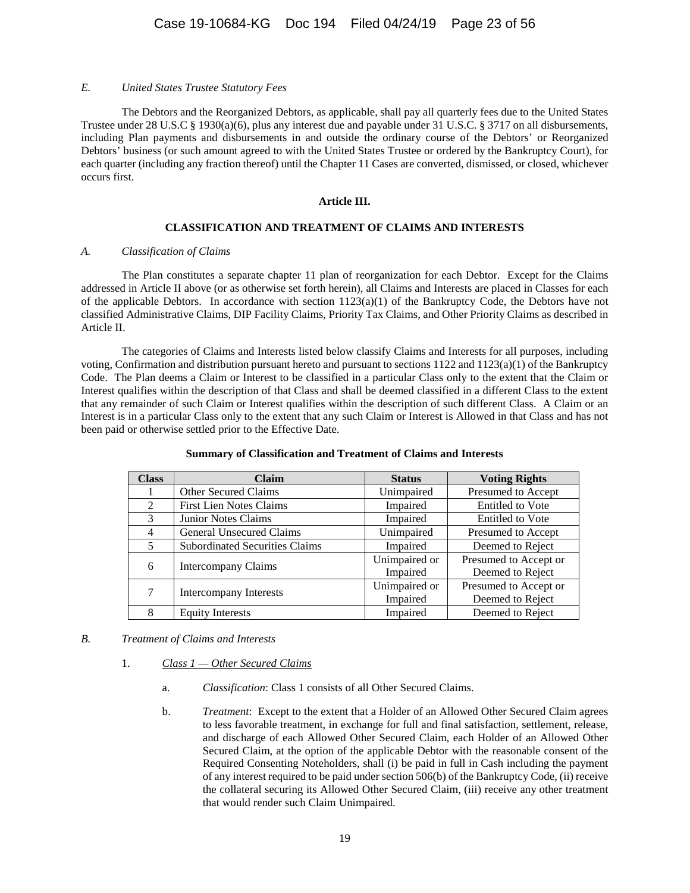#### *E. United States Trustee Statutory Fees*

The Debtors and the Reorganized Debtors, as applicable, shall pay all quarterly fees due to the United States Trustee under 28 U.S.C § 1930(a)(6), plus any interest due and payable under 31 U.S.C. § 3717 on all disbursements, including Plan payments and disbursements in and outside the ordinary course of the Debtors' or Reorganized Debtors' business (or such amount agreed to with the United States Trustee or ordered by the Bankruptcy Court), for each quarter (including any fraction thereof) until the Chapter 11 Cases are converted, dismissed, or closed, whichever occurs first.

#### **Article III.**

# **CLASSIFICATION AND TREATMENT OF CLAIMS AND INTERESTS**

### <span id="page-22-0"></span>*A. Classification of Claims*

The Plan constitutes a separate chapter 11 plan of reorganization for each Debtor. Except for the Claims addressed in [Article II](#page-20-0) above (or as otherwise set forth herein), all Claims and Interests are placed in Classes for each of the applicable Debtors. In accordance with section  $1123(a)(1)$  of the Bankruptcy Code, the Debtors have not classified Administrative Claims, DIP Facility Claims, Priority Tax Claims, and Other Priority Claims as described in [Article II.](#page-20-0)

The categories of Claims and Interests listed below classify Claims and Interests for all purposes, including voting, Confirmation and distribution pursuant hereto and pursuant to sections  $1122$  and  $1123(a)(1)$  of the Bankruptcy Code. The Plan deems a Claim or Interest to be classified in a particular Class only to the extent that the Claim or Interest qualifies within the description of that Class and shall be deemed classified in a different Class to the extent that any remainder of such Claim or Interest qualifies within the description of such different Class. A Claim or an Interest is in a particular Class only to the extent that any such Claim or Interest is Allowed in that Class and has not been paid or otherwise settled prior to the Effective Date.

| <b>Class</b>  | Claim                                 | <b>Status</b> | <b>Voting Rights</b>    |
|---------------|---------------------------------------|---------------|-------------------------|
|               | Other Secured Claims                  | Unimpaired    | Presumed to Accept      |
| $\mathcal{L}$ | <b>First Lien Notes Claims</b>        | Impaired      | <b>Entitled to Vote</b> |
| $\mathcal{F}$ | <b>Junior Notes Claims</b>            | Impaired      | Entitled to Vote        |
| 4             | General Unsecured Claims              | Unimpaired    | Presumed to Accept      |
| 5             | <b>Subordinated Securities Claims</b> | Impaired      | Deemed to Reject        |
| 6             | Intercompany Claims                   | Unimpaired or | Presumed to Accept or   |
|               |                                       | Impaired      | Deemed to Reject        |
|               | <b>Intercompany Interests</b>         | Unimpaired or | Presumed to Accept or   |
|               |                                       | Impaired      | Deemed to Reject        |
| 8             | <b>Equity Interests</b>               | Impaired      | Deemed to Reject        |

# **Summary of Classification and Treatment of Claims and Interests**

# *B. Treatment of Claims and Interests*

# 1. *Class 1 — Other Secured Claims*

- a. *Classification*: Class 1 consists of all Other Secured Claims.
- b. *Treatment*: Except to the extent that a Holder of an Allowed Other Secured Claim agrees to less favorable treatment, in exchange for full and final satisfaction, settlement, release, and discharge of each Allowed Other Secured Claim, each Holder of an Allowed Other Secured Claim, at the option of the applicable Debtor with the reasonable consent of the Required Consenting Noteholders, shall (i) be paid in full in Cash including the payment of any interest required to be paid under section 506(b) of the Bankruptcy Code, (ii) receive the collateral securing its Allowed Other Secured Claim, (iii) receive any other treatment that would render such Claim Unimpaired.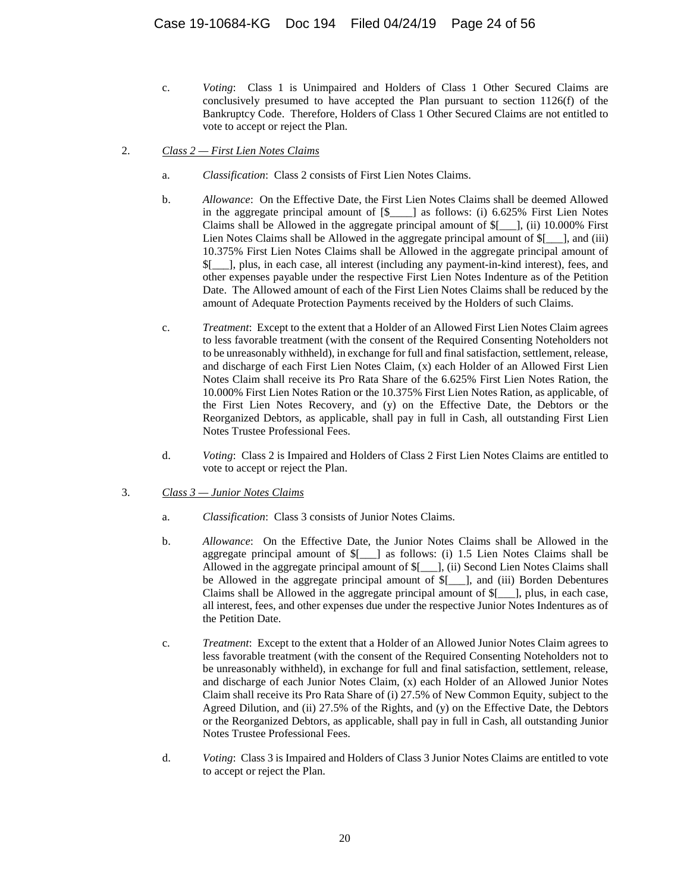- c. *Voting*: Class 1 is Unimpaired and Holders of Class 1 Other Secured Claims are conclusively presumed to have accepted the Plan pursuant to section 1126(f) of the Bankruptcy Code. Therefore, Holders of Class 1 Other Secured Claims are not entitled to vote to accept or reject the Plan.
- 2. *Class 2 — First Lien Notes Claims*
	- a. *Classification*: Class 2 consists of First Lien Notes Claims.
	- b. *Allowance*: On the Effective Date, the First Lien Notes Claims shall be deemed Allowed in the aggregate principal amount of  $[\$$  as follows: (i) 6.625% First Lien Notes Claims shall be Allowed in the aggregate principal amount of  $\[-]$ , (ii) 10.000% First Lien Notes Claims shall be Allowed in the aggregate principal amount of  $[$ 10.375% First Lien Notes Claims shall be Allowed in the aggregate principal amount of \$[\_\_\_], plus, in each case, all interest (including any payment-in-kind interest), fees, and other expenses payable under the respective First Lien Notes Indenture as of the Petition Date. The Allowed amount of each of the First Lien Notes Claims shall be reduced by the amount of Adequate Protection Payments received by the Holders of such Claims.
	- c. *Treatment*: Except to the extent that a Holder of an Allowed First Lien Notes Claim agrees to less favorable treatment (with the consent of the Required Consenting Noteholders not to be unreasonably withheld), in exchange for full and final satisfaction, settlement, release, and discharge of each First Lien Notes Claim, (x) each Holder of an Allowed First Lien Notes Claim shall receive its Pro Rata Share of the 6.625% First Lien Notes Ration, the 10.000% First Lien Notes Ration or the 10.375% First Lien Notes Ration, as applicable, of the First Lien Notes Recovery, and (y) on the Effective Date, the Debtors or the Reorganized Debtors, as applicable, shall pay in full in Cash, all outstanding First Lien Notes Trustee Professional Fees.
	- d. *Voting*: Class 2 is Impaired and Holders of Class 2 First Lien Notes Claims are entitled to vote to accept or reject the Plan.
- 3. *Class 3 — Junior Notes Claims*
	- a. *Classification*: Class 3 consists of Junior Notes Claims.
	- b. *Allowance*: On the Effective Date, the Junior Notes Claims shall be Allowed in the aggregate principal amount of \$[\_\_\_] as follows: (i) 1.5 Lien Notes Claims shall be Allowed in the aggregate principal amount of \$[\_\_\_], (ii) Second Lien Notes Claims shall be Allowed in the aggregate principal amount of  $\frac{1}{2}$  |, and (iii) Borden Debentures Claims shall be Allowed in the aggregate principal amount of \$[\_\_\_], plus, in each case, all interest, fees, and other expenses due under the respective Junior Notes Indentures as of the Petition Date.
	- c. *Treatment*: Except to the extent that a Holder of an Allowed Junior Notes Claim agrees to less favorable treatment (with the consent of the Required Consenting Noteholders not to be unreasonably withheld), in exchange for full and final satisfaction, settlement, release, and discharge of each Junior Notes Claim, (x) each Holder of an Allowed Junior Notes Claim shall receive its Pro Rata Share of (i) 27.5% of New Common Equity, subject to the Agreed Dilution, and (ii) 27.5% of the Rights, and (y) on the Effective Date, the Debtors or the Reorganized Debtors, as applicable, shall pay in full in Cash, all outstanding Junior Notes Trustee Professional Fees.
	- d. *Voting*: Class 3 is Impaired and Holders of Class 3 Junior Notes Claims are entitled to vote to accept or reject the Plan.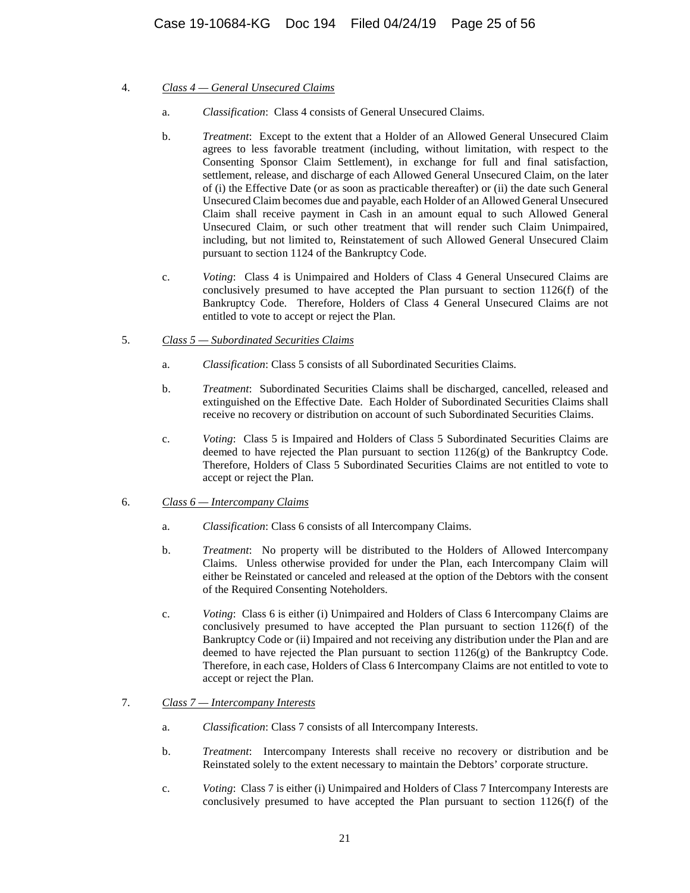- 4. *Class 4 — General Unsecured Claims*
	- a. *Classification*: Class 4 consists of General Unsecured Claims.
	- b. *Treatment*: Except to the extent that a Holder of an Allowed General Unsecured Claim agrees to less favorable treatment (including, without limitation, with respect to the Consenting Sponsor Claim Settlement), in exchange for full and final satisfaction, settlement, release, and discharge of each Allowed General Unsecured Claim, on the later of (i) the Effective Date (or as soon as practicable thereafter) or (ii) the date such General Unsecured Claim becomes due and payable, each Holder of an Allowed General Unsecured Claim shall receive payment in Cash in an amount equal to such Allowed General Unsecured Claim, or such other treatment that will render such Claim Unimpaired, including, but not limited to, Reinstatement of such Allowed General Unsecured Claim pursuant to section 1124 of the Bankruptcy Code.
	- c. *Voting*: Class 4 is Unimpaired and Holders of Class 4 General Unsecured Claims are conclusively presumed to have accepted the Plan pursuant to section 1126(f) of the Bankruptcy Code. Therefore, Holders of Class 4 General Unsecured Claims are not entitled to vote to accept or reject the Plan.
- 5. *Class 5 — Subordinated Securities Claims*
	- a. *Classification*: Class 5 consists of all Subordinated Securities Claims.
	- b. *Treatment*: Subordinated Securities Claims shall be discharged, cancelled, released and extinguished on the Effective Date. Each Holder of Subordinated Securities Claims shall receive no recovery or distribution on account of such Subordinated Securities Claims.
	- c. *Voting*: Class 5 is Impaired and Holders of Class 5 Subordinated Securities Claims are deemed to have rejected the Plan pursuant to section  $1126(g)$  of the Bankruptcy Code. Therefore, Holders of Class 5 Subordinated Securities Claims are not entitled to vote to accept or reject the Plan.
- 6. *Class 6 — Intercompany Claims*
	- a. *Classification*: Class 6 consists of all Intercompany Claims.
	- b. *Treatment*: No property will be distributed to the Holders of Allowed Intercompany Claims. Unless otherwise provided for under the Plan, each Intercompany Claim will either be Reinstated or canceled and released at the option of the Debtors with the consent of the Required Consenting Noteholders.
	- c. *Voting*: Class 6 is either (i) Unimpaired and Holders of Class 6 Intercompany Claims are conclusively presumed to have accepted the Plan pursuant to section 1126(f) of the Bankruptcy Code or (ii) Impaired and not receiving any distribution under the Plan and are deemed to have rejected the Plan pursuant to section  $1126(g)$  of the Bankruptcy Code. Therefore, in each case, Holders of Class 6 Intercompany Claims are not entitled to vote to accept or reject the Plan.

# 7. *Class 7 — Intercompany Interests*

- a. *Classification*: Class 7 consists of all Intercompany Interests.
- b. *Treatment*: Intercompany Interests shall receive no recovery or distribution and be Reinstated solely to the extent necessary to maintain the Debtors' corporate structure.
- c. *Voting*: Class 7 is either (i) Unimpaired and Holders of Class 7 Intercompany Interests are conclusively presumed to have accepted the Plan pursuant to section 1126(f) of the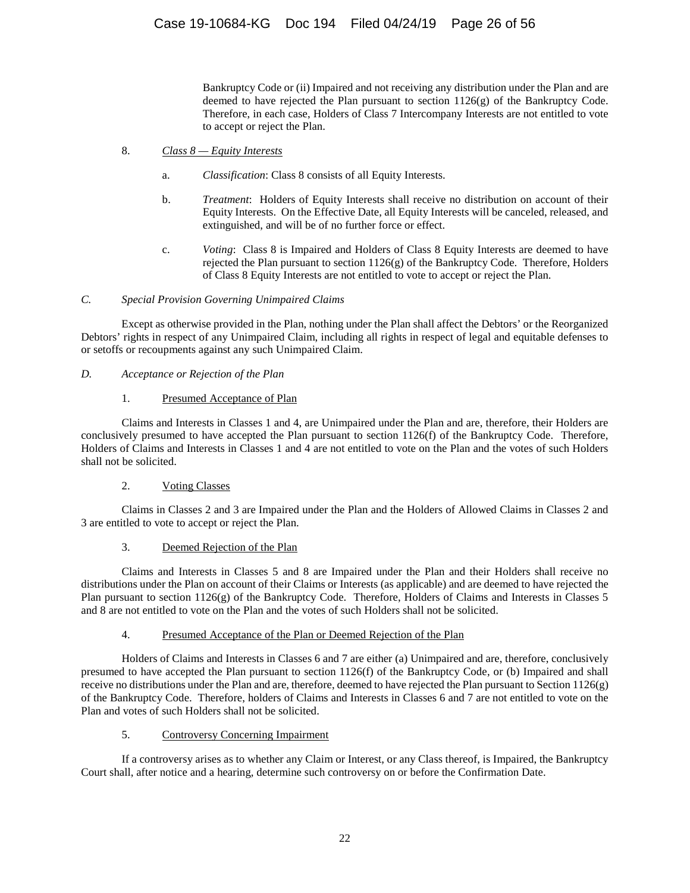Bankruptcy Code or (ii) Impaired and not receiving any distribution under the Plan and are deemed to have rejected the Plan pursuant to section  $1126(g)$  of the Bankruptcy Code. Therefore, in each case, Holders of Class 7 Intercompany Interests are not entitled to vote to accept or reject the Plan.

- 8. *Class 8 — Equity Interests*
	- a. *Classification*: Class 8 consists of all Equity Interests.
	- b. *Treatment*: Holders of Equity Interests shall receive no distribution on account of their Equity Interests. On the Effective Date, all Equity Interests will be canceled, released, and extinguished, and will be of no further force or effect.
	- c. *Voting*: Class 8 is Impaired and Holders of Class 8 Equity Interests are deemed to have rejected the Plan pursuant to section  $1126(g)$  of the Bankruptcy Code. Therefore, Holders of Class 8 Equity Interests are not entitled to vote to accept or reject the Plan.

# *C. Special Provision Governing Unimpaired Claims*

Except as otherwise provided in the Plan, nothing under the Plan shall affect the Debtors' or the Reorganized Debtors' rights in respect of any Unimpaired Claim, including all rights in respect of legal and equitable defenses to or setoffs or recoupments against any such Unimpaired Claim.

*D. Acceptance or Rejection of the Plan*

# 1. Presumed Acceptance of Plan

Claims and Interests in Classes 1 and 4, are Unimpaired under the Plan and are, therefore, their Holders are conclusively presumed to have accepted the Plan pursuant to section 1126(f) of the Bankruptcy Code. Therefore, Holders of Claims and Interests in Classes 1 and 4 are not entitled to vote on the Plan and the votes of such Holders shall not be solicited.

# 2. Voting Classes

Claims in Classes 2 and 3 are Impaired under the Plan and the Holders of Allowed Claims in Classes 2 and 3 are entitled to vote to accept or reject the Plan.

# 3. Deemed Rejection of the Plan

Claims and Interests in Classes 5 and 8 are Impaired under the Plan and their Holders shall receive no distributions under the Plan on account of their Claims or Interests (as applicable) and are deemed to have rejected the Plan pursuant to section 1126(g) of the Bankruptcy Code. Therefore, Holders of Claims and Interests in Classes 5 and 8 are not entitled to vote on the Plan and the votes of such Holders shall not be solicited.

# 4. Presumed Acceptance of the Plan or Deemed Rejection of the Plan

Holders of Claims and Interests in Classes 6 and 7 are either (a) Unimpaired and are, therefore, conclusively presumed to have accepted the Plan pursuant to section 1126(f) of the Bankruptcy Code, or (b) Impaired and shall receive no distributions under the Plan and are, therefore, deemed to have rejected the Plan pursuant to Section 1126(g) of the Bankruptcy Code. Therefore, holders of Claims and Interests in Classes 6 and 7 are not entitled to vote on the Plan and votes of such Holders shall not be solicited.

# 5. Controversy Concerning Impairment

If a controversy arises as to whether any Claim or Interest, or any Class thereof, is Impaired, the Bankruptcy Court shall, after notice and a hearing, determine such controversy on or before the Confirmation Date.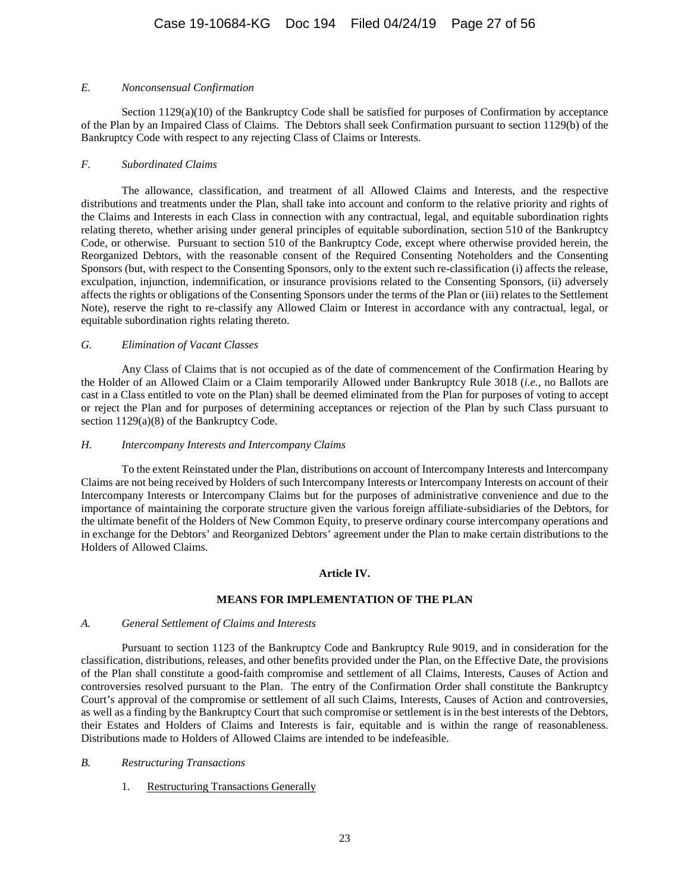### *E. Nonconsensual Confirmation*

Section 1129(a)(10) of the Bankruptcy Code shall be satisfied for purposes of Confirmation by acceptance of the Plan by an Impaired Class of Claims. The Debtors shall seek Confirmation pursuant to section 1129(b) of the Bankruptcy Code with respect to any rejecting Class of Claims or Interests.

### *F. Subordinated Claims*

The allowance, classification, and treatment of all Allowed Claims and Interests, and the respective distributions and treatments under the Plan, shall take into account and conform to the relative priority and rights of the Claims and Interests in each Class in connection with any contractual, legal, and equitable subordination rights relating thereto, whether arising under general principles of equitable subordination, section 510 of the Bankruptcy Code, or otherwise. Pursuant to section 510 of the Bankruptcy Code, except where otherwise provided herein, the Reorganized Debtors, with the reasonable consent of the Required Consenting Noteholders and the Consenting Sponsors (but, with respect to the Consenting Sponsors, only to the extent such re-classification (i) affects the release, exculpation, injunction, indemnification, or insurance provisions related to the Consenting Sponsors, (ii) adversely affects the rights or obligations of the Consenting Sponsors under the terms of the Plan or (iii) relates to the Settlement Note), reserve the right to re-classify any Allowed Claim or Interest in accordance with any contractual, legal, or equitable subordination rights relating thereto.

### *G. Elimination of Vacant Classes*

Any Class of Claims that is not occupied as of the date of commencement of the Confirmation Hearing by the Holder of an Allowed Claim or a Claim temporarily Allowed under Bankruptcy Rule 3018 (*i.e.*, no Ballots are cast in a Class entitled to vote on the Plan) shall be deemed eliminated from the Plan for purposes of voting to accept or reject the Plan and for purposes of determining acceptances or rejection of the Plan by such Class pursuant to section 1129(a)(8) of the Bankruptcy Code.

#### *H. Intercompany Interests and Intercompany Claims*

To the extent Reinstated under the Plan, distributions on account of Intercompany Interests and Intercompany Claims are not being received by Holders of such Intercompany Interests or Intercompany Interests on account of their Intercompany Interests or Intercompany Claims but for the purposes of administrative convenience and due to the importance of maintaining the corporate structure given the various foreign affiliate-subsidiaries of the Debtors, for the ultimate benefit of the Holders of New Common Equity, to preserve ordinary course intercompany operations and in exchange for the Debtors' and Reorganized Debtors' agreement under the Plan to make certain distributions to the Holders of Allowed Claims.

# **Article IV.**

# **MEANS FOR IMPLEMENTATION OF THE PLAN**

# <span id="page-26-0"></span>*A. General Settlement of Claims and Interests*

Pursuant to section 1123 of the Bankruptcy Code and Bankruptcy Rule 9019, and in consideration for the classification, distributions, releases, and other benefits provided under the Plan, on the Effective Date, the provisions of the Plan shall constitute a good-faith compromise and settlement of all Claims, Interests, Causes of Action and controversies resolved pursuant to the Plan. The entry of the Confirmation Order shall constitute the Bankruptcy Court's approval of the compromise or settlement of all such Claims, Interests, Causes of Action and controversies, as well as a finding by the Bankruptcy Court that such compromise or settlement is in the best interests of the Debtors, their Estates and Holders of Claims and Interests is fair, equitable and is within the range of reasonableness. Distributions made to Holders of Allowed Claims are intended to be indefeasible.

# *B. Restructuring Transactions*

1. Restructuring Transactions Generally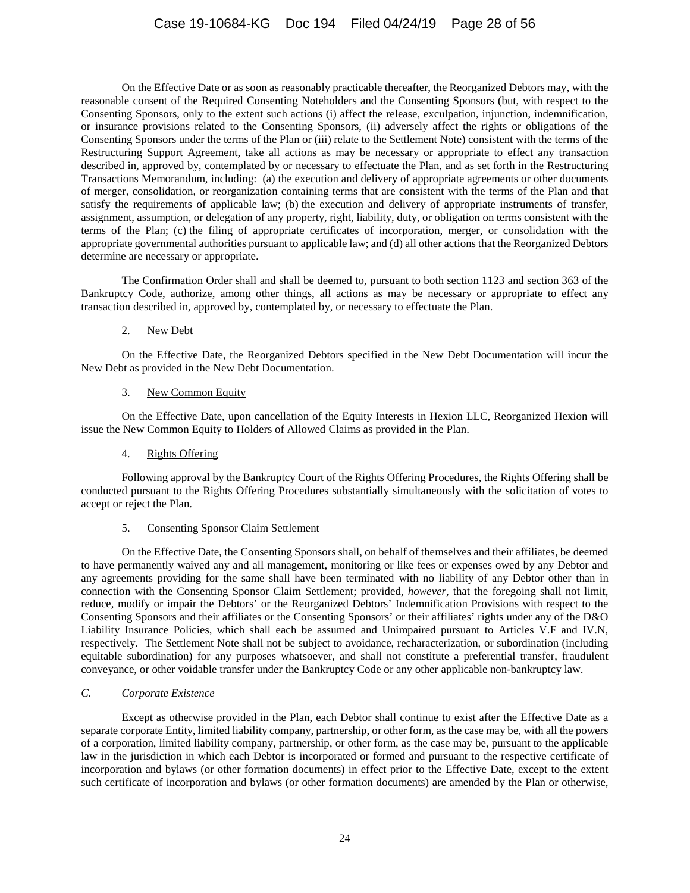On the Effective Date or as soon as reasonably practicable thereafter, the Reorganized Debtors may, with the reasonable consent of the Required Consenting Noteholders and the Consenting Sponsors (but, with respect to the Consenting Sponsors, only to the extent such actions (i) affect the release, exculpation, injunction, indemnification, or insurance provisions related to the Consenting Sponsors, (ii) adversely affect the rights or obligations of the Consenting Sponsors under the terms of the Plan or (iii) relate to the Settlement Note) consistent with the terms of the Restructuring Support Agreement, take all actions as may be necessary or appropriate to effect any transaction described in, approved by, contemplated by or necessary to effectuate the Plan, and as set forth in the Restructuring Transactions Memorandum, including: (a) the execution and delivery of appropriate agreements or other documents of merger, consolidation, or reorganization containing terms that are consistent with the terms of the Plan and that satisfy the requirements of applicable law; (b) the execution and delivery of appropriate instruments of transfer, assignment, assumption, or delegation of any property, right, liability, duty, or obligation on terms consistent with the terms of the Plan; (c) the filing of appropriate certificates of incorporation, merger, or consolidation with the appropriate governmental authorities pursuant to applicable law; and (d) all other actions that the Reorganized Debtors determine are necessary or appropriate.

The Confirmation Order shall and shall be deemed to, pursuant to both section 1123 and section 363 of the Bankruptcy Code, authorize, among other things, all actions as may be necessary or appropriate to effect any transaction described in, approved by, contemplated by, or necessary to effectuate the Plan.

### 2. New Debt

On the Effective Date, the Reorganized Debtors specified in the New Debt Documentation will incur the New Debt as provided in the New Debt Documentation.

#### 3. New Common Equity

On the Effective Date, upon cancellation of the Equity Interests in Hexion LLC, Reorganized Hexion will issue the New Common Equity to Holders of Allowed Claims as provided in the Plan.

# 4. Rights Offering

Following approval by the Bankruptcy Court of the Rights Offering Procedures, the Rights Offering shall be conducted pursuant to the Rights Offering Procedures substantially simultaneously with the solicitation of votes to accept or reject the Plan.

#### 5. Consenting Sponsor Claim Settlement

On the Effective Date, the Consenting Sponsors shall, on behalf of themselves and their affiliates, be deemed to have permanently waived any and all management, monitoring or like fees or expenses owed by any Debtor and any agreements providing for the same shall have been terminated with no liability of any Debtor other than in connection with the Consenting Sponsor Claim Settlement; provided, *however*, that the foregoing shall not limit, reduce, modify or impair the Debtors' or the Reorganized Debtors' Indemnification Provisions with respect to the Consenting Sponsors and their affiliates or the Consenting Sponsors' or their affiliates' rights under any of the D&O Liability Insurance Policies, which shall each be assumed and Unimpaired pursuant to Articles V.F and IV.N, respectively. The Settlement Note shall not be subject to avoidance, recharacterization, or subordination (including equitable subordination) for any purposes whatsoever, and shall not constitute a preferential transfer, fraudulent conveyance, or other voidable transfer under the Bankruptcy Code or any other applicable non-bankruptcy law.

#### *C. Corporate Existence*

Except as otherwise provided in the Plan, each Debtor shall continue to exist after the Effective Date as a separate corporate Entity, limited liability company, partnership, or other form, as the case may be, with all the powers of a corporation, limited liability company, partnership, or other form, as the case may be, pursuant to the applicable law in the jurisdiction in which each Debtor is incorporated or formed and pursuant to the respective certificate of incorporation and bylaws (or other formation documents) in effect prior to the Effective Date, except to the extent such certificate of incorporation and bylaws (or other formation documents) are amended by the Plan or otherwise,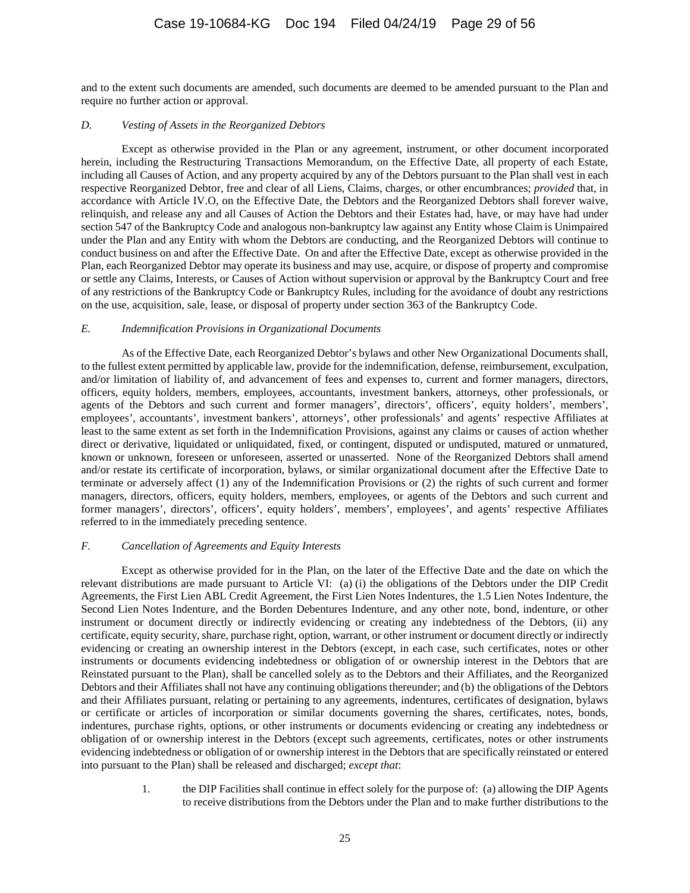and to the extent such documents are amended, such documents are deemed to be amended pursuant to the Plan and require no further action or approval.

# *D. Vesting of Assets in the Reorganized Debtors*

Except as otherwise provided in the Plan or any agreement, instrument, or other document incorporated herein, including the Restructuring Transactions Memorandum, on the Effective Date, all property of each Estate, including all Causes of Action, and any property acquired by any of the Debtors pursuant to the Plan shall vest in each respective Reorganized Debtor, free and clear of all Liens, Claims, charges, or other encumbrances; *provided* that, in accordance with Article IV.O, on the Effective Date, the Debtors and the Reorganized Debtors shall forever waive, relinquish, and release any and all Causes of Action the Debtors and their Estates had, have, or may have had under section 547 of the Bankruptcy Code and analogous non-bankruptcy law against any Entity whose Claim is Unimpaired under the Plan and any Entity with whom the Debtors are conducting, and the Reorganized Debtors will continue to conduct business on and after the Effective Date. On and after the Effective Date, except as otherwise provided in the Plan, each Reorganized Debtor may operate its business and may use, acquire, or dispose of property and compromise or settle any Claims, Interests, or Causes of Action without supervision or approval by the Bankruptcy Court and free of any restrictions of the Bankruptcy Code or Bankruptcy Rules, including for the avoidance of doubt any restrictions on the use, acquisition, sale, lease, or disposal of property under section 363 of the Bankruptcy Code.

#### *E. Indemnification Provisions in Organizational Documents*

As of the Effective Date, each Reorganized Debtor's bylaws and other New Organizational Documents shall, to the fullest extent permitted by applicable law, provide for the indemnification, defense, reimbursement, exculpation, and/or limitation of liability of, and advancement of fees and expenses to, current and former managers, directors, officers, equity holders, members, employees, accountants, investment bankers, attorneys, other professionals, or agents of the Debtors and such current and former managers', directors', officers', equity holders', members', employees', accountants', investment bankers', attorneys', other professionals' and agents' respective Affiliates at least to the same extent as set forth in the Indemnification Provisions, against any claims or causes of action whether direct or derivative, liquidated or unliquidated, fixed, or contingent, disputed or undisputed, matured or unmatured, known or unknown, foreseen or unforeseen, asserted or unasserted. None of the Reorganized Debtors shall amend and/or restate its certificate of incorporation, bylaws, or similar organizational document after the Effective Date to terminate or adversely affect (1) any of the Indemnification Provisions or (2) the rights of such current and former managers, directors, officers, equity holders, members, employees, or agents of the Debtors and such current and former managers', directors', officers', equity holders', members', employees', and agents' respective Affiliates referred to in the immediately preceding sentence.

# *F. Cancellation of Agreements and Equity Interests*

Except as otherwise provided for in the Plan, on the later of the Effective Date and the date on which the relevant distributions are made pursuant to Article VI: (a) (i) the obligations of the Debtors under the DIP Credit Agreements, the First Lien ABL Credit Agreement, the First Lien Notes Indentures, the 1.5 Lien Notes Indenture, the Second Lien Notes Indenture, and the Borden Debentures Indenture, and any other note, bond, indenture, or other instrument or document directly or indirectly evidencing or creating any indebtedness of the Debtors, (ii) any certificate, equity security, share, purchase right, option, warrant, or other instrument or document directly or indirectly evidencing or creating an ownership interest in the Debtors (except, in each case, such certificates, notes or other instruments or documents evidencing indebtedness or obligation of or ownership interest in the Debtors that are Reinstated pursuant to the Plan), shall be cancelled solely as to the Debtors and their Affiliates, and the Reorganized Debtors and their Affiliates shall not have any continuing obligations thereunder; and (b) the obligations of the Debtors and their Affiliates pursuant, relating or pertaining to any agreements, indentures, certificates of designation, bylaws or certificate or articles of incorporation or similar documents governing the shares, certificates, notes, bonds, indentures, purchase rights, options, or other instruments or documents evidencing or creating any indebtedness or obligation of or ownership interest in the Debtors (except such agreements, certificates, notes or other instruments evidencing indebtedness or obligation of or ownership interest in the Debtors that are specifically reinstated or entered into pursuant to the Plan) shall be released and discharged; *except that*:

> 1. the DIP Facilities shall continue in effect solely for the purpose of: (a) allowing the DIP Agents to receive distributions from the Debtors under the Plan and to make further distributions to the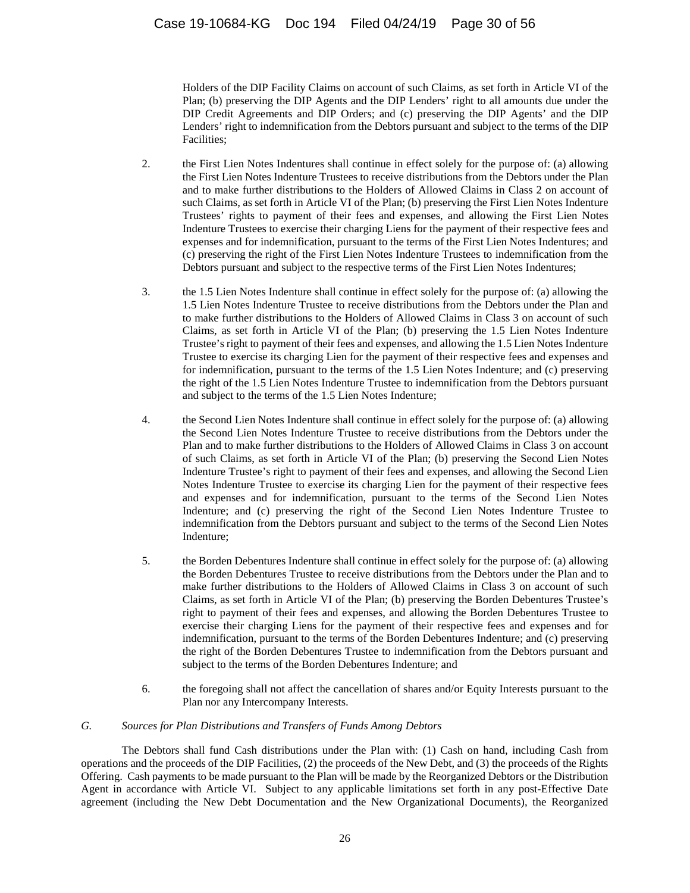Holders of the DIP Facility Claims on account of such Claims, as set forth in Article VI of the Plan; (b) preserving the DIP Agents and the DIP Lenders' right to all amounts due under the DIP Credit Agreements and DIP Orders; and (c) preserving the DIP Agents' and the DIP Lenders' right to indemnification from the Debtors pursuant and subject to the terms of the DIP Facilities;

- 2. the First Lien Notes Indentures shall continue in effect solely for the purpose of: (a) allowing the First Lien Notes Indenture Trustees to receive distributions from the Debtors under the Plan and to make further distributions to the Holders of Allowed Claims in Class 2 on account of such Claims, as set forth i[n Article VI](#page-37-0) of the Plan; (b) preserving the First Lien Notes Indenture Trustees' rights to payment of their fees and expenses, and allowing the First Lien Notes Indenture Trustees to exercise their charging Liens for the payment of their respective fees and expenses and for indemnification, pursuant to the terms of the First Lien Notes Indentures; and (c) preserving the right of the First Lien Notes Indenture Trustees to indemnification from the Debtors pursuant and subject to the respective terms of the First Lien Notes Indentures;
- 3. the 1.5 Lien Notes Indenture shall continue in effect solely for the purpose of: (a) allowing the 1.5 Lien Notes Indenture Trustee to receive distributions from the Debtors under the Plan and to make further distributions to the Holders of Allowed Claims in Class 3 on account of such Claims, as set forth in [Article VI](#page-37-0) of the Plan; (b) preserving the 1.5 Lien Notes Indenture Trustee's right to payment of their fees and expenses, and allowing the 1.5 Lien Notes Indenture Trustee to exercise its charging Lien for the payment of their respective fees and expenses and for indemnification, pursuant to the terms of the 1.5 Lien Notes Indenture; and (c) preserving the right of the 1.5 Lien Notes Indenture Trustee to indemnification from the Debtors pursuant and subject to the terms of the 1.5 Lien Notes Indenture;
- 4. the Second Lien Notes Indenture shall continue in effect solely for the purpose of: (a) allowing the Second Lien Notes Indenture Trustee to receive distributions from the Debtors under the Plan and to make further distributions to the Holders of Allowed Claims in Class 3 on account of such Claims, as set forth in [Article VI](#page-37-0) of the Plan; (b) preserving the Second Lien Notes Indenture Trustee's right to payment of their fees and expenses, and allowing the Second Lien Notes Indenture Trustee to exercise its charging Lien for the payment of their respective fees and expenses and for indemnification, pursuant to the terms of the Second Lien Notes Indenture; and (c) preserving the right of the Second Lien Notes Indenture Trustee to indemnification from the Debtors pursuant and subject to the terms of the Second Lien Notes Indenture;
- 5. the Borden Debentures Indenture shall continue in effect solely for the purpose of: (a) allowing the Borden Debentures Trustee to receive distributions from the Debtors under the Plan and to make further distributions to the Holders of Allowed Claims in Class 3 on account of such Claims, as set forth in [Article VI](#page-37-0) of the Plan; (b) preserving the Borden Debentures Trustee's right to payment of their fees and expenses, and allowing the Borden Debentures Trustee to exercise their charging Liens for the payment of their respective fees and expenses and for indemnification, pursuant to the terms of the Borden Debentures Indenture; and (c) preserving the right of the Borden Debentures Trustee to indemnification from the Debtors pursuant and subject to the terms of the Borden Debentures Indenture; and
- 6. the foregoing shall not affect the cancellation of shares and/or Equity Interests pursuant to the Plan nor any Intercompany Interests.

# *G. Sources for Plan Distributions and Transfers of Funds Among Debtors*

The Debtors shall fund Cash distributions under the Plan with: (1) Cash on hand, including Cash from operations and the proceeds of the DIP Facilities, (2) the proceeds of the New Debt, and (3) the proceeds of the Rights Offering. Cash payments to be made pursuant to the Plan will be made by the Reorganized Debtors or the Distribution Agent in accordance with Article VI. Subject to any applicable limitations set forth in any post-Effective Date agreement (including the New Debt Documentation and the New Organizational Documents), the Reorganized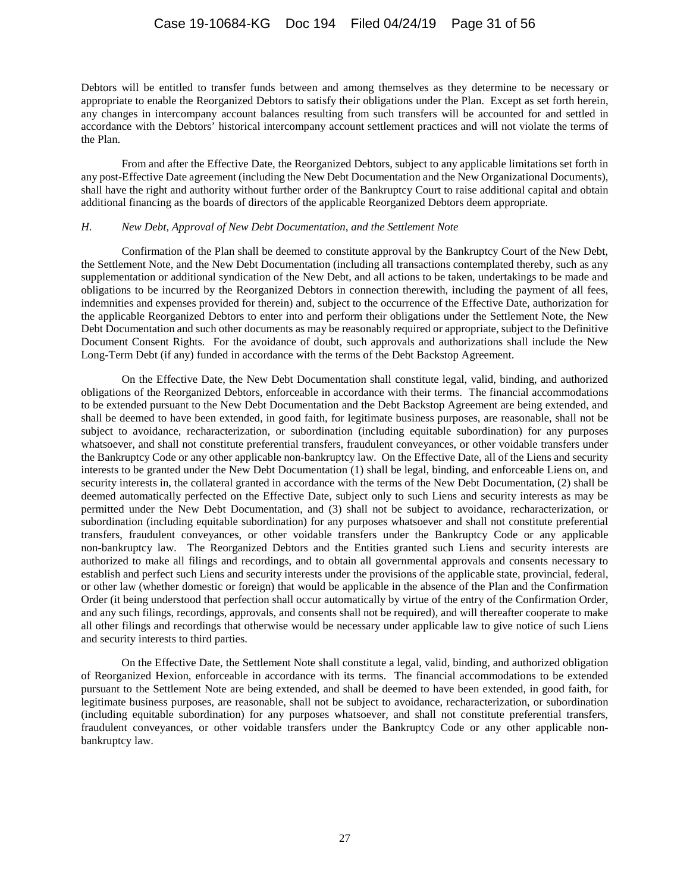Debtors will be entitled to transfer funds between and among themselves as they determine to be necessary or appropriate to enable the Reorganized Debtors to satisfy their obligations under the Plan. Except as set forth herein, any changes in intercompany account balances resulting from such transfers will be accounted for and settled in accordance with the Debtors' historical intercompany account settlement practices and will not violate the terms of the Plan.

From and after the Effective Date, the Reorganized Debtors, subject to any applicable limitations set forth in any post-Effective Date agreement (including the New Debt Documentation and the New Organizational Documents), shall have the right and authority without further order of the Bankruptcy Court to raise additional capital and obtain additional financing as the boards of directors of the applicable Reorganized Debtors deem appropriate.

#### *H. New Debt, Approval of New Debt Documentation, and the Settlement Note*

Confirmation of the Plan shall be deemed to constitute approval by the Bankruptcy Court of the New Debt, the Settlement Note, and the New Debt Documentation (including all transactions contemplated thereby, such as any supplementation or additional syndication of the New Debt, and all actions to be taken, undertakings to be made and obligations to be incurred by the Reorganized Debtors in connection therewith, including the payment of all fees, indemnities and expenses provided for therein) and, subject to the occurrence of the Effective Date, authorization for the applicable Reorganized Debtors to enter into and perform their obligations under the Settlement Note, the New Debt Documentation and such other documents as may be reasonably required or appropriate, subject to the Definitive Document Consent Rights. For the avoidance of doubt, such approvals and authorizations shall include the New Long-Term Debt (if any) funded in accordance with the terms of the Debt Backstop Agreement.

On the Effective Date, the New Debt Documentation shall constitute legal, valid, binding, and authorized obligations of the Reorganized Debtors, enforceable in accordance with their terms. The financial accommodations to be extended pursuant to the New Debt Documentation and the Debt Backstop Agreement are being extended, and shall be deemed to have been extended, in good faith, for legitimate business purposes, are reasonable, shall not be subject to avoidance, recharacterization, or subordination (including equitable subordination) for any purposes whatsoever, and shall not constitute preferential transfers, fraudulent conveyances, or other voidable transfers under the Bankruptcy Code or any other applicable non-bankruptcy law. On the Effective Date, all of the Liens and security interests to be granted under the New Debt Documentation (1) shall be legal, binding, and enforceable Liens on, and security interests in, the collateral granted in accordance with the terms of the New Debt Documentation, (2) shall be deemed automatically perfected on the Effective Date, subject only to such Liens and security interests as may be permitted under the New Debt Documentation, and (3) shall not be subject to avoidance, recharacterization, or subordination (including equitable subordination) for any purposes whatsoever and shall not constitute preferential transfers, fraudulent conveyances, or other voidable transfers under the Bankruptcy Code or any applicable non-bankruptcy law. The Reorganized Debtors and the Entities granted such Liens and security interests are authorized to make all filings and recordings, and to obtain all governmental approvals and consents necessary to establish and perfect such Liens and security interests under the provisions of the applicable state, provincial, federal, or other law (whether domestic or foreign) that would be applicable in the absence of the Plan and the Confirmation Order (it being understood that perfection shall occur automatically by virtue of the entry of the Confirmation Order, and any such filings, recordings, approvals, and consents shall not be required), and will thereafter cooperate to make all other filings and recordings that otherwise would be necessary under applicable law to give notice of such Liens and security interests to third parties.

On the Effective Date, the Settlement Note shall constitute a legal, valid, binding, and authorized obligation of Reorganized Hexion, enforceable in accordance with its terms. The financial accommodations to be extended pursuant to the Settlement Note are being extended, and shall be deemed to have been extended, in good faith, for legitimate business purposes, are reasonable, shall not be subject to avoidance, recharacterization, or subordination (including equitable subordination) for any purposes whatsoever, and shall not constitute preferential transfers, fraudulent conveyances, or other voidable transfers under the Bankruptcy Code or any other applicable nonbankruptcy law.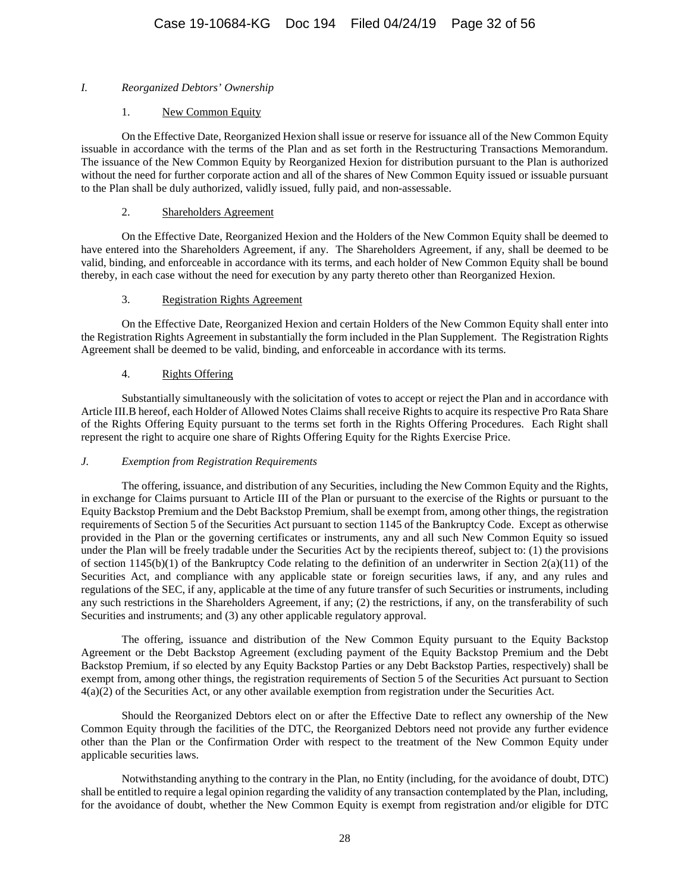# *I. Reorganized Debtors' Ownership*

# 1. New Common Equity

On the Effective Date, Reorganized Hexion shall issue or reserve for issuance all of the New Common Equity issuable in accordance with the terms of the Plan and as set forth in the Restructuring Transactions Memorandum. The issuance of the New Common Equity by Reorganized Hexion for distribution pursuant to the Plan is authorized without the need for further corporate action and all of the shares of New Common Equity issued or issuable pursuant to the Plan shall be duly authorized, validly issued, fully paid, and non-assessable.

# 2. Shareholders Agreement

On the Effective Date, Reorganized Hexion and the Holders of the New Common Equity shall be deemed to have entered into the Shareholders Agreement, if any. The Shareholders Agreement, if any, shall be deemed to be valid, binding, and enforceable in accordance with its terms, and each holder of New Common Equity shall be bound thereby, in each case without the need for execution by any party thereto other than Reorganized Hexion.

# 3. Registration Rights Agreement

On the Effective Date, Reorganized Hexion and certain Holders of the New Common Equity shall enter into the Registration Rights Agreement in substantially the form included in the Plan Supplement. The Registration Rights Agreement shall be deemed to be valid, binding, and enforceable in accordance with its terms.

# 4. Rights Offering

Substantially simultaneously with the solicitation of votes to accept or reject the Plan and in accordance with Article III.B hereof, each Holder of Allowed Notes Claims shall receive Rights to acquire its respective Pro Rata Share of the Rights Offering Equity pursuant to the terms set forth in the Rights Offering Procedures. Each Right shall represent the right to acquire one share of Rights Offering Equity for the Rights Exercise Price.

# *J. Exemption from Registration Requirements*

The offering, issuance, and distribution of any Securities, including the New Common Equity and the Rights, in exchange for Claims pursuant to Article III of the Plan or pursuant to the exercise of the Rights or pursuant to the Equity Backstop Premium and the Debt Backstop Premium, shall be exempt from, among other things, the registration requirements of Section 5 of the Securities Act pursuant to section 1145 of the Bankruptcy Code. Except as otherwise provided in the Plan or the governing certificates or instruments, any and all such New Common Equity so issued under the Plan will be freely tradable under the Securities Act by the recipients thereof, subject to: (1) the provisions of section  $1145(b)(1)$  of the Bankruptcy Code relating to the definition of an underwriter in Section  $2(a)(11)$  of the Securities Act, and compliance with any applicable state or foreign securities laws, if any, and any rules and regulations of the SEC, if any, applicable at the time of any future transfer of such Securities or instruments, including any such restrictions in the Shareholders Agreement, if any; (2) the restrictions, if any, on the transferability of such Securities and instruments; and (3) any other applicable regulatory approval.

The offering, issuance and distribution of the New Common Equity pursuant to the Equity Backstop Agreement or the Debt Backstop Agreement (excluding payment of the Equity Backstop Premium and the Debt Backstop Premium, if so elected by any Equity Backstop Parties or any Debt Backstop Parties, respectively) shall be exempt from, among other things, the registration requirements of Section 5 of the Securities Act pursuant to Section 4(a)(2) of the Securities Act, or any other available exemption from registration under the Securities Act.

Should the Reorganized Debtors elect on or after the Effective Date to reflect any ownership of the New Common Equity through the facilities of the DTC, the Reorganized Debtors need not provide any further evidence other than the Plan or the Confirmation Order with respect to the treatment of the New Common Equity under applicable securities laws.

Notwithstanding anything to the contrary in the Plan, no Entity (including, for the avoidance of doubt, DTC) shall be entitled to require a legal opinion regarding the validity of any transaction contemplated by the Plan, including, for the avoidance of doubt, whether the New Common Equity is exempt from registration and/or eligible for DTC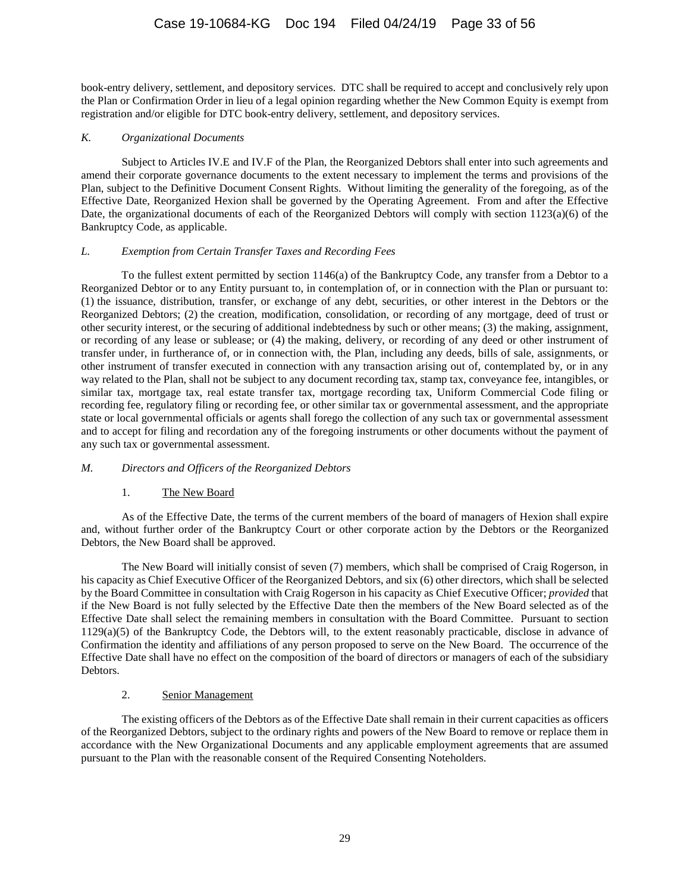book-entry delivery, settlement, and depository services. DTC shall be required to accept and conclusively rely upon the Plan or Confirmation Order in lieu of a legal opinion regarding whether the New Common Equity is exempt from registration and/or eligible for DTC book-entry delivery, settlement, and depository services.

### *K. Organizational Documents*

Subject to Articles IV.E and IV.F of the Plan, the Reorganized Debtors shall enter into such agreements and amend their corporate governance documents to the extent necessary to implement the terms and provisions of the Plan, subject to the Definitive Document Consent Rights. Without limiting the generality of the foregoing, as of the Effective Date, Reorganized Hexion shall be governed by the Operating Agreement. From and after the Effective Date, the organizational documents of each of the Reorganized Debtors will comply with section 1123(a)(6) of the Bankruptcy Code, as applicable.

### *L. Exemption from Certain Transfer Taxes and Recording Fees*

To the fullest extent permitted by section 1146(a) of the Bankruptcy Code, any transfer from a Debtor to a Reorganized Debtor or to any Entity pursuant to, in contemplation of, or in connection with the Plan or pursuant to: (1) the issuance, distribution, transfer, or exchange of any debt, securities, or other interest in the Debtors or the Reorganized Debtors; (2) the creation, modification, consolidation, or recording of any mortgage, deed of trust or other security interest, or the securing of additional indebtedness by such or other means; (3) the making, assignment, or recording of any lease or sublease; or (4) the making, delivery, or recording of any deed or other instrument of transfer under, in furtherance of, or in connection with, the Plan, including any deeds, bills of sale, assignments, or other instrument of transfer executed in connection with any transaction arising out of, contemplated by, or in any way related to the Plan, shall not be subject to any document recording tax, stamp tax, conveyance fee, intangibles, or similar tax, mortgage tax, real estate transfer tax, mortgage recording tax, Uniform Commercial Code filing or recording fee, regulatory filing or recording fee, or other similar tax or governmental assessment, and the appropriate state or local governmental officials or agents shall forego the collection of any such tax or governmental assessment and to accept for filing and recordation any of the foregoing instruments or other documents without the payment of any such tax or governmental assessment.

# *M. Directors and Officers of the Reorganized Debtors*

# 1. The New Board

As of the Effective Date, the terms of the current members of the board of managers of Hexion shall expire and, without further order of the Bankruptcy Court or other corporate action by the Debtors or the Reorganized Debtors, the New Board shall be approved.

The New Board will initially consist of seven (7) members, which shall be comprised of Craig Rogerson, in his capacity as Chief Executive Officer of the Reorganized Debtors, and six (6) other directors, which shall be selected by the Board Committee in consultation with Craig Rogerson in his capacity as Chief Executive Officer; *provided* that if the New Board is not fully selected by the Effective Date then the members of the New Board selected as of the Effective Date shall select the remaining members in consultation with the Board Committee. Pursuant to section 1129(a)(5) of the Bankruptcy Code, the Debtors will, to the extent reasonably practicable, disclose in advance of Confirmation the identity and affiliations of any person proposed to serve on the New Board. The occurrence of the Effective Date shall have no effect on the composition of the board of directors or managers of each of the subsidiary Debtors.

# 2. Senior Management

The existing officers of the Debtors as of the Effective Date shall remain in their current capacities as officers of the Reorganized Debtors, subject to the ordinary rights and powers of the New Board to remove or replace them in accordance with the New Organizational Documents and any applicable employment agreements that are assumed pursuant to the Plan with the reasonable consent of the Required Consenting Noteholders.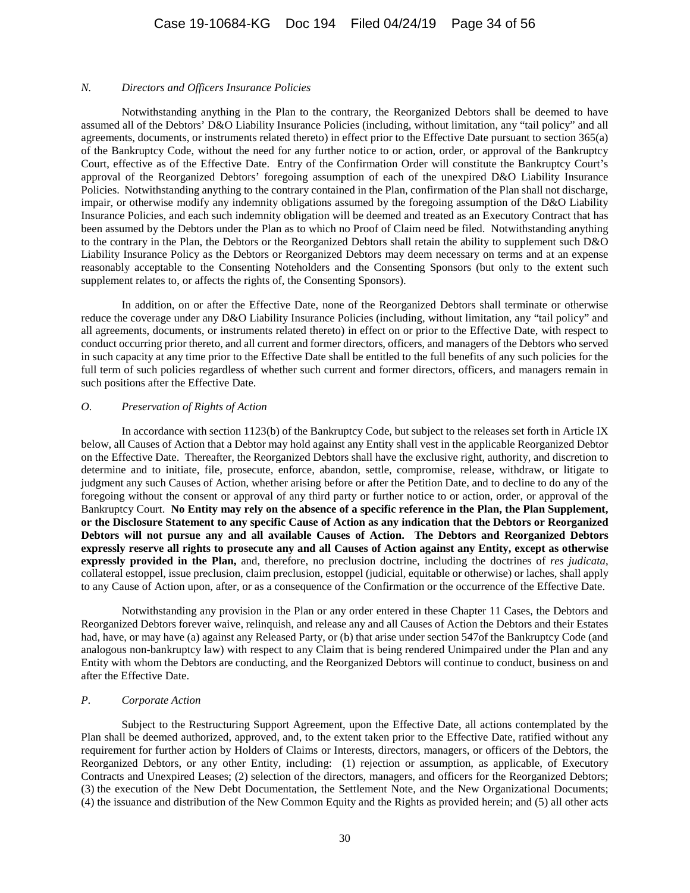#### *N. Directors and Officers Insurance Policies*

Notwithstanding anything in the Plan to the contrary, the Reorganized Debtors shall be deemed to have assumed all of the Debtors' D&O Liability Insurance Policies (including, without limitation, any "tail policy" and all agreements, documents, or instruments related thereto) in effect prior to the Effective Date pursuant to section 365(a) of the Bankruptcy Code, without the need for any further notice to or action, order, or approval of the Bankruptcy Court, effective as of the Effective Date. Entry of the Confirmation Order will constitute the Bankruptcy Court's approval of the Reorganized Debtors' foregoing assumption of each of the unexpired D&O Liability Insurance Policies. Notwithstanding anything to the contrary contained in the Plan, confirmation of the Plan shall not discharge, impair, or otherwise modify any indemnity obligations assumed by the foregoing assumption of the D&O Liability Insurance Policies, and each such indemnity obligation will be deemed and treated as an Executory Contract that has been assumed by the Debtors under the Plan as to which no Proof of Claim need be filed. Notwithstanding anything to the contrary in the Plan, the Debtors or the Reorganized Debtors shall retain the ability to supplement such D&O Liability Insurance Policy as the Debtors or Reorganized Debtors may deem necessary on terms and at an expense reasonably acceptable to the Consenting Noteholders and the Consenting Sponsors (but only to the extent such supplement relates to, or affects the rights of, the Consenting Sponsors).

In addition, on or after the Effective Date, none of the Reorganized Debtors shall terminate or otherwise reduce the coverage under any D&O Liability Insurance Policies (including, without limitation, any "tail policy" and all agreements, documents, or instruments related thereto) in effect on or prior to the Effective Date, with respect to conduct occurring prior thereto, and all current and former directors, officers, and managers of the Debtors who served in such capacity at any time prior to the Effective Date shall be entitled to the full benefits of any such policies for the full term of such policies regardless of whether such current and former directors, officers, and managers remain in such positions after the Effective Date.

#### *O. Preservation of Rights of Action*

In accordance with section 1123(b) of the Bankruptcy Code, but subject to the releases set forth i[n Article IX](#page-44-0) below, all Causes of Action that a Debtor may hold against any Entity shall vest in the applicable Reorganized Debtor on the Effective Date. Thereafter, the Reorganized Debtors shall have the exclusive right, authority, and discretion to determine and to initiate, file, prosecute, enforce, abandon, settle, compromise, release, withdraw, or litigate to judgment any such Causes of Action, whether arising before or after the Petition Date, and to decline to do any of the foregoing without the consent or approval of any third party or further notice to or action, order, or approval of the Bankruptcy Court. **No Entity may rely on the absence of a specific reference in the Plan, the Plan Supplement, or the Disclosure Statement to any specific Cause of Action as any indication that the Debtors or Reorganized Debtors will not pursue any and all available Causes of Action. The Debtors and Reorganized Debtors expressly reserve all rights to prosecute any and all Causes of Action against any Entity, except as otherwise expressly provided in the Plan,** and, therefore, no preclusion doctrine, including the doctrines of *res judicata*, collateral estoppel, issue preclusion, claim preclusion, estoppel (judicial, equitable or otherwise) or laches, shall apply to any Cause of Action upon, after, or as a consequence of the Confirmation or the occurrence of the Effective Date.

Notwithstanding any provision in the Plan or any order entered in these Chapter 11 Cases, the Debtors and Reorganized Debtors forever waive, relinquish, and release any and all Causes of Action the Debtors and their Estates had, have, or may have (a) against any Released Party, or (b) that arise under section 547of the Bankruptcy Code (and analogous non-bankruptcy law) with respect to any Claim that is being rendered Unimpaired under the Plan and any Entity with whom the Debtors are conducting, and the Reorganized Debtors will continue to conduct, business on and after the Effective Date.

#### <span id="page-33-0"></span>*P. Corporate Action*

Subject to the Restructuring Support Agreement, upon the Effective Date, all actions contemplated by the Plan shall be deemed authorized, approved, and, to the extent taken prior to the Effective Date, ratified without any requirement for further action by Holders of Claims or Interests, directors, managers, or officers of the Debtors, the Reorganized Debtors, or any other Entity, including: (1) rejection or assumption, as applicable, of Executory Contracts and Unexpired Leases; (2) selection of the directors, managers, and officers for the Reorganized Debtors; (3) the execution of the New Debt Documentation, the Settlement Note, and the New Organizational Documents; (4) the issuance and distribution of the New Common Equity and the Rights as provided herein; and (5) all other acts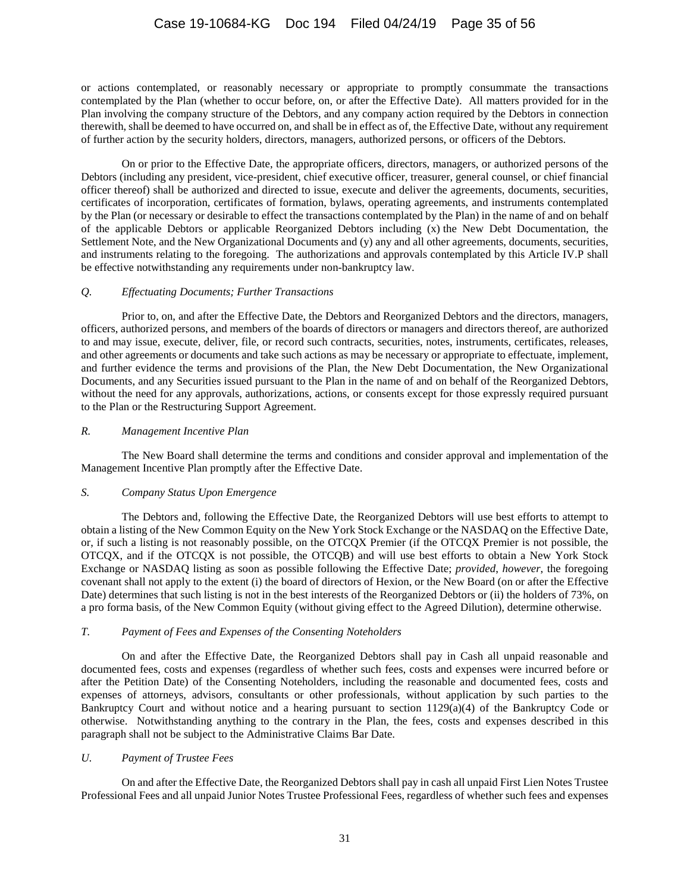or actions contemplated, or reasonably necessary or appropriate to promptly consummate the transactions contemplated by the Plan (whether to occur before, on, or after the Effective Date). All matters provided for in the Plan involving the company structure of the Debtors, and any company action required by the Debtors in connection therewith, shall be deemed to have occurred on, and shall be in effect as of, the Effective Date, without any requirement of further action by the security holders, directors, managers, authorized persons, or officers of the Debtors.

On or prior to the Effective Date, the appropriate officers, directors, managers, or authorized persons of the Debtors (including any president, vice-president, chief executive officer, treasurer, general counsel, or chief financial officer thereof) shall be authorized and directed to issue, execute and deliver the agreements, documents, securities, certificates of incorporation, certificates of formation, bylaws, operating agreements, and instruments contemplated by the Plan (or necessary or desirable to effect the transactions contemplated by the Plan) in the name of and on behalf of the applicable Debtors or applicable Reorganized Debtors including (x) the New Debt Documentation, the Settlement Note, and the New Organizational Documents and (y) any and all other agreements, documents, securities, and instruments relating to the foregoing. The authorizations and approvals contemplated by this [Article IV.P](#page-33-0) shall be effective notwithstanding any requirements under non-bankruptcy law.

### *Q. Effectuating Documents; Further Transactions*

Prior to, on, and after the Effective Date, the Debtors and Reorganized Debtors and the directors, managers, officers, authorized persons, and members of the boards of directors or managers and directors thereof, are authorized to and may issue, execute, deliver, file, or record such contracts, securities, notes, instruments, certificates, releases, and other agreements or documents and take such actions as may be necessary or appropriate to effectuate, implement, and further evidence the terms and provisions of the Plan, the New Debt Documentation, the New Organizational Documents, and any Securities issued pursuant to the Plan in the name of and on behalf of the Reorganized Debtors, without the need for any approvals, authorizations, actions, or consents except for those expressly required pursuant to the Plan or the Restructuring Support Agreement.

#### *R. Management Incentive Plan*

The New Board shall determine the terms and conditions and consider approval and implementation of the Management Incentive Plan promptly after the Effective Date.

#### *S. Company Status Upon Emergence*

The Debtors and, following the Effective Date, the Reorganized Debtors will use best efforts to attempt to obtain a listing of the New Common Equity on the New York Stock Exchange or the NASDAQ on the Effective Date, or, if such a listing is not reasonably possible, on the OTCQX Premier (if the OTCQX Premier is not possible, the OTCQX, and if the OTCQX is not possible, the OTCQB) and will use best efforts to obtain a New York Stock Exchange or NASDAQ listing as soon as possible following the Effective Date; *provided*, *however*, the foregoing covenant shall not apply to the extent (i) the board of directors of Hexion, or the New Board (on or after the Effective Date) determines that such listing is not in the best interests of the Reorganized Debtors or (ii) the holders of 73%, on a pro forma basis, of the New Common Equity (without giving effect to the Agreed Dilution), determine otherwise.

# *T. Payment of Fees and Expenses of the Consenting Noteholders*

On and after the Effective Date, the Reorganized Debtors shall pay in Cash all unpaid reasonable and documented fees, costs and expenses (regardless of whether such fees, costs and expenses were incurred before or after the Petition Date) of the Consenting Noteholders, including the reasonable and documented fees, costs and expenses of attorneys, advisors, consultants or other professionals, without application by such parties to the Bankruptcy Court and without notice and a hearing pursuant to section  $1129(a)(4)$  of the Bankruptcy Code or otherwise. Notwithstanding anything to the contrary in the Plan, the fees, costs and expenses described in this paragraph shall not be subject to the Administrative Claims Bar Date.

#### *U. Payment of Trustee Fees*

On and after the Effective Date, the Reorganized Debtors shall pay in cash all unpaid First Lien Notes Trustee Professional Fees and all unpaid Junior Notes Trustee Professional Fees, regardless of whether such fees and expenses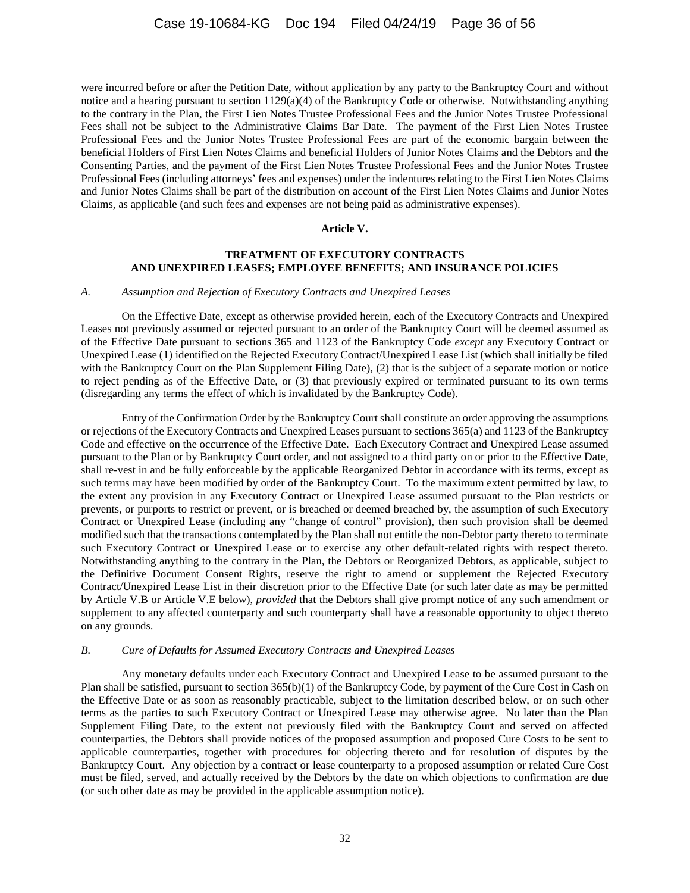were incurred before or after the Petition Date, without application by any party to the Bankruptcy Court and without notice and a hearing pursuant to section 1129(a)(4) of the Bankruptcy Code or otherwise. Notwithstanding anything to the contrary in the Plan, the First Lien Notes Trustee Professional Fees and the Junior Notes Trustee Professional Fees shall not be subject to the Administrative Claims Bar Date. The payment of the First Lien Notes Trustee Professional Fees and the Junior Notes Trustee Professional Fees are part of the economic bargain between the beneficial Holders of First Lien Notes Claims and beneficial Holders of Junior Notes Claims and the Debtors and the Consenting Parties, and the payment of the First Lien Notes Trustee Professional Fees and the Junior Notes Trustee Professional Fees (including attorneys' fees and expenses) under the indentures relating to the First Lien Notes Claims and Junior Notes Claims shall be part of the distribution on account of the First Lien Notes Claims and Junior Notes Claims, as applicable (and such fees and expenses are not being paid as administrative expenses).

#### **Article V.**

#### **TREATMENT OF EXECUTORY CONTRACTS AND UNEXPIRED LEASES; EMPLOYEE BENEFITS; AND INSURANCE POLICIES**

#### *A. Assumption and Rejection of Executory Contracts and Unexpired Leases*

On the Effective Date, except as otherwise provided herein, each of the Executory Contracts and Unexpired Leases not previously assumed or rejected pursuant to an order of the Bankruptcy Court will be deemed assumed as of the Effective Date pursuant to sections 365 and 1123 of the Bankruptcy Code *except* any Executory Contract or Unexpired Lease (1) identified on the Rejected Executory Contract/Unexpired Lease List (which shall initially be filed with the Bankruptcy Court on the Plan Supplement Filing Date), (2) that is the subject of a separate motion or notice to reject pending as of the Effective Date, or (3) that previously expired or terminated pursuant to its own terms (disregarding any terms the effect of which is invalidated by the Bankruptcy Code).

Entry of the Confirmation Order by the Bankruptcy Court shall constitute an order approving the assumptions or rejections of the Executory Contracts and Unexpired Leases pursuant to sections 365(a) and 1123 of the Bankruptcy Code and effective on the occurrence of the Effective Date. Each Executory Contract and Unexpired Lease assumed pursuant to the Plan or by Bankruptcy Court order, and not assigned to a third party on or prior to the Effective Date, shall re-vest in and be fully enforceable by the applicable Reorganized Debtor in accordance with its terms, except as such terms may have been modified by order of the Bankruptcy Court. To the maximum extent permitted by law, to the extent any provision in any Executory Contract or Unexpired Lease assumed pursuant to the Plan restricts or prevents, or purports to restrict or prevent, or is breached or deemed breached by, the assumption of such Executory Contract or Unexpired Lease (including any "change of control" provision), then such provision shall be deemed modified such that the transactions contemplated by the Plan shall not entitle the non-Debtor party thereto to terminate such Executory Contract or Unexpired Lease or to exercise any other default-related rights with respect thereto. Notwithstanding anything to the contrary in the Plan, the Debtors or Reorganized Debtors, as applicable, subject to the Definitive Document Consent Rights, reserve the right to amend or supplement the Rejected Executory Contract/Unexpired Lease List in their discretion prior to the Effective Date (or such later date as may be permitted by Article V.B or Article V.E below), *provided* that the Debtors shall give prompt notice of any such amendment or supplement to any affected counterparty and such counterparty shall have a reasonable opportunity to object thereto on any grounds.

### *B. Cure of Defaults for Assumed Executory Contracts and Unexpired Leases*

Any monetary defaults under each Executory Contract and Unexpired Lease to be assumed pursuant to the Plan shall be satisfied, pursuant to section 365(b)(1) of the Bankruptcy Code, by payment of the Cure Cost in Cash on the Effective Date or as soon as reasonably practicable, subject to the limitation described below, or on such other terms as the parties to such Executory Contract or Unexpired Lease may otherwise agree. No later than the Plan Supplement Filing Date, to the extent not previously filed with the Bankruptcy Court and served on affected counterparties, the Debtors shall provide notices of the proposed assumption and proposed Cure Costs to be sent to applicable counterparties, together with procedures for objecting thereto and for resolution of disputes by the Bankruptcy Court. Any objection by a contract or lease counterparty to a proposed assumption or related Cure Cost must be filed, served, and actually received by the Debtors by the date on which objections to confirmation are due (or such other date as may be provided in the applicable assumption notice).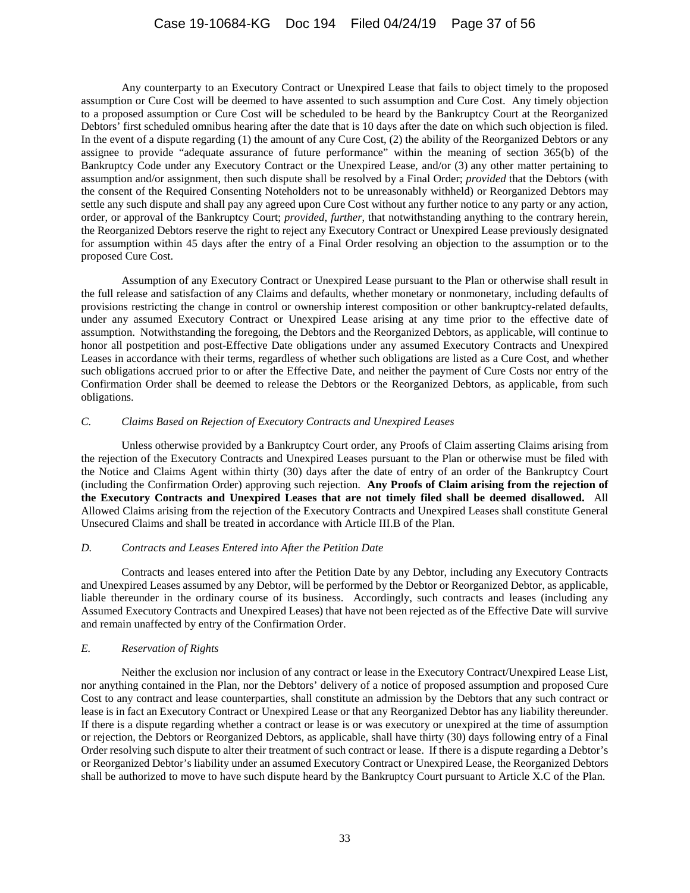Any counterparty to an Executory Contract or Unexpired Lease that fails to object timely to the proposed assumption or Cure Cost will be deemed to have assented to such assumption and Cure Cost. Any timely objection to a proposed assumption or Cure Cost will be scheduled to be heard by the Bankruptcy Court at the Reorganized Debtors' first scheduled omnibus hearing after the date that is 10 days after the date on which such objection is filed. In the event of a dispute regarding (1) the amount of any Cure Cost, (2) the ability of the Reorganized Debtors or any assignee to provide "adequate assurance of future performance" within the meaning of section 365(b) of the Bankruptcy Code under any Executory Contract or the Unexpired Lease, and/or (3) any other matter pertaining to assumption and/or assignment, then such dispute shall be resolved by a Final Order; *provided* that the Debtors (with the consent of the Required Consenting Noteholders not to be unreasonably withheld) or Reorganized Debtors may settle any such dispute and shall pay any agreed upon Cure Cost without any further notice to any party or any action, order, or approval of the Bankruptcy Court; *provided*, *further*, that notwithstanding anything to the contrary herein, the Reorganized Debtors reserve the right to reject any Executory Contract or Unexpired Lease previously designated for assumption within 45 days after the entry of a Final Order resolving an objection to the assumption or to the proposed Cure Cost.

Assumption of any Executory Contract or Unexpired Lease pursuant to the Plan or otherwise shall result in the full release and satisfaction of any Claims and defaults, whether monetary or nonmonetary, including defaults of provisions restricting the change in control or ownership interest composition or other bankruptcy-related defaults, under any assumed Executory Contract or Unexpired Lease arising at any time prior to the effective date of assumption. Notwithstanding the foregoing, the Debtors and the Reorganized Debtors, as applicable, will continue to honor all postpetition and post-Effective Date obligations under any assumed Executory Contracts and Unexpired Leases in accordance with their terms, regardless of whether such obligations are listed as a Cure Cost, and whether such obligations accrued prior to or after the Effective Date, and neither the payment of Cure Costs nor entry of the Confirmation Order shall be deemed to release the Debtors or the Reorganized Debtors, as applicable, from such obligations.

# *C. Claims Based on Rejection of Executory Contracts and Unexpired Leases*

Unless otherwise provided by a Bankruptcy Court order, any Proofs of Claim asserting Claims arising from the rejection of the Executory Contracts and Unexpired Leases pursuant to the Plan or otherwise must be filed with the Notice and Claims Agent within thirty (30) days after the date of entry of an order of the Bankruptcy Court (including the Confirmation Order) approving such rejection. **Any Proofs of Claim arising from the rejection of the Executory Contracts and Unexpired Leases that are not timely filed shall be deemed disallowed.** All Allowed Claims arising from the rejection of the Executory Contracts and Unexpired Leases shall constitute General Unsecured Claims and shall be treated in accordance with Article III.B of the Plan.

# *D. Contracts and Leases Entered into After the Petition Date*

Contracts and leases entered into after the Petition Date by any Debtor, including any Executory Contracts and Unexpired Leases assumed by any Debtor, will be performed by the Debtor or Reorganized Debtor, as applicable, liable thereunder in the ordinary course of its business. Accordingly, such contracts and leases (including any Assumed Executory Contracts and Unexpired Leases) that have not been rejected as of the Effective Date will survive and remain unaffected by entry of the Confirmation Order.

# *E. Reservation of Rights*

Neither the exclusion nor inclusion of any contract or lease in the Executory Contract/Unexpired Lease List, nor anything contained in the Plan, nor the Debtors' delivery of a notice of proposed assumption and proposed Cure Cost to any contract and lease counterparties, shall constitute an admission by the Debtors that any such contract or lease is in fact an Executory Contract or Unexpired Lease or that any Reorganized Debtor has any liability thereunder. If there is a dispute regarding whether a contract or lease is or was executory or unexpired at the time of assumption or rejection, the Debtors or Reorganized Debtors, as applicable, shall have thirty (30) days following entry of a Final Order resolving such dispute to alter their treatment of such contract or lease. If there is a dispute regarding a Debtor's or Reorganized Debtor's liability under an assumed Executory Contract or Unexpired Lease, the Reorganized Debtors shall be authorized to move to have such dispute heard by the Bankruptcy Court pursuant to Article X.C of the Plan.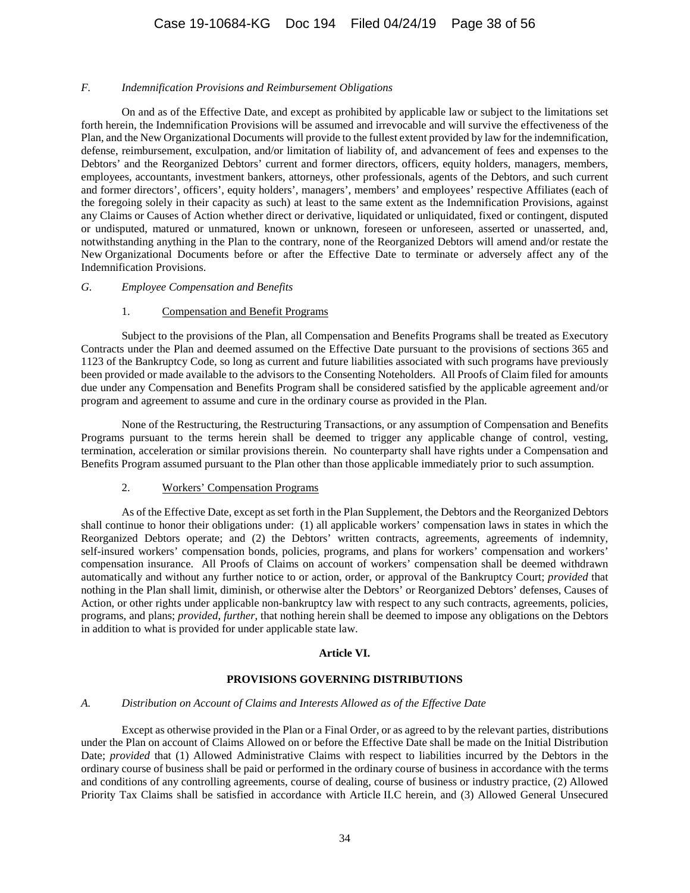#### *F. Indemnification Provisions and Reimbursement Obligations*

On and as of the Effective Date, and except as prohibited by applicable law or subject to the limitations set forth herein, the Indemnification Provisions will be assumed and irrevocable and will survive the effectiveness of the Plan, and the New Organizational Documents will provide to the fullest extent provided by law for the indemnification, defense, reimbursement, exculpation, and/or limitation of liability of, and advancement of fees and expenses to the Debtors' and the Reorganized Debtors' current and former directors, officers, equity holders, managers, members, employees, accountants, investment bankers, attorneys, other professionals, agents of the Debtors, and such current and former directors', officers', equity holders', managers', members' and employees' respective Affiliates (each of the foregoing solely in their capacity as such) at least to the same extent as the Indemnification Provisions, against any Claims or Causes of Action whether direct or derivative, liquidated or unliquidated, fixed or contingent, disputed or undisputed, matured or unmatured, known or unknown, foreseen or unforeseen, asserted or unasserted, and, notwithstanding anything in the Plan to the contrary, none of the Reorganized Debtors will amend and/or restate the New Organizational Documents before or after the Effective Date to terminate or adversely affect any of the Indemnification Provisions.

#### *G. Employee Compensation and Benefits*

### 1. Compensation and Benefit Programs

Subject to the provisions of the Plan, all Compensation and Benefits Programs shall be treated as Executory Contracts under the Plan and deemed assumed on the Effective Date pursuant to the provisions of sections 365 and 1123 of the Bankruptcy Code, so long as current and future liabilities associated with such programs have previously been provided or made available to the advisors to the Consenting Noteholders. All Proofs of Claim filed for amounts due under any Compensation and Benefits Program shall be considered satisfied by the applicable agreement and/or program and agreement to assume and cure in the ordinary course as provided in the Plan.

None of the Restructuring, the Restructuring Transactions, or any assumption of Compensation and Benefits Programs pursuant to the terms herein shall be deemed to trigger any applicable change of control, vesting, termination, acceleration or similar provisions therein. No counterparty shall have rights under a Compensation and Benefits Program assumed pursuant to the Plan other than those applicable immediately prior to such assumption.

#### 2. Workers' Compensation Programs

As of the Effective Date, except as set forth in the Plan Supplement, the Debtors and the Reorganized Debtors shall continue to honor their obligations under: (1) all applicable workers' compensation laws in states in which the Reorganized Debtors operate; and (2) the Debtors' written contracts, agreements, agreements of indemnity, self-insured workers' compensation bonds, policies, programs, and plans for workers' compensation and workers' compensation insurance. All Proofs of Claims on account of workers' compensation shall be deemed withdrawn automatically and without any further notice to or action, order, or approval of the Bankruptcy Court; *provided* that nothing in the Plan shall limit, diminish, or otherwise alter the Debtors' or Reorganized Debtors' defenses, Causes of Action, or other rights under applicable non-bankruptcy law with respect to any such contracts, agreements, policies, programs, and plans; *provided*, *further*, that nothing herein shall be deemed to impose any obligations on the Debtors in addition to what is provided for under applicable state law.

#### **Article VI.**

# **PROVISIONS GOVERNING DISTRIBUTIONS**

### <span id="page-37-0"></span>*A. Distribution on Account of Claims and Interests Allowed as of the Effective Date*

Except as otherwise provided in the Plan or a Final Order, or as agreed to by the relevant parties, distributions under the Plan on account of Claims Allowed on or before the Effective Date shall be made on the Initial Distribution Date; *provided* that (1) Allowed Administrative Claims with respect to liabilities incurred by the Debtors in the ordinary course of business shall be paid or performed in the ordinary course of business in accordance with the terms and conditions of any controlling agreements, course of dealing, course of business or industry practice, (2) Allowed Priority Tax Claims shall be satisfied in accordance with Article II.C herein, and (3) Allowed General Unsecured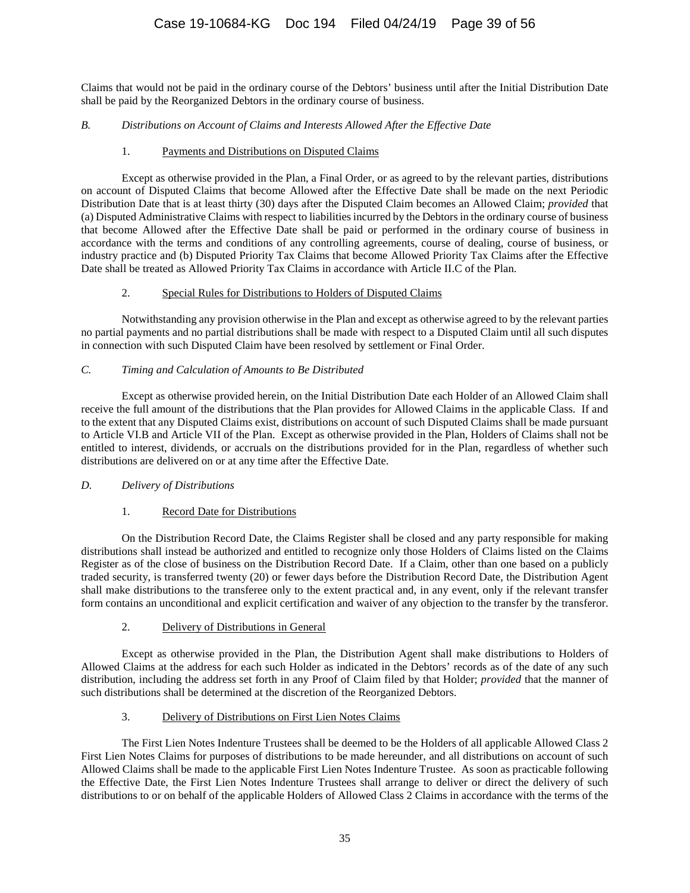Claims that would not be paid in the ordinary course of the Debtors' business until after the Initial Distribution Date shall be paid by the Reorganized Debtors in the ordinary course of business.

# <span id="page-38-0"></span>*B. Distributions on Account of Claims and Interests Allowed After the Effective Date*

# 1. Payments and Distributions on Disputed Claims

Except as otherwise provided in the Plan, a Final Order, or as agreed to by the relevant parties, distributions on account of Disputed Claims that become Allowed after the Effective Date shall be made on the next Periodic Distribution Date that is at least thirty (30) days after the Disputed Claim becomes an Allowed Claim; *provided* that (a) Disputed Administrative Claims with respect to liabilities incurred by the Debtors in the ordinary course of business that become Allowed after the Effective Date shall be paid or performed in the ordinary course of business in accordance with the terms and conditions of any controlling agreements, course of dealing, course of business, or industry practice and (b) Disputed Priority Tax Claims that become Allowed Priority Tax Claims after the Effective Date shall be treated as Allowed Priority Tax Claims in accordance with Article II.C of the Plan.

# 2. Special Rules for Distributions to Holders of Disputed Claims

Notwithstanding any provision otherwise in the Plan and except as otherwise agreed to by the relevant parties no partial payments and no partial distributions shall be made with respect to a Disputed Claim until all such disputes in connection with such Disputed Claim have been resolved by settlement or Final Order.

# *C. Timing and Calculation of Amounts to Be Distributed*

Except as otherwise provided herein, on the Initial Distribution Date each Holder of an Allowed Claim shall receive the full amount of the distributions that the Plan provides for Allowed Claims in the applicable Class. If and to the extent that any Disputed Claims exist, distributions on account of such Disputed Claims shall be made pursuant to [Article VI](#page-37-0)[.B](#page-38-0) and Article VII of the Plan. Except as otherwise provided in the Plan, Holders of Claims shall not be entitled to interest, dividends, or accruals on the distributions provided for in the Plan, regardless of whether such distributions are delivered on or at any time after the Effective Date.

# *D. Delivery of Distributions*

# 1. Record Date for Distributions

On the Distribution Record Date, the Claims Register shall be closed and any party responsible for making distributions shall instead be authorized and entitled to recognize only those Holders of Claims listed on the Claims Register as of the close of business on the Distribution Record Date. If a Claim, other than one based on a publicly traded security, is transferred twenty (20) or fewer days before the Distribution Record Date, the Distribution Agent shall make distributions to the transferee only to the extent practical and, in any event, only if the relevant transfer form contains an unconditional and explicit certification and waiver of any objection to the transfer by the transferor.

# 2. Delivery of Distributions in General

Except as otherwise provided in the Plan, the Distribution Agent shall make distributions to Holders of Allowed Claims at the address for each such Holder as indicated in the Debtors' records as of the date of any such distribution, including the address set forth in any Proof of Claim filed by that Holder; *provided* that the manner of such distributions shall be determined at the discretion of the Reorganized Debtors.

# 3. Delivery of Distributions on First Lien Notes Claims

The First Lien Notes Indenture Trustees shall be deemed to be the Holders of all applicable Allowed Class 2 First Lien Notes Claims for purposes of distributions to be made hereunder, and all distributions on account of such Allowed Claims shall be made to the applicable First Lien Notes Indenture Trustee. As soon as practicable following the Effective Date, the First Lien Notes Indenture Trustees shall arrange to deliver or direct the delivery of such distributions to or on behalf of the applicable Holders of Allowed Class 2 Claims in accordance with the terms of the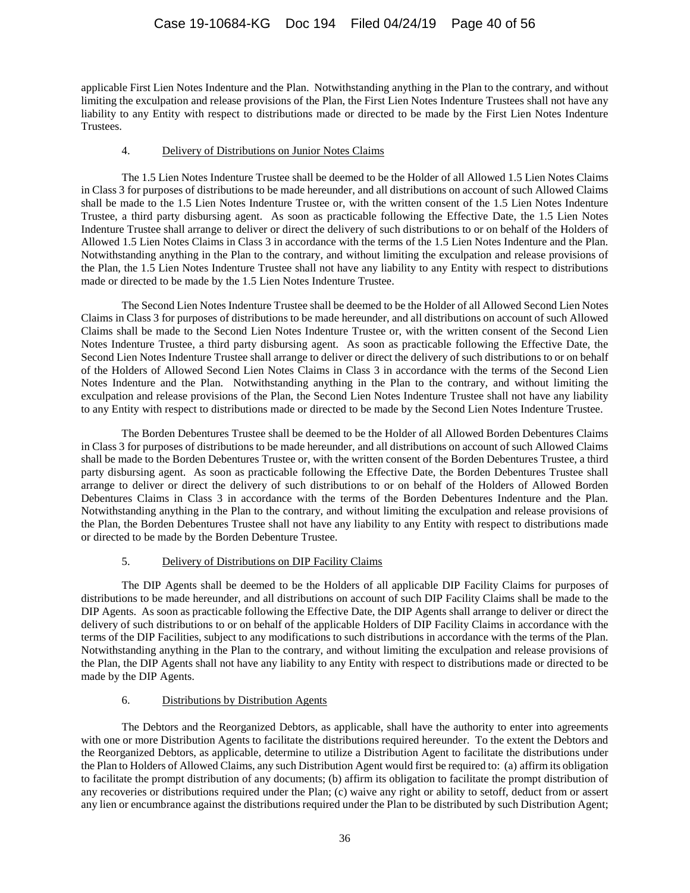applicable First Lien Notes Indenture and the Plan. Notwithstanding anything in the Plan to the contrary, and without limiting the exculpation and release provisions of the Plan, the First Lien Notes Indenture Trustees shall not have any liability to any Entity with respect to distributions made or directed to be made by the First Lien Notes Indenture Trustees.

# 4. Delivery of Distributions on Junior Notes Claims

The 1.5 Lien Notes Indenture Trustee shall be deemed to be the Holder of all Allowed 1.5 Lien Notes Claims in Class 3 for purposes of distributions to be made hereunder, and all distributions on account of such Allowed Claims shall be made to the 1.5 Lien Notes Indenture Trustee or, with the written consent of the 1.5 Lien Notes Indenture Trustee, a third party disbursing agent. As soon as practicable following the Effective Date, the 1.5 Lien Notes Indenture Trustee shall arrange to deliver or direct the delivery of such distributions to or on behalf of the Holders of Allowed 1.5 Lien Notes Claims in Class 3 in accordance with the terms of the 1.5 Lien Notes Indenture and the Plan. Notwithstanding anything in the Plan to the contrary, and without limiting the exculpation and release provisions of the Plan, the 1.5 Lien Notes Indenture Trustee shall not have any liability to any Entity with respect to distributions made or directed to be made by the 1.5 Lien Notes Indenture Trustee.

The Second Lien Notes Indenture Trustee shall be deemed to be the Holder of all Allowed Second Lien Notes Claims in Class 3 for purposes of distributions to be made hereunder, and all distributions on account of such Allowed Claims shall be made to the Second Lien Notes Indenture Trustee or, with the written consent of the Second Lien Notes Indenture Trustee, a third party disbursing agent. As soon as practicable following the Effective Date, the Second Lien Notes Indenture Trustee shall arrange to deliver or direct the delivery of such distributions to or on behalf of the Holders of Allowed Second Lien Notes Claims in Class 3 in accordance with the terms of the Second Lien Notes Indenture and the Plan. Notwithstanding anything in the Plan to the contrary, and without limiting the exculpation and release provisions of the Plan, the Second Lien Notes Indenture Trustee shall not have any liability to any Entity with respect to distributions made or directed to be made by the Second Lien Notes Indenture Trustee.

The Borden Debentures Trustee shall be deemed to be the Holder of all Allowed Borden Debentures Claims in Class 3 for purposes of distributions to be made hereunder, and all distributions on account of such Allowed Claims shall be made to the Borden Debentures Trustee or, with the written consent of the Borden Debentures Trustee, a third party disbursing agent. As soon as practicable following the Effective Date, the Borden Debentures Trustee shall arrange to deliver or direct the delivery of such distributions to or on behalf of the Holders of Allowed Borden Debentures Claims in Class 3 in accordance with the terms of the Borden Debentures Indenture and the Plan. Notwithstanding anything in the Plan to the contrary, and without limiting the exculpation and release provisions of the Plan, the Borden Debentures Trustee shall not have any liability to any Entity with respect to distributions made or directed to be made by the Borden Debenture Trustee.

# 5. Delivery of Distributions on DIP Facility Claims

The DIP Agents shall be deemed to be the Holders of all applicable DIP Facility Claims for purposes of distributions to be made hereunder, and all distributions on account of such DIP Facility Claims shall be made to the DIP Agents. As soon as practicable following the Effective Date, the DIP Agents shall arrange to deliver or direct the delivery of such distributions to or on behalf of the applicable Holders of DIP Facility Claims in accordance with the terms of the DIP Facilities, subject to any modifications to such distributions in accordance with the terms of the Plan. Notwithstanding anything in the Plan to the contrary, and without limiting the exculpation and release provisions of the Plan, the DIP Agents shall not have any liability to any Entity with respect to distributions made or directed to be made by the DIP Agents.

# 6. Distributions by Distribution Agents

The Debtors and the Reorganized Debtors, as applicable, shall have the authority to enter into agreements with one or more Distribution Agents to facilitate the distributions required hereunder. To the extent the Debtors and the Reorganized Debtors, as applicable, determine to utilize a Distribution Agent to facilitate the distributions under the Plan to Holders of Allowed Claims, any such Distribution Agent would first be required to: (a) affirm its obligation to facilitate the prompt distribution of any documents; (b) affirm its obligation to facilitate the prompt distribution of any recoveries or distributions required under the Plan; (c) waive any right or ability to setoff, deduct from or assert any lien or encumbrance against the distributions required under the Plan to be distributed by such Distribution Agent;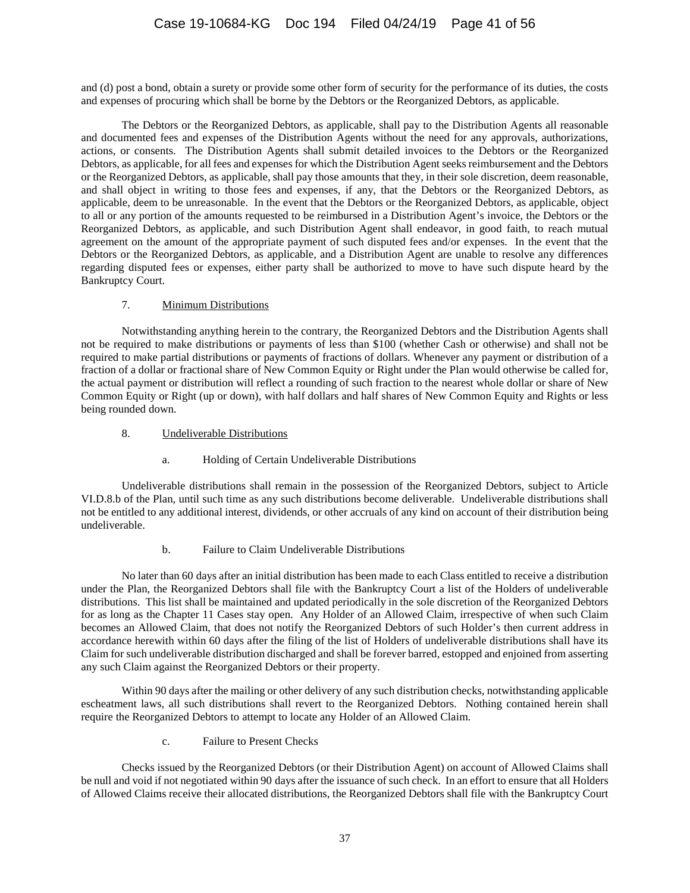and (d) post a bond, obtain a surety or provide some other form of security for the performance of its duties, the costs and expenses of procuring which shall be borne by the Debtors or the Reorganized Debtors, as applicable.

The Debtors or the Reorganized Debtors, as applicable, shall pay to the Distribution Agents all reasonable and documented fees and expenses of the Distribution Agents without the need for any approvals, authorizations, actions, or consents. The Distribution Agents shall submit detailed invoices to the Debtors or the Reorganized Debtors, as applicable, for all fees and expenses for which the Distribution Agent seeks reimbursement and the Debtors or the Reorganized Debtors, as applicable, shall pay those amounts that they, in their sole discretion, deem reasonable, and shall object in writing to those fees and expenses, if any, that the Debtors or the Reorganized Debtors, as applicable, deem to be unreasonable. In the event that the Debtors or the Reorganized Debtors, as applicable, object to all or any portion of the amounts requested to be reimbursed in a Distribution Agent's invoice, the Debtors or the Reorganized Debtors, as applicable, and such Distribution Agent shall endeavor, in good faith, to reach mutual agreement on the amount of the appropriate payment of such disputed fees and/or expenses. In the event that the Debtors or the Reorganized Debtors, as applicable, and a Distribution Agent are unable to resolve any differences regarding disputed fees or expenses, either party shall be authorized to move to have such dispute heard by the Bankruptcy Court.

# 7. Minimum Distributions

Notwithstanding anything herein to the contrary, the Reorganized Debtors and the Distribution Agents shall not be required to make distributions or payments of less than \$100 (whether Cash or otherwise) and shall not be required to make partial distributions or payments of fractions of dollars. Whenever any payment or distribution of a fraction of a dollar or fractional share of New Common Equity or Right under the Plan would otherwise be called for, the actual payment or distribution will reflect a rounding of such fraction to the nearest whole dollar or share of New Common Equity or Right (up or down), with half dollars and half shares of New Common Equity and Rights or less being rounded down.

# 8. Undeliverable Distributions

# a. Holding of Certain Undeliverable Distributions

Undeliverable distributions shall remain in the possession of the Reorganized Debtors, subject to [Article](#page-40-0)  [VI.D.8.b](#page-40-0) of the Plan, until such time as any such distributions become deliverable. Undeliverable distributions shall not be entitled to any additional interest, dividends, or other accruals of any kind on account of their distribution being undeliverable.

# b. Failure to Claim Undeliverable Distributions

<span id="page-40-0"></span>No later than 60 days after an initial distribution has been made to each Class entitled to receive a distribution under the Plan, the Reorganized Debtors shall file with the Bankruptcy Court a list of the Holders of undeliverable distributions. This list shall be maintained and updated periodically in the sole discretion of the Reorganized Debtors for as long as the Chapter 11 Cases stay open. Any Holder of an Allowed Claim, irrespective of when such Claim becomes an Allowed Claim, that does not notify the Reorganized Debtors of such Holder's then current address in accordance herewith within 60 days after the filing of the list of Holders of undeliverable distributions shall have its Claim for such undeliverable distribution discharged and shall be forever barred, estopped and enjoined from asserting any such Claim against the Reorganized Debtors or their property.

Within 90 days after the mailing or other delivery of any such distribution checks, notwithstanding applicable escheatment laws, all such distributions shall revert to the Reorganized Debtors. Nothing contained herein shall require the Reorganized Debtors to attempt to locate any Holder of an Allowed Claim.

c. Failure to Present Checks

Checks issued by the Reorganized Debtors (or their Distribution Agent) on account of Allowed Claims shall be null and void if not negotiated within 90 days after the issuance of such check. In an effort to ensure that all Holders of Allowed Claims receive their allocated distributions, the Reorganized Debtors shall file with the Bankruptcy Court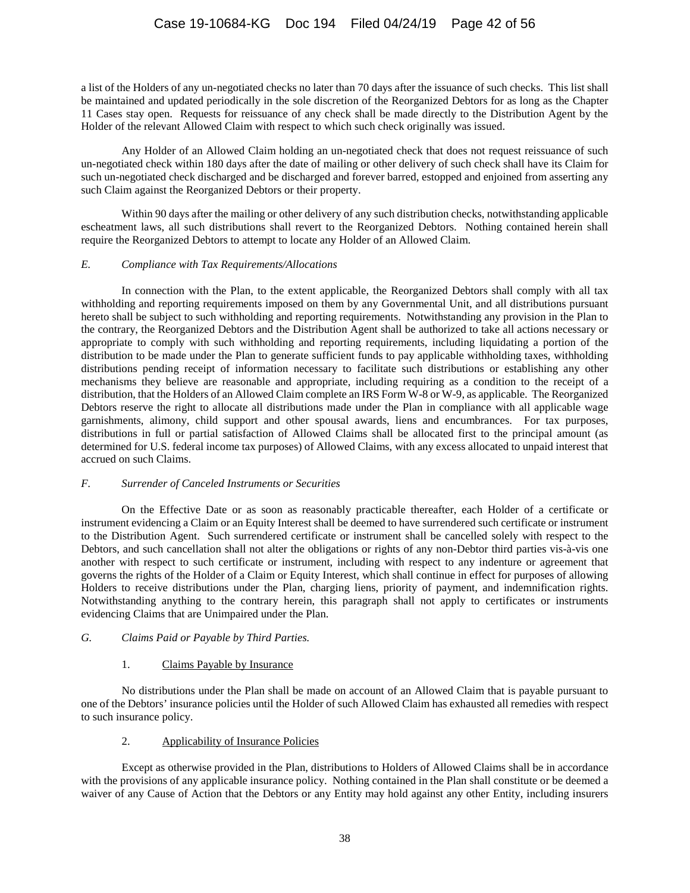a list of the Holders of any un-negotiated checks no later than 70 days after the issuance of such checks. This list shall be maintained and updated periodically in the sole discretion of the Reorganized Debtors for as long as the Chapter 11 Cases stay open. Requests for reissuance of any check shall be made directly to the Distribution Agent by the Holder of the relevant Allowed Claim with respect to which such check originally was issued.

Any Holder of an Allowed Claim holding an un-negotiated check that does not request reissuance of such un-negotiated check within 180 days after the date of mailing or other delivery of such check shall have its Claim for such un-negotiated check discharged and be discharged and forever barred, estopped and enjoined from asserting any such Claim against the Reorganized Debtors or their property.

Within 90 days after the mailing or other delivery of any such distribution checks, notwithstanding applicable escheatment laws, all such distributions shall revert to the Reorganized Debtors. Nothing contained herein shall require the Reorganized Debtors to attempt to locate any Holder of an Allowed Claim.

### *E. Compliance with Tax Requirements/Allocations*

In connection with the Plan, to the extent applicable, the Reorganized Debtors shall comply with all tax withholding and reporting requirements imposed on them by any Governmental Unit, and all distributions pursuant hereto shall be subject to such withholding and reporting requirements. Notwithstanding any provision in the Plan to the contrary, the Reorganized Debtors and the Distribution Agent shall be authorized to take all actions necessary or appropriate to comply with such withholding and reporting requirements, including liquidating a portion of the distribution to be made under the Plan to generate sufficient funds to pay applicable withholding taxes, withholding distributions pending receipt of information necessary to facilitate such distributions or establishing any other mechanisms they believe are reasonable and appropriate, including requiring as a condition to the receipt of a distribution, that the Holders of an Allowed Claim complete an IRS Form W-8 or W-9, as applicable. The Reorganized Debtors reserve the right to allocate all distributions made under the Plan in compliance with all applicable wage garnishments, alimony, child support and other spousal awards, liens and encumbrances. For tax purposes, distributions in full or partial satisfaction of Allowed Claims shall be allocated first to the principal amount (as determined for U.S. federal income tax purposes) of Allowed Claims, with any excess allocated to unpaid interest that accrued on such Claims.

# *F. Surrender of Canceled Instruments or Securities*

On the Effective Date or as soon as reasonably practicable thereafter, each Holder of a certificate or instrument evidencing a Claim or an Equity Interest shall be deemed to have surrendered such certificate or instrument to the Distribution Agent. Such surrendered certificate or instrument shall be cancelled solely with respect to the Debtors, and such cancellation shall not alter the obligations or rights of any non-Debtor third parties vis-à-vis one another with respect to such certificate or instrument, including with respect to any indenture or agreement that governs the rights of the Holder of a Claim or Equity Interest, which shall continue in effect for purposes of allowing Holders to receive distributions under the Plan, charging liens, priority of payment, and indemnification rights. Notwithstanding anything to the contrary herein, this paragraph shall not apply to certificates or instruments evidencing Claims that are Unimpaired under the Plan.

# *G. Claims Paid or Payable by Third Parties.*

# 1. Claims Payable by Insurance

No distributions under the Plan shall be made on account of an Allowed Claim that is payable pursuant to one of the Debtors' insurance policies until the Holder of such Allowed Claim has exhausted all remedies with respect to such insurance policy.

# 2. Applicability of Insurance Policies

Except as otherwise provided in the Plan, distributions to Holders of Allowed Claims shall be in accordance with the provisions of any applicable insurance policy. Nothing contained in the Plan shall constitute or be deemed a waiver of any Cause of Action that the Debtors or any Entity may hold against any other Entity, including insurers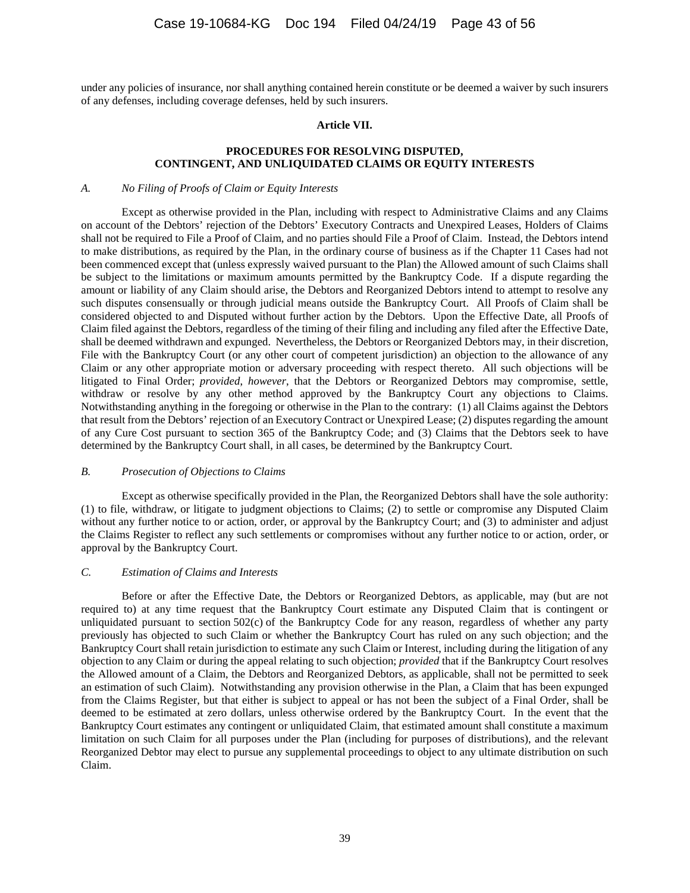under any policies of insurance, nor shall anything contained herein constitute or be deemed a waiver by such insurers of any defenses, including coverage defenses, held by such insurers.

#### **Article VII.**

### **PROCEDURES FOR RESOLVING DISPUTED, CONTINGENT, AND UNLIQUIDATED CLAIMS OR EQUITY INTERESTS**

#### *A. No Filing of Proofs of Claim or Equity Interests*

Except as otherwise provided in the Plan, including with respect to Administrative Claims and any Claims on account of the Debtors' rejection of the Debtors' Executory Contracts and Unexpired Leases, Holders of Claims shall not be required to File a Proof of Claim, and no parties should File a Proof of Claim. Instead, the Debtors intend to make distributions, as required by the Plan, in the ordinary course of business as if the Chapter 11 Cases had not been commenced except that (unless expressly waived pursuant to the Plan) the Allowed amount of such Claims shall be subject to the limitations or maximum amounts permitted by the Bankruptcy Code. If a dispute regarding the amount or liability of any Claim should arise, the Debtors and Reorganized Debtors intend to attempt to resolve any such disputes consensually or through judicial means outside the Bankruptcy Court. All Proofs of Claim shall be considered objected to and Disputed without further action by the Debtors. Upon the Effective Date, all Proofs of Claim filed against the Debtors, regardless of the timing of their filing and including any filed after the Effective Date, shall be deemed withdrawn and expunged. Nevertheless, the Debtors or Reorganized Debtors may, in their discretion, File with the Bankruptcy Court (or any other court of competent jurisdiction) an objection to the allowance of any Claim or any other appropriate motion or adversary proceeding with respect thereto. All such objections will be litigated to Final Order; *provided*, *however*, that the Debtors or Reorganized Debtors may compromise, settle, withdraw or resolve by any other method approved by the Bankruptcy Court any objections to Claims. Notwithstanding anything in the foregoing or otherwise in the Plan to the contrary: (1) all Claims against the Debtors that result from the Debtors' rejection of an Executory Contract or Unexpired Lease; (2) disputes regarding the amount of any Cure Cost pursuant to section 365 of the Bankruptcy Code; and (3) Claims that the Debtors seek to have determined by the Bankruptcy Court shall, in all cases, be determined by the Bankruptcy Court.

#### *B. Prosecution of Objections to Claims*

Except as otherwise specifically provided in the Plan, the Reorganized Debtors shall have the sole authority: (1) to file, withdraw, or litigate to judgment objections to Claims; (2) to settle or compromise any Disputed Claim without any further notice to or action, order, or approval by the Bankruptcy Court; and (3) to administer and adjust the Claims Register to reflect any such settlements or compromises without any further notice to or action, order, or approval by the Bankruptcy Court.

#### *C. Estimation of Claims and Interests*

Before or after the Effective Date, the Debtors or Reorganized Debtors, as applicable, may (but are not required to) at any time request that the Bankruptcy Court estimate any Disputed Claim that is contingent or unliquidated pursuant to section 502(c) of the Bankruptcy Code for any reason, regardless of whether any party previously has objected to such Claim or whether the Bankruptcy Court has ruled on any such objection; and the Bankruptcy Court shall retain jurisdiction to estimate any such Claim or Interest, including during the litigation of any objection to any Claim or during the appeal relating to such objection; *provided* that if the Bankruptcy Court resolves the Allowed amount of a Claim, the Debtors and Reorganized Debtors, as applicable, shall not be permitted to seek an estimation of such Claim). Notwithstanding any provision otherwise in the Plan, a Claim that has been expunged from the Claims Register, but that either is subject to appeal or has not been the subject of a Final Order, shall be deemed to be estimated at zero dollars, unless otherwise ordered by the Bankruptcy Court. In the event that the Bankruptcy Court estimates any contingent or unliquidated Claim, that estimated amount shall constitute a maximum limitation on such Claim for all purposes under the Plan (including for purposes of distributions), and the relevant Reorganized Debtor may elect to pursue any supplemental proceedings to object to any ultimate distribution on such Claim.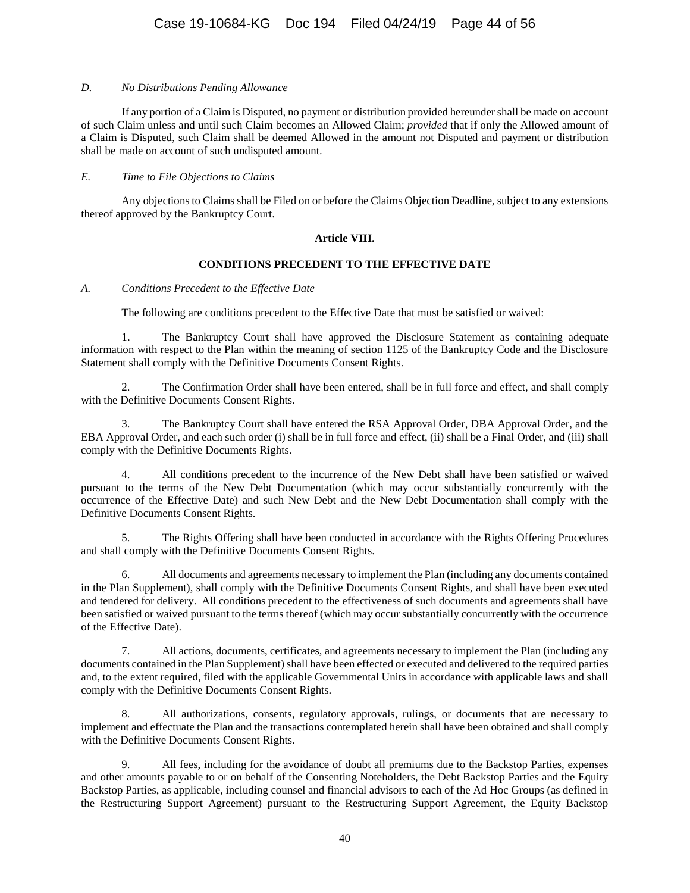# *D. No Distributions Pending Allowance*

If any portion of a Claim is Disputed, no payment or distribution provided hereunder shall be made on account of such Claim unless and until such Claim becomes an Allowed Claim; *provided* that if only the Allowed amount of a Claim is Disputed, such Claim shall be deemed Allowed in the amount not Disputed and payment or distribution shall be made on account of such undisputed amount.

### *E. Time to File Objections to Claims*

Any objections to Claims shall be Filed on or before the Claims Objection Deadline, subject to any extensions thereof approved by the Bankruptcy Court.

### **Article VIII.**

### **CONDITIONS PRECEDENT TO THE EFFECTIVE DATE**

### <span id="page-43-0"></span>*A. Conditions Precedent to the Effective Date*

The following are conditions precedent to the Effective Date that must be satisfied or waived:

1. The Bankruptcy Court shall have approved the Disclosure Statement as containing adequate information with respect to the Plan within the meaning of section 1125 of the Bankruptcy Code and the Disclosure Statement shall comply with the Definitive Documents Consent Rights.

2. The Confirmation Order shall have been entered, shall be in full force and effect, and shall comply with the Definitive Documents Consent Rights.

3. The Bankruptcy Court shall have entered the RSA Approval Order, DBA Approval Order, and the EBA Approval Order, and each such order (i) shall be in full force and effect, (ii) shall be a Final Order, and (iii) shall comply with the Definitive Documents Rights.

4. All conditions precedent to the incurrence of the New Debt shall have been satisfied or waived pursuant to the terms of the New Debt Documentation (which may occur substantially concurrently with the occurrence of the Effective Date) and such New Debt and the New Debt Documentation shall comply with the Definitive Documents Consent Rights.

5. The Rights Offering shall have been conducted in accordance with the Rights Offering Procedures and shall comply with the Definitive Documents Consent Rights.

6. All documents and agreements necessary to implement the Plan (including any documents contained in the Plan Supplement), shall comply with the Definitive Documents Consent Rights, and shall have been executed and tendered for delivery. All conditions precedent to the effectiveness of such documents and agreements shall have been satisfied or waived pursuant to the terms thereof (which may occur substantially concurrently with the occurrence of the Effective Date).

7. All actions, documents, certificates, and agreements necessary to implement the Plan (including any documents contained in the Plan Supplement) shall have been effected or executed and delivered to the required parties and, to the extent required, filed with the applicable Governmental Units in accordance with applicable laws and shall comply with the Definitive Documents Consent Rights.

8. All authorizations, consents, regulatory approvals, rulings, or documents that are necessary to implement and effectuate the Plan and the transactions contemplated herein shall have been obtained and shall comply with the Definitive Documents Consent Rights.

9. All fees, including for the avoidance of doubt all premiums due to the Backstop Parties, expenses and other amounts payable to or on behalf of the Consenting Noteholders, the Debt Backstop Parties and the Equity Backstop Parties, as applicable, including counsel and financial advisors to each of the Ad Hoc Groups (as defined in the Restructuring Support Agreement) pursuant to the Restructuring Support Agreement, the Equity Backstop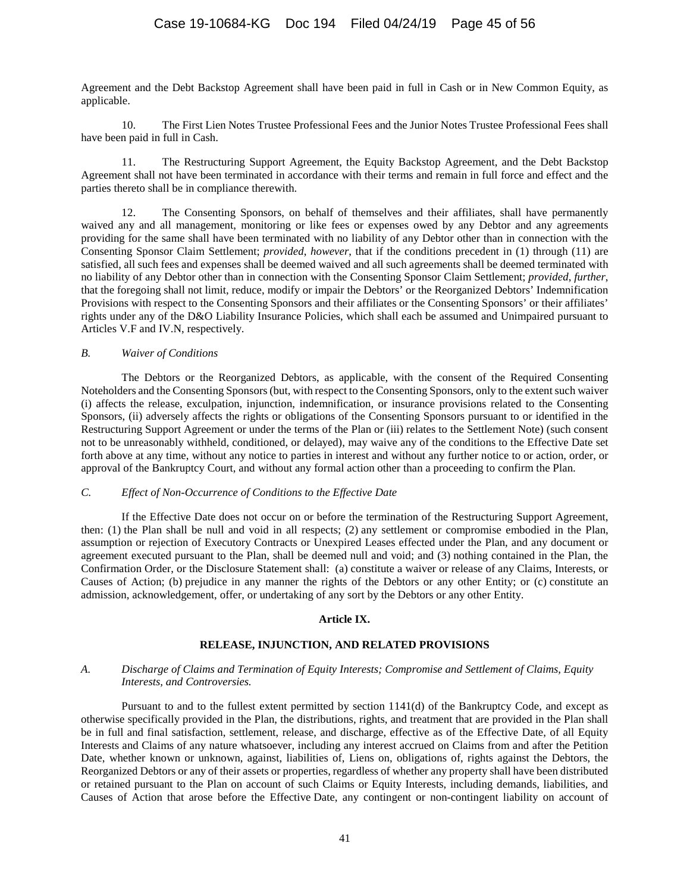Agreement and the Debt Backstop Agreement shall have been paid in full in Cash or in New Common Equity, as applicable.

10. The First Lien Notes Trustee Professional Fees and the Junior Notes Trustee Professional Fees shall have been paid in full in Cash.

11. The Restructuring Support Agreement, the Equity Backstop Agreement, and the Debt Backstop Agreement shall not have been terminated in accordance with their terms and remain in full force and effect and the parties thereto shall be in compliance therewith.

12. The Consenting Sponsors, on behalf of themselves and their affiliates, shall have permanently waived any and all management, monitoring or like fees or expenses owed by any Debtor and any agreements providing for the same shall have been terminated with no liability of any Debtor other than in connection with the Consenting Sponsor Claim Settlement; *provided*, *however*, that if the conditions precedent in (1) through (11) are satisfied, all such fees and expenses shall be deemed waived and all such agreements shall be deemed terminated with no liability of any Debtor other than in connection with the Consenting Sponsor Claim Settlement; *provided*, *further*, that the foregoing shall not limit, reduce, modify or impair the Debtors' or the Reorganized Debtors' Indemnification Provisions with respect to the Consenting Sponsors and their affiliates or the Consenting Sponsors' or their affiliates' rights under any of the D&O Liability Insurance Policies, which shall each be assumed and Unimpaired pursuant to Articles V.F and IV.N, respectively.

### *B. Waiver of Conditions*

The Debtors or the Reorganized Debtors, as applicable, with the consent of the Required Consenting Noteholders and the Consenting Sponsors (but, with respect to the Consenting Sponsors, only to the extent such waiver (i) affects the release, exculpation, injunction, indemnification, or insurance provisions related to the Consenting Sponsors, (ii) adversely affects the rights or obligations of the Consenting Sponsors pursuant to or identified in the Restructuring Support Agreement or under the terms of the Plan or (iii) relates to the Settlement Note) (such consent not to be unreasonably withheld, conditioned, or delayed), may waive any of the conditions to the Effective Date set forth above at any time, without any notice to parties in interest and without any further notice to or action, order, or approval of the Bankruptcy Court, and without any formal action other than a proceeding to confirm the Plan.

#### *C. Effect of Non-Occurrence of Conditions to the Effective Date*

If the Effective Date does not occur on or before the termination of the Restructuring Support Agreement, then: (1) the Plan shall be null and void in all respects; (2) any settlement or compromise embodied in the Plan, assumption or rejection of Executory Contracts or Unexpired Leases effected under the Plan, and any document or agreement executed pursuant to the Plan, shall be deemed null and void; and (3) nothing contained in the Plan, the Confirmation Order, or the Disclosure Statement shall: (a) constitute a waiver or release of any Claims, Interests, or Causes of Action; (b) prejudice in any manner the rights of the Debtors or any other Entity; or (c) constitute an admission, acknowledgement, offer, or undertaking of any sort by the Debtors or any other Entity.

#### **Article IX.**

# **RELEASE, INJUNCTION, AND RELATED PROVISIONS**

### <span id="page-44-0"></span>*A. Discharge of Claims and Termination of Equity Interests; Compromise and Settlement of Claims, Equity Interests, and Controversies.*

Pursuant to and to the fullest extent permitted by section 1141(d) of the Bankruptcy Code, and except as otherwise specifically provided in the Plan, the distributions, rights, and treatment that are provided in the Plan shall be in full and final satisfaction, settlement, release, and discharge, effective as of the Effective Date, of all Equity Interests and Claims of any nature whatsoever, including any interest accrued on Claims from and after the Petition Date, whether known or unknown, against, liabilities of, Liens on, obligations of, rights against the Debtors, the Reorganized Debtors or any of their assets or properties, regardless of whether any property shall have been distributed or retained pursuant to the Plan on account of such Claims or Equity Interests, including demands, liabilities, and Causes of Action that arose before the Effective Date, any contingent or non-contingent liability on account of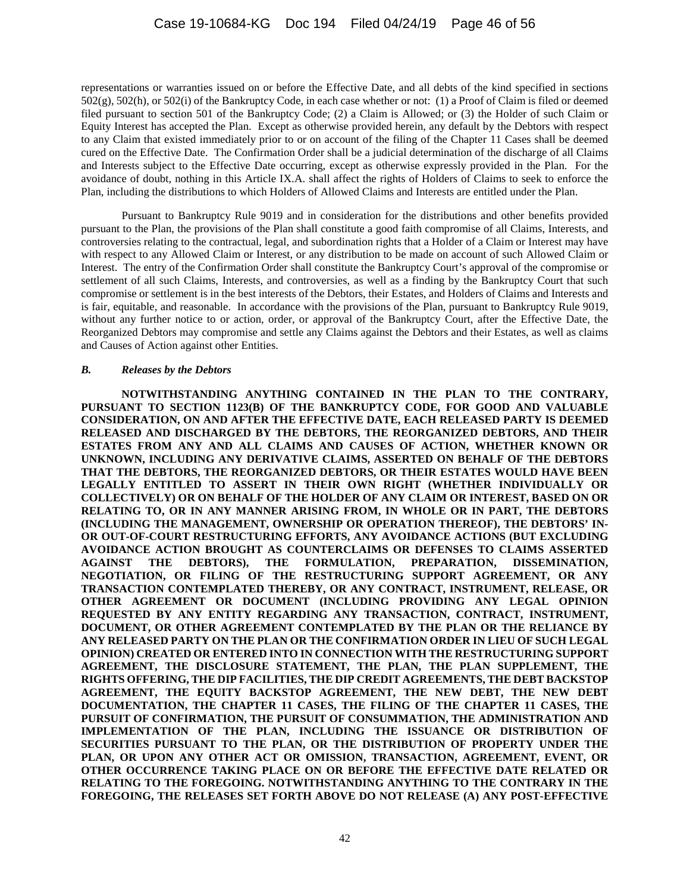representations or warranties issued on or before the Effective Date, and all debts of the kind specified in sections 502(g), 502(h), or 502(i) of the Bankruptcy Code, in each case whether or not: (1) a Proof of Claim is filed or deemed filed pursuant to section 501 of the Bankruptcy Code; (2) a Claim is Allowed; or (3) the Holder of such Claim or Equity Interest has accepted the Plan. Except as otherwise provided herein, any default by the Debtors with respect to any Claim that existed immediately prior to or on account of the filing of the Chapter 11 Cases shall be deemed cured on the Effective Date. The Confirmation Order shall be a judicial determination of the discharge of all Claims and Interests subject to the Effective Date occurring, except as otherwise expressly provided in the Plan. For the avoidance of doubt, nothing in this Article IX.A. shall affect the rights of Holders of Claims to seek to enforce the Plan, including the distributions to which Holders of Allowed Claims and Interests are entitled under the Plan.

Pursuant to Bankruptcy Rule 9019 and in consideration for the distributions and other benefits provided pursuant to the Plan, the provisions of the Plan shall constitute a good faith compromise of all Claims, Interests, and controversies relating to the contractual, legal, and subordination rights that a Holder of a Claim or Interest may have with respect to any Allowed Claim or Interest, or any distribution to be made on account of such Allowed Claim or Interest. The entry of the Confirmation Order shall constitute the Bankruptcy Court's approval of the compromise or settlement of all such Claims, Interests, and controversies, as well as a finding by the Bankruptcy Court that such compromise or settlement is in the best interests of the Debtors, their Estates, and Holders of Claims and Interests and is fair, equitable, and reasonable. In accordance with the provisions of the Plan, pursuant to Bankruptcy Rule 9019, without any further notice to or action, order, or approval of the Bankruptcy Court, after the Effective Date, the Reorganized Debtors may compromise and settle any Claims against the Debtors and their Estates, as well as claims and Causes of Action against other Entities.

### <span id="page-45-1"></span><span id="page-45-0"></span>*B. Releases by the Debtors*

**NOTWITHSTANDING ANYTHING CONTAINED IN THE PLAN TO THE CONTRARY, PURSUANT TO SECTION 1123(B) OF THE BANKRUPTCY CODE, FOR GOOD AND VALUABLE CONSIDERATION, ON AND AFTER THE EFFECTIVE DATE, EACH RELEASED PARTY IS DEEMED RELEASED AND DISCHARGED BY THE DEBTORS, THE REORGANIZED DEBTORS, AND THEIR ESTATES FROM ANY AND ALL CLAIMS AND CAUSES OF ACTION, WHETHER KNOWN OR UNKNOWN, INCLUDING ANY DERIVATIVE CLAIMS, ASSERTED ON BEHALF OF THE DEBTORS THAT THE DEBTORS, THE REORGANIZED DEBTORS, OR THEIR ESTATES WOULD HAVE BEEN LEGALLY ENTITLED TO ASSERT IN THEIR OWN RIGHT (WHETHER INDIVIDUALLY OR COLLECTIVELY) OR ON BEHALF OF THE HOLDER OF ANY CLAIM OR INTEREST, BASED ON OR RELATING TO, OR IN ANY MANNER ARISING FROM, IN WHOLE OR IN PART, THE DEBTORS (INCLUDING THE MANAGEMENT, OWNERSHIP OR OPERATION THEREOF), THE DEBTORS' IN-OR OUT-OF-COURT RESTRUCTURING EFFORTS, ANY AVOIDANCE ACTIONS (BUT EXCLUDING AVOIDANCE ACTION BROUGHT AS COUNTERCLAIMS OR DEFENSES TO CLAIMS ASSERTED AGAINST THE DEBTORS), THE FORMULATION, PREPARATION, DISSEMINATION, NEGOTIATION, OR FILING OF THE RESTRUCTURING SUPPORT AGREEMENT, OR ANY TRANSACTION CONTEMPLATED THEREBY, OR ANY CONTRACT, INSTRUMENT, RELEASE, OR OTHER AGREEMENT OR DOCUMENT (INCLUDING PROVIDING ANY LEGAL OPINION REQUESTED BY ANY ENTITY REGARDING ANY TRANSACTION, CONTRACT, INSTRUMENT, DOCUMENT, OR OTHER AGREEMENT CONTEMPLATED BY THE PLAN OR THE RELIANCE BY ANY RELEASED PARTY ON THE PLAN OR THE CONFIRMATION ORDER IN LIEU OF SUCH LEGAL OPINION) CREATED OR ENTERED INTO IN CONNECTION WITH THE RESTRUCTURING SUPPORT AGREEMENT, THE DISCLOSURE STATEMENT, THE PLAN, THE PLAN SUPPLEMENT, THE RIGHTS OFFERING, THE DIP FACILITIES, THE DIP CREDIT AGREEMENTS, THE DEBT BACKSTOP AGREEMENT, THE EQUITY BACKSTOP AGREEMENT, THE NEW DEBT, THE NEW DEBT DOCUMENTATION, THE CHAPTER 11 CASES, THE FILING OF THE CHAPTER 11 CASES, THE PURSUIT OF CONFIRMATION, THE PURSUIT OF CONSUMMATION, THE ADMINISTRATION AND IMPLEMENTATION OF THE PLAN, INCLUDING THE ISSUANCE OR DISTRIBUTION OF SECURITIES PURSUANT TO THE PLAN, OR THE DISTRIBUTION OF PROPERTY UNDER THE PLAN, OR UPON ANY OTHER ACT OR OMISSION, TRANSACTION, AGREEMENT, EVENT, OR OTHER OCCURRENCE TAKING PLACE ON OR BEFORE THE EFFECTIVE DATE RELATED OR RELATING TO THE FOREGOING. NOTWITHSTANDING ANYTHING TO THE CONTRARY IN THE FOREGOING, THE RELEASES SET FORTH ABOVE DO NOT RELEASE (A) ANY POST-EFFECTIVE**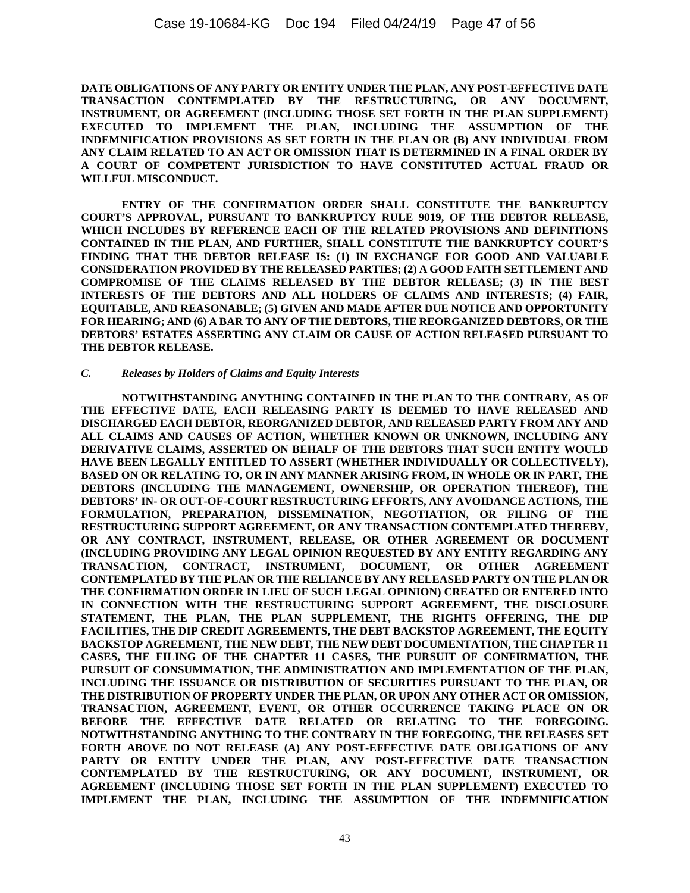**DATE OBLIGATIONS OF ANY PARTY OR ENTITY UNDER THE PLAN, ANY POST-EFFECTIVE DATE TRANSACTION CONTEMPLATED BY THE RESTRUCTURING, OR ANY DOCUMENT, INSTRUMENT, OR AGREEMENT (INCLUDING THOSE SET FORTH IN THE PLAN SUPPLEMENT) EXECUTED TO IMPLEMENT THE PLAN, INCLUDING THE ASSUMPTION OF THE INDEMNIFICATION PROVISIONS AS SET FORTH IN THE PLAN OR (B) ANY INDIVIDUAL FROM ANY CLAIM RELATED TO AN ACT OR OMISSION THAT IS DETERMINED IN A FINAL ORDER BY A COURT OF COMPETENT JURISDICTION TO HAVE CONSTITUTED ACTUAL FRAUD OR WILLFUL MISCONDUCT.**

**ENTRY OF THE CONFIRMATION ORDER SHALL CONSTITUTE THE BANKRUPTCY COURT'S APPROVAL, PURSUANT TO BANKRUPTCY RULE 9019, OF THE DEBTOR RELEASE, WHICH INCLUDES BY REFERENCE EACH OF THE RELATED PROVISIONS AND DEFINITIONS CONTAINED IN THE PLAN, AND FURTHER, SHALL CONSTITUTE THE BANKRUPTCY COURT'S FINDING THAT THE DEBTOR RELEASE IS: (1) IN EXCHANGE FOR GOOD AND VALUABLE CONSIDERATION PROVIDED BY THE RELEASED PARTIES; (2) A GOOD FAITH SETTLEMENT AND COMPROMISE OF THE CLAIMS RELEASED BY THE DEBTOR RELEASE; (3) IN THE BEST INTERESTS OF THE DEBTORS AND ALL HOLDERS OF CLAIMS AND INTERESTS; (4) FAIR, EQUITABLE, AND REASONABLE; (5) GIVEN AND MADE AFTER DUE NOTICE AND OPPORTUNITY FOR HEARING; AND (6) A BAR TO ANY OF THE DEBTORS, THE REORGANIZED DEBTORS, OR THE DEBTORS' ESTATES ASSERTING ANY CLAIM OR CAUSE OF ACTION RELEASED PURSUANT TO THE DEBTOR RELEASE.**

#### *C. Releases by Holders of Claims and Equity Interests*

**NOTWITHSTANDING ANYTHING CONTAINED IN THE PLAN TO THE CONTRARY, AS OF THE EFFECTIVE DATE, EACH RELEASING PARTY IS DEEMED TO HAVE RELEASED AND DISCHARGED EACH DEBTOR, REORGANIZED DEBTOR, AND RELEASED PARTY FROM ANY AND ALL CLAIMS AND CAUSES OF ACTION, WHETHER KNOWN OR UNKNOWN, INCLUDING ANY DERIVATIVE CLAIMS, ASSERTED ON BEHALF OF THE DEBTORS THAT SUCH ENTITY WOULD HAVE BEEN LEGALLY ENTITLED TO ASSERT (WHETHER INDIVIDUALLY OR COLLECTIVELY), BASED ON OR RELATING TO, OR IN ANY MANNER ARISING FROM, IN WHOLE OR IN PART, THE DEBTORS (INCLUDING THE MANAGEMENT, OWNERSHIP, OR OPERATION THEREOF), THE DEBTORS' IN- OR OUT-OF-COURT RESTRUCTURING EFFORTS, ANY AVOIDANCE ACTIONS, THE FORMULATION, PREPARATION, DISSEMINATION, NEGOTIATION, OR FILING OF THE RESTRUCTURING SUPPORT AGREEMENT, OR ANY TRANSACTION CONTEMPLATED THEREBY, OR ANY CONTRACT, INSTRUMENT, RELEASE, OR OTHER AGREEMENT OR DOCUMENT (INCLUDING PROVIDING ANY LEGAL OPINION REQUESTED BY ANY ENTITY REGARDING ANY TRANSACTION, CONTRACT, INSTRUMENT, DOCUMENT, OR OTHER AGREEMENT CONTEMPLATED BY THE PLAN OR THE RELIANCE BY ANY RELEASED PARTY ON THE PLAN OR THE CONFIRMATION ORDER IN LIEU OF SUCH LEGAL OPINION) CREATED OR ENTERED INTO IN CONNECTION WITH THE RESTRUCTURING SUPPORT AGREEMENT, THE DISCLOSURE STATEMENT, THE PLAN, THE PLAN SUPPLEMENT, THE RIGHTS OFFERING, THE DIP FACILITIES, THE DIP CREDIT AGREEMENTS, THE DEBT BACKSTOP AGREEMENT, THE EQUITY BACKSTOP AGREEMENT, THE NEW DEBT, THE NEW DEBT DOCUMENTATION, THE CHAPTER 11 CASES, THE FILING OF THE CHAPTER 11 CASES, THE PURSUIT OF CONFIRMATION, THE PURSUIT OF CONSUMMATION, THE ADMINISTRATION AND IMPLEMENTATION OF THE PLAN, INCLUDING THE ISSUANCE OR DISTRIBUTION OF SECURITIES PURSUANT TO THE PLAN, OR THE DISTRIBUTION OF PROPERTY UNDER THE PLAN, OR UPON ANY OTHER ACT OR OMISSION, TRANSACTION, AGREEMENT, EVENT, OR OTHER OCCURRENCE TAKING PLACE ON OR BEFORE THE EFFECTIVE DATE RELATED OR RELATING TO THE FOREGOING. NOTWITHSTANDING ANYTHING TO THE CONTRARY IN THE FOREGOING, THE RELEASES SET FORTH ABOVE DO NOT RELEASE (A) ANY POST-EFFECTIVE DATE OBLIGATIONS OF ANY PARTY OR ENTITY UNDER THE PLAN, ANY POST-EFFECTIVE DATE TRANSACTION CONTEMPLATED BY THE RESTRUCTURING, OR ANY DOCUMENT, INSTRUMENT, OR AGREEMENT (INCLUDING THOSE SET FORTH IN THE PLAN SUPPLEMENT) EXECUTED TO IMPLEMENT THE PLAN, INCLUDING THE ASSUMPTION OF THE INDEMNIFICATION**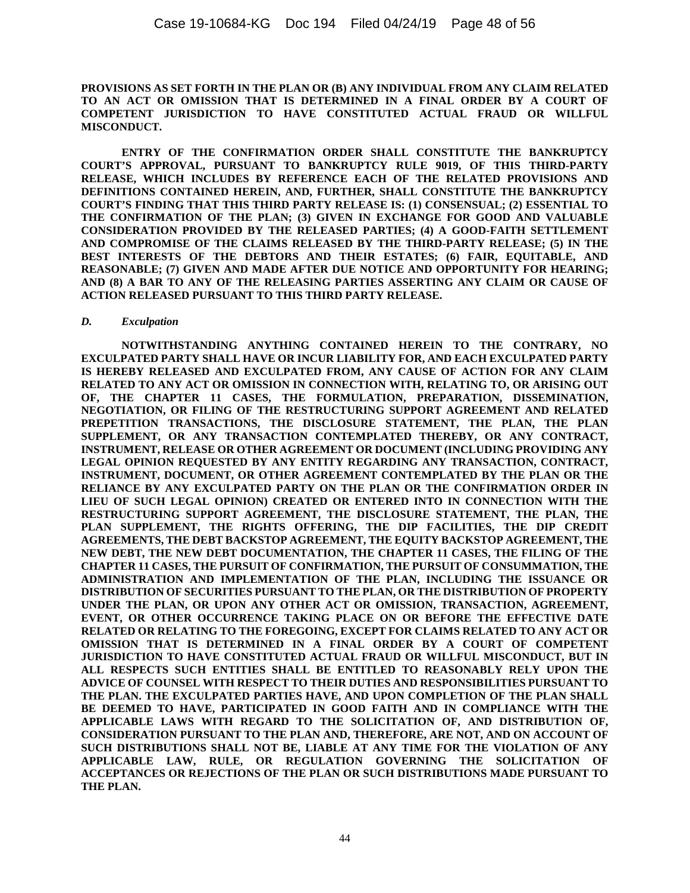**PROVISIONS AS SET FORTH IN THE PLAN OR (B) ANY INDIVIDUAL FROM ANY CLAIM RELATED TO AN ACT OR OMISSION THAT IS DETERMINED IN A FINAL ORDER BY A COURT OF COMPETENT JURISDICTION TO HAVE CONSTITUTED ACTUAL FRAUD OR WILLFUL MISCONDUCT.**

**ENTRY OF THE CONFIRMATION ORDER SHALL CONSTITUTE THE BANKRUPTCY COURT'S APPROVAL, PURSUANT TO BANKRUPTCY RULE 9019, OF THIS THIRD-PARTY RELEASE, WHICH INCLUDES BY REFERENCE EACH OF THE RELATED PROVISIONS AND DEFINITIONS CONTAINED HEREIN, AND, FURTHER, SHALL CONSTITUTE THE BANKRUPTCY COURT'S FINDING THAT THIS THIRD PARTY RELEASE IS: (1) CONSENSUAL; (2) ESSENTIAL TO THE CONFIRMATION OF THE PLAN; (3) GIVEN IN EXCHANGE FOR GOOD AND VALUABLE CONSIDERATION PROVIDED BY THE RELEASED PARTIES; (4) A GOOD-FAITH SETTLEMENT AND COMPROMISE OF THE CLAIMS RELEASED BY THE THIRD-PARTY RELEASE; (5) IN THE BEST INTERESTS OF THE DEBTORS AND THEIR ESTATES; (6) FAIR, EQUITABLE, AND REASONABLE; (7) GIVEN AND MADE AFTER DUE NOTICE AND OPPORTUNITY FOR HEARING; AND (8) A BAR TO ANY OF THE RELEASING PARTIES ASSERTING ANY CLAIM OR CAUSE OF ACTION RELEASED PURSUANT TO THIS THIRD PARTY RELEASE.**

#### *D. Exculpation*

**NOTWITHSTANDING ANYTHING CONTAINED HEREIN TO THE CONTRARY, NO EXCULPATED PARTY SHALL HAVE OR INCUR LIABILITY FOR, AND EACH EXCULPATED PARTY IS HEREBY RELEASED AND EXCULPATED FROM, ANY CAUSE OF ACTION FOR ANY CLAIM RELATED TO ANY ACT OR OMISSION IN CONNECTION WITH, RELATING TO, OR ARISING OUT OF, THE CHAPTER 11 CASES, THE FORMULATION, PREPARATION, DISSEMINATION, NEGOTIATION, OR FILING OF THE RESTRUCTURING SUPPORT AGREEMENT AND RELATED PREPETITION TRANSACTIONS, THE DISCLOSURE STATEMENT, THE PLAN, THE PLAN SUPPLEMENT, OR ANY TRANSACTION CONTEMPLATED THEREBY, OR ANY CONTRACT, INSTRUMENT, RELEASE OR OTHER AGREEMENT OR DOCUMENT (INCLUDING PROVIDING ANY LEGAL OPINION REQUESTED BY ANY ENTITY REGARDING ANY TRANSACTION, CONTRACT, INSTRUMENT, DOCUMENT, OR OTHER AGREEMENT CONTEMPLATED BY THE PLAN OR THE RELIANCE BY ANY EXCULPATED PARTY ON THE PLAN OR THE CONFIRMATION ORDER IN LIEU OF SUCH LEGAL OPINION) CREATED OR ENTERED INTO IN CONNECTION WITH THE RESTRUCTURING SUPPORT AGREEMENT, THE DISCLOSURE STATEMENT, THE PLAN, THE PLAN SUPPLEMENT, THE RIGHTS OFFERING, THE DIP FACILITIES, THE DIP CREDIT AGREEMENTS, THE DEBT BACKSTOP AGREEMENT, THE EQUITY BACKSTOP AGREEMENT, THE NEW DEBT, THE NEW DEBT DOCUMENTATION, THE CHAPTER 11 CASES, THE FILING OF THE CHAPTER 11 CASES, THE PURSUIT OF CONFIRMATION, THE PURSUIT OF CONSUMMATION, THE ADMINISTRATION AND IMPLEMENTATION OF THE PLAN, INCLUDING THE ISSUANCE OR DISTRIBUTION OF SECURITIES PURSUANT TO THE PLAN, OR THE DISTRIBUTION OF PROPERTY UNDER THE PLAN, OR UPON ANY OTHER ACT OR OMISSION, TRANSACTION, AGREEMENT, EVENT, OR OTHER OCCURRENCE TAKING PLACE ON OR BEFORE THE EFFECTIVE DATE RELATED OR RELATING TO THE FOREGOING, EXCEPT FOR CLAIMS RELATED TO ANY ACT OR OMISSION THAT IS DETERMINED IN A FINAL ORDER BY A COURT OF COMPETENT JURISDICTION TO HAVE CONSTITUTED ACTUAL FRAUD OR WILLFUL MISCONDUCT, BUT IN ALL RESPECTS SUCH ENTITIES SHALL BE ENTITLED TO REASONABLY RELY UPON THE ADVICE OF COUNSEL WITH RESPECT TO THEIR DUTIES AND RESPONSIBILITIES PURSUANT TO THE PLAN. THE EXCULPATED PARTIES HAVE, AND UPON COMPLETION OF THE PLAN SHALL BE DEEMED TO HAVE, PARTICIPATED IN GOOD FAITH AND IN COMPLIANCE WITH THE APPLICABLE LAWS WITH REGARD TO THE SOLICITATION OF, AND DISTRIBUTION OF, CONSIDERATION PURSUANT TO THE PLAN AND, THEREFORE, ARE NOT, AND ON ACCOUNT OF SUCH DISTRIBUTIONS SHALL NOT BE, LIABLE AT ANY TIME FOR THE VIOLATION OF ANY APPLICABLE LAW, RULE, OR REGULATION GOVERNING THE SOLICITATION OF ACCEPTANCES OR REJECTIONS OF THE PLAN OR SUCH DISTRIBUTIONS MADE PURSUANT TO THE PLAN.**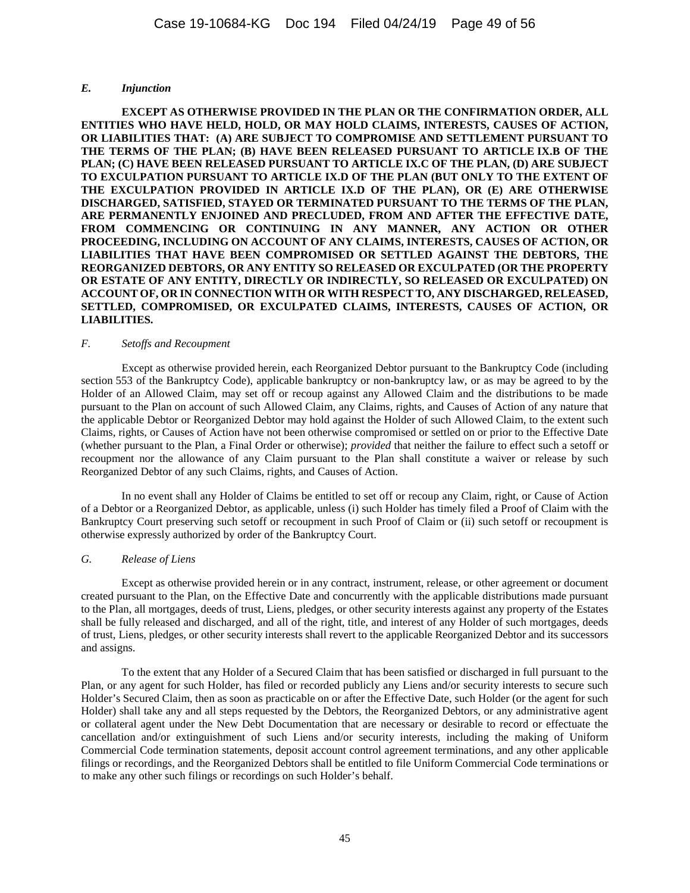### *E. Injunction*

**EXCEPT AS OTHERWISE PROVIDED IN THE PLAN OR THE CONFIRMATION ORDER, ALL ENTITIES WHO HAVE HELD, HOLD, OR MAY HOLD CLAIMS, INTERESTS, CAUSES OF ACTION, OR LIABILITIES THAT: (A) ARE SUBJECT TO COMPROMISE AND SETTLEMENT PURSUANT TO THE TERMS OF THE PLAN; (B) HAVE BEEN RELEASED PURSUANT TO ARTICLE IX.B OF THE PLAN; (C) HAVE BEEN RELEASED PURSUANT TO ARTICLE IX.C OF THE PLAN, (D) ARE SUBJECT TO EXCULPATION PURSUANT TO ARTICLE IX.D OF THE PLAN (BUT ONLY TO THE EXTENT OF THE EXCULPATION PROVIDED IN ARTICLE IX.D OF THE PLAN), OR (E) ARE OTHERWISE DISCHARGED, SATISFIED, STAYED OR TERMINATED PURSUANT TO THE TERMS OF THE PLAN, ARE PERMANENTLY ENJOINED AND PRECLUDED, FROM AND AFTER THE EFFECTIVE DATE, FROM COMMENCING OR CONTINUING IN ANY MANNER, ANY ACTION OR OTHER PROCEEDING, INCLUDING ON ACCOUNT OF ANY CLAIMS, INTERESTS, CAUSES OF ACTION, OR LIABILITIES THAT HAVE BEEN COMPROMISED OR SETTLED AGAINST THE DEBTORS, THE REORGANIZED DEBTORS, OR ANY ENTITY SO RELEASED OR EXCULPATED (OR THE PROPERTY OR ESTATE OF ANY ENTITY, DIRECTLY OR INDIRECTLY, SO RELEASED OR EXCULPATED) ON ACCOUNT OF, OR IN CONNECTION WITH OR WITH RESPECT TO, ANY DISCHARGED, RELEASED, SETTLED, COMPROMISED, OR EXCULPATED CLAIMS, INTERESTS, CAUSES OF ACTION, OR LIABILITIES.** 

#### *F. Setoffs and Recoupment*

Except as otherwise provided herein, each Reorganized Debtor pursuant to the Bankruptcy Code (including section 553 of the Bankruptcy Code), applicable bankruptcy or non-bankruptcy law, or as may be agreed to by the Holder of an Allowed Claim, may set off or recoup against any Allowed Claim and the distributions to be made pursuant to the Plan on account of such Allowed Claim, any Claims, rights, and Causes of Action of any nature that the applicable Debtor or Reorganized Debtor may hold against the Holder of such Allowed Claim, to the extent such Claims, rights, or Causes of Action have not been otherwise compromised or settled on or prior to the Effective Date (whether pursuant to the Plan, a Final Order or otherwise); *provided* that neither the failure to effect such a setoff or recoupment nor the allowance of any Claim pursuant to the Plan shall constitute a waiver or release by such Reorganized Debtor of any such Claims, rights, and Causes of Action.

In no event shall any Holder of Claims be entitled to set off or recoup any Claim, right, or Cause of Action of a Debtor or a Reorganized Debtor, as applicable, unless (i) such Holder has timely filed a Proof of Claim with the Bankruptcy Court preserving such setoff or recoupment in such Proof of Claim or (ii) such setoff or recoupment is otherwise expressly authorized by order of the Bankruptcy Court.

# *G. Release of Liens*

Except as otherwise provided herein or in any contract, instrument, release, or other agreement or document created pursuant to the Plan, on the Effective Date and concurrently with the applicable distributions made pursuant to the Plan, all mortgages, deeds of trust, Liens, pledges, or other security interests against any property of the Estates shall be fully released and discharged, and all of the right, title, and interest of any Holder of such mortgages, deeds of trust, Liens, pledges, or other security interests shall revert to the applicable Reorganized Debtor and its successors and assigns.

To the extent that any Holder of a Secured Claim that has been satisfied or discharged in full pursuant to the Plan, or any agent for such Holder, has filed or recorded publicly any Liens and/or security interests to secure such Holder's Secured Claim, then as soon as practicable on or after the Effective Date, such Holder (or the agent for such Holder) shall take any and all steps requested by the Debtors, the Reorganized Debtors, or any administrative agent or collateral agent under the New Debt Documentation that are necessary or desirable to record or effectuate the cancellation and/or extinguishment of such Liens and/or security interests, including the making of Uniform Commercial Code termination statements, deposit account control agreement terminations, and any other applicable filings or recordings, and the Reorganized Debtors shall be entitled to file Uniform Commercial Code terminations or to make any other such filings or recordings on such Holder's behalf.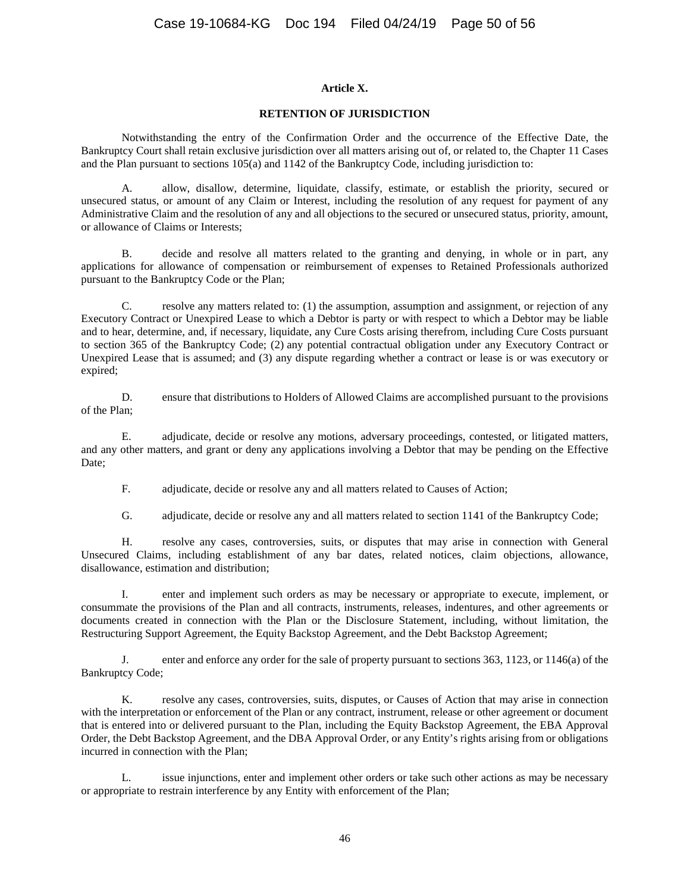### **Article X.**

#### **RETENTION OF JURISDICTION**

Notwithstanding the entry of the Confirmation Order and the occurrence of the Effective Date, the Bankruptcy Court shall retain exclusive jurisdiction over all matters arising out of, or related to, the Chapter 11 Cases and the Plan pursuant to sections 105(a) and 1142 of the Bankruptcy Code, including jurisdiction to:

A. allow, disallow, determine, liquidate, classify, estimate, or establish the priority, secured or unsecured status, or amount of any Claim or Interest, including the resolution of any request for payment of any Administrative Claim and the resolution of any and all objections to the secured or unsecured status, priority, amount, or allowance of Claims or Interests;

B. decide and resolve all matters related to the granting and denying, in whole or in part, any applications for allowance of compensation or reimbursement of expenses to Retained Professionals authorized pursuant to the Bankruptcy Code or the Plan;

C. resolve any matters related to: (1) the assumption, assumption and assignment, or rejection of any Executory Contract or Unexpired Lease to which a Debtor is party or with respect to which a Debtor may be liable and to hear, determine, and, if necessary, liquidate, any Cure Costs arising therefrom, including Cure Costs pursuant to section 365 of the Bankruptcy Code; (2) any potential contractual obligation under any Executory Contract or Unexpired Lease that is assumed; and (3) any dispute regarding whether a contract or lease is or was executory or expired;

D. ensure that distributions to Holders of Allowed Claims are accomplished pursuant to the provisions of the Plan;

E. adjudicate, decide or resolve any motions, adversary proceedings, contested, or litigated matters, and any other matters, and grant or deny any applications involving a Debtor that may be pending on the Effective Date:

F. adjudicate, decide or resolve any and all matters related to Causes of Action;

G. adjudicate, decide or resolve any and all matters related to section 1141 of the Bankruptcy Code;

H. resolve any cases, controversies, suits, or disputes that may arise in connection with General Unsecured Claims, including establishment of any bar dates, related notices, claim objections, allowance, disallowance, estimation and distribution;

I. enter and implement such orders as may be necessary or appropriate to execute, implement, or consummate the provisions of the Plan and all contracts, instruments, releases, indentures, and other agreements or documents created in connection with the Plan or the Disclosure Statement, including, without limitation, the Restructuring Support Agreement, the Equity Backstop Agreement, and the Debt Backstop Agreement;

J. enter and enforce any order for the sale of property pursuant to sections 363, 1123, or 1146(a) of the Bankruptcy Code;

K. resolve any cases, controversies, suits, disputes, or Causes of Action that may arise in connection with the interpretation or enforcement of the Plan or any contract, instrument, release or other agreement or document that is entered into or delivered pursuant to the Plan, including the Equity Backstop Agreement, the EBA Approval Order, the Debt Backstop Agreement, and the DBA Approval Order, or any Entity's rights arising from or obligations incurred in connection with the Plan;

L. issue injunctions, enter and implement other orders or take such other actions as may be necessary or appropriate to restrain interference by any Entity with enforcement of the Plan;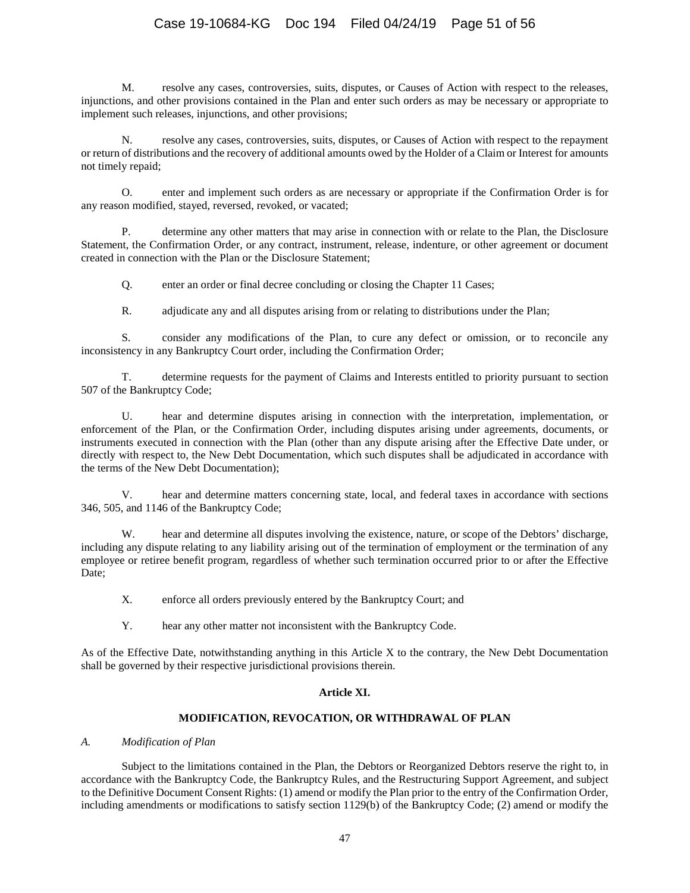# Case 19-10684-KG Doc 194 Filed 04/24/19 Page 51 of 56

M. resolve any cases, controversies, suits, disputes, or Causes of Action with respect to the releases, injunctions, and other provisions contained in the Plan and enter such orders as may be necessary or appropriate to implement such releases, injunctions, and other provisions;

N. resolve any cases, controversies, suits, disputes, or Causes of Action with respect to the repayment or return of distributions and the recovery of additional amounts owed by the Holder of a Claim or Interest for amounts not timely repaid;

O. enter and implement such orders as are necessary or appropriate if the Confirmation Order is for any reason modified, stayed, reversed, revoked, or vacated;

P. determine any other matters that may arise in connection with or relate to the Plan, the Disclosure Statement, the Confirmation Order, or any contract, instrument, release, indenture, or other agreement or document created in connection with the Plan or the Disclosure Statement;

Q. enter an order or final decree concluding or closing the Chapter 11 Cases;

R. adjudicate any and all disputes arising from or relating to distributions under the Plan;

S. consider any modifications of the Plan, to cure any defect or omission, or to reconcile any inconsistency in any Bankruptcy Court order, including the Confirmation Order;

T. determine requests for the payment of Claims and Interests entitled to priority pursuant to section 507 of the Bankruptcy Code;

U. hear and determine disputes arising in connection with the interpretation, implementation, or enforcement of the Plan, or the Confirmation Order, including disputes arising under agreements, documents, or instruments executed in connection with the Plan (other than any dispute arising after the Effective Date under, or directly with respect to, the New Debt Documentation, which such disputes shall be adjudicated in accordance with the terms of the New Debt Documentation);

V. hear and determine matters concerning state, local, and federal taxes in accordance with sections 346, 505, and 1146 of the Bankruptcy Code;

W. hear and determine all disputes involving the existence, nature, or scope of the Debtors' discharge, including any dispute relating to any liability arising out of the termination of employment or the termination of any employee or retiree benefit program, regardless of whether such termination occurred prior to or after the Effective Date;

X. enforce all orders previously entered by the Bankruptcy Court; and

Y. hear any other matter not inconsistent with the Bankruptcy Code.

As of the Effective Date, notwithstanding anything in this Article X to the contrary, the New Debt Documentation shall be governed by their respective jurisdictional provisions therein.

# **Article XI.**

# **MODIFICATION, REVOCATION, OR WITHDRAWAL OF PLAN**

# *A. Modification of Plan*

Subject to the limitations contained in the Plan, the Debtors or Reorganized Debtors reserve the right to, in accordance with the Bankruptcy Code, the Bankruptcy Rules, and the Restructuring Support Agreement, and subject to the Definitive Document Consent Rights: (1) amend or modify the Plan prior to the entry of the Confirmation Order, including amendments or modifications to satisfy section 1129(b) of the Bankruptcy Code; (2) amend or modify the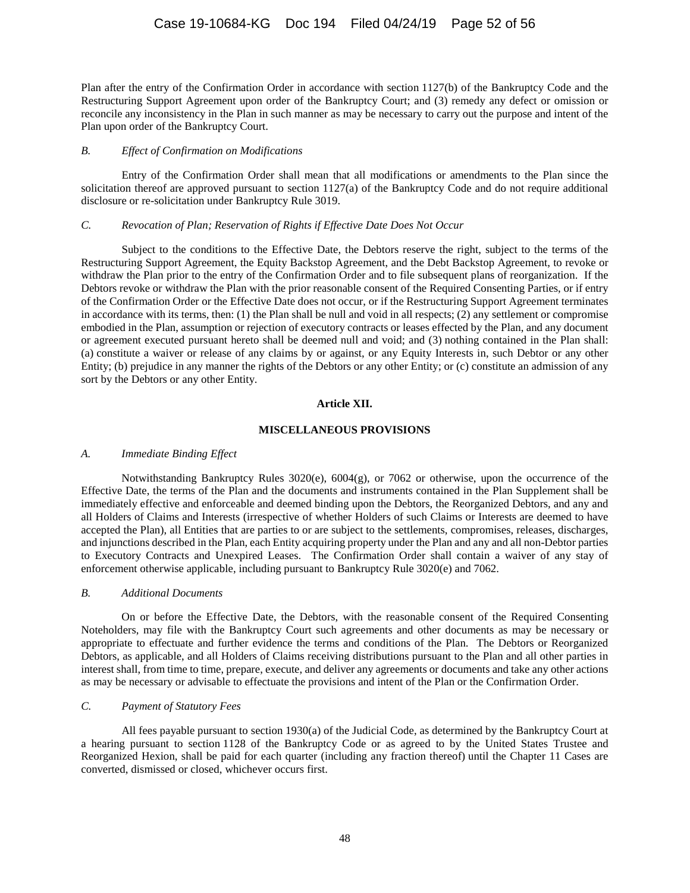# Case 19-10684-KG Doc 194 Filed 04/24/19 Page 52 of 56

Plan after the entry of the Confirmation Order in accordance with section 1127(b) of the Bankruptcy Code and the Restructuring Support Agreement upon order of the Bankruptcy Court; and (3) remedy any defect or omission or reconcile any inconsistency in the Plan in such manner as may be necessary to carry out the purpose and intent of the Plan upon order of the Bankruptcy Court.

#### *B. Effect of Confirmation on Modifications*

Entry of the Confirmation Order shall mean that all modifications or amendments to the Plan since the solicitation thereof are approved pursuant to section 1127(a) of the Bankruptcy Code and do not require additional disclosure or re-solicitation under Bankruptcy Rule 3019.

#### *C. Revocation of Plan; Reservation of Rights if Effective Date Does Not Occur*

Subject to the conditions to the Effective Date, the Debtors reserve the right, subject to the terms of the Restructuring Support Agreement, the Equity Backstop Agreement, and the Debt Backstop Agreement, to revoke or withdraw the Plan prior to the entry of the Confirmation Order and to file subsequent plans of reorganization. If the Debtors revoke or withdraw the Plan with the prior reasonable consent of the Required Consenting Parties, or if entry of the Confirmation Order or the Effective Date does not occur, or if the Restructuring Support Agreement terminates in accordance with its terms, then: (1) the Plan shall be null and void in all respects; (2) any settlement or compromise embodied in the Plan, assumption or rejection of executory contracts or leases effected by the Plan, and any document or agreement executed pursuant hereto shall be deemed null and void; and (3) nothing contained in the Plan shall: (a) constitute a waiver or release of any claims by or against, or any Equity Interests in, such Debtor or any other Entity; (b) prejudice in any manner the rights of the Debtors or any other Entity; or (c) constitute an admission of any sort by the Debtors or any other Entity.

#### **Article XII.**

### **MISCELLANEOUS PROVISIONS**

#### *A. Immediate Binding Effect*

Notwithstanding Bankruptcy Rules 3020(e), 6004(g), or 7062 or otherwise, upon the occurrence of the Effective Date, the terms of the Plan and the documents and instruments contained in the Plan Supplement shall be immediately effective and enforceable and deemed binding upon the Debtors, the Reorganized Debtors, and any and all Holders of Claims and Interests (irrespective of whether Holders of such Claims or Interests are deemed to have accepted the Plan), all Entities that are parties to or are subject to the settlements, compromises, releases, discharges, and injunctions described in the Plan, each Entity acquiring property under the Plan and any and all non-Debtor parties to Executory Contracts and Unexpired Leases. The Confirmation Order shall contain a waiver of any stay of enforcement otherwise applicable, including pursuant to Bankruptcy Rule 3020(e) and 7062.

#### *B. Additional Documents*

On or before the Effective Date, the Debtors, with the reasonable consent of the Required Consenting Noteholders, may file with the Bankruptcy Court such agreements and other documents as may be necessary or appropriate to effectuate and further evidence the terms and conditions of the Plan. The Debtors or Reorganized Debtors, as applicable, and all Holders of Claims receiving distributions pursuant to the Plan and all other parties in interest shall, from time to time, prepare, execute, and deliver any agreements or documents and take any other actions as may be necessary or advisable to effectuate the provisions and intent of the Plan or the Confirmation Order.

### *C. Payment of Statutory Fees*

All fees payable pursuant to section 1930(a) of the Judicial Code, as determined by the Bankruptcy Court at a hearing pursuant to section 1128 of the Bankruptcy Code or as agreed to by the United States Trustee and Reorganized Hexion, shall be paid for each quarter (including any fraction thereof) until the Chapter 11 Cases are converted, dismissed or closed, whichever occurs first.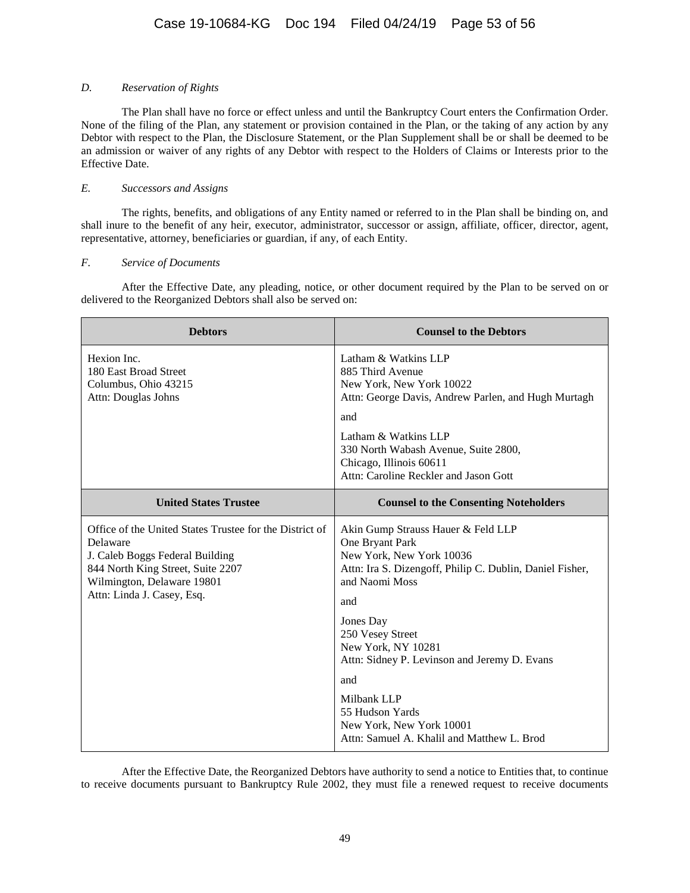# *D. Reservation of Rights*

The Plan shall have no force or effect unless and until the Bankruptcy Court enters the Confirmation Order. None of the filing of the Plan, any statement or provision contained in the Plan, or the taking of any action by any Debtor with respect to the Plan, the Disclosure Statement, or the Plan Supplement shall be or shall be deemed to be an admission or waiver of any rights of any Debtor with respect to the Holders of Claims or Interests prior to the Effective Date.

### *E. Successors and Assigns*

The rights, benefits, and obligations of any Entity named or referred to in the Plan shall be binding on, and shall inure to the benefit of any heir, executor, administrator, successor or assign, affiliate, officer, director, agent, representative, attorney, beneficiaries or guardian, if any, of each Entity.

### *F. Service of Documents*

After the Effective Date, any pleading, notice, or other document required by the Plan to be served on or delivered to the Reorganized Debtors shall also be served on:

| <b>Debtors</b>                                                                                                                                                                                          | <b>Counsel to the Debtors</b>                                                                                                                                                                                                                                                                                                                                                                    |
|---------------------------------------------------------------------------------------------------------------------------------------------------------------------------------------------------------|--------------------------------------------------------------------------------------------------------------------------------------------------------------------------------------------------------------------------------------------------------------------------------------------------------------------------------------------------------------------------------------------------|
| Hexion Inc.<br>180 East Broad Street<br>Columbus, Ohio 43215<br>Attn: Douglas Johns                                                                                                                     | Latham & Watkins LLP<br>885 Third Avenue<br>New York, New York 10022<br>Attn: George Davis, Andrew Parlen, and Hugh Murtagh<br>and<br>Latham & Watkins LLP<br>330 North Wabash Avenue, Suite 2800,<br>Chicago, Illinois 60611<br>Attn: Caroline Reckler and Jason Gott                                                                                                                           |
| <b>United States Trustee</b>                                                                                                                                                                            | <b>Counsel to the Consenting Noteholders</b>                                                                                                                                                                                                                                                                                                                                                     |
| Office of the United States Trustee for the District of<br>Delaware<br>J. Caleb Boggs Federal Building<br>844 North King Street, Suite 2207<br>Wilmington, Delaware 19801<br>Attn: Linda J. Casey, Esq. | Akin Gump Strauss Hauer & Feld LLP<br>One Bryant Park<br>New York, New York 10036<br>Attn: Ira S. Dizengoff, Philip C. Dublin, Daniel Fisher,<br>and Naomi Moss<br>and<br>Jones Day<br>250 Vesey Street<br>New York, NY 10281<br>Attn: Sidney P. Levinson and Jeremy D. Evans<br>and<br>Milbank LLP<br>55 Hudson Yards<br>New York, New York 10001<br>Attn: Samuel A. Khalil and Matthew L. Brod |

After the Effective Date, the Reorganized Debtors have authority to send a notice to Entities that, to continue to receive documents pursuant to Bankruptcy Rule 2002, they must file a renewed request to receive documents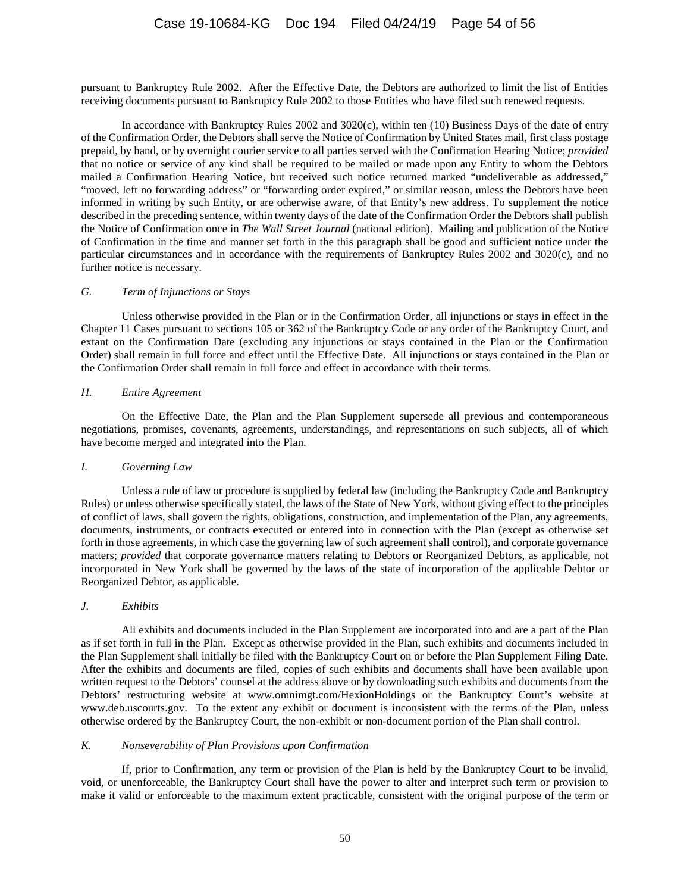pursuant to Bankruptcy Rule 2002. After the Effective Date, the Debtors are authorized to limit the list of Entities receiving documents pursuant to Bankruptcy Rule 2002 to those Entities who have filed such renewed requests.

In accordance with Bankruptcy Rules 2002 and 3020(c), within ten (10) Business Days of the date of entry of the Confirmation Order, the Debtors shall serve the Notice of Confirmation by United States mail, first class postage prepaid, by hand, or by overnight courier service to all parties served with the Confirmation Hearing Notice; *provided* that no notice or service of any kind shall be required to be mailed or made upon any Entity to whom the Debtors mailed a Confirmation Hearing Notice, but received such notice returned marked "undeliverable as addressed," "moved, left no forwarding address" or "forwarding order expired," or similar reason, unless the Debtors have been informed in writing by such Entity, or are otherwise aware, of that Entity's new address. To supplement the notice described in the preceding sentence, within twenty days of the date of the Confirmation Order the Debtors shall publish the Notice of Confirmation once in *The Wall Street Journal* (national edition). Mailing and publication of the Notice of Confirmation in the time and manner set forth in the this paragraph shall be good and sufficient notice under the particular circumstances and in accordance with the requirements of Bankruptcy Rules 2002 and 3020(c), and no further notice is necessary.

### *G. Term of Injunctions or Stays*

Unless otherwise provided in the Plan or in the Confirmation Order, all injunctions or stays in effect in the Chapter 11 Cases pursuant to sections 105 or 362 of the Bankruptcy Code or any order of the Bankruptcy Court, and extant on the Confirmation Date (excluding any injunctions or stays contained in the Plan or the Confirmation Order) shall remain in full force and effect until the Effective Date. All injunctions or stays contained in the Plan or the Confirmation Order shall remain in full force and effect in accordance with their terms.

### *H. Entire Agreement*

On the Effective Date, the Plan and the Plan Supplement supersede all previous and contemporaneous negotiations, promises, covenants, agreements, understandings, and representations on such subjects, all of which have become merged and integrated into the Plan.

# *I. Governing Law*

Unless a rule of law or procedure is supplied by federal law (including the Bankruptcy Code and Bankruptcy Rules) or unless otherwise specifically stated, the laws of the State of New York, without giving effect to the principles of conflict of laws, shall govern the rights, obligations, construction, and implementation of the Plan, any agreements, documents, instruments, or contracts executed or entered into in connection with the Plan (except as otherwise set forth in those agreements, in which case the governing law of such agreement shall control), and corporate governance matters; *provided* that corporate governance matters relating to Debtors or Reorganized Debtors, as applicable, not incorporated in New York shall be governed by the laws of the state of incorporation of the applicable Debtor or Reorganized Debtor, as applicable.

# *J. Exhibits*

All exhibits and documents included in the Plan Supplement are incorporated into and are a part of the Plan as if set forth in full in the Plan. Except as otherwise provided in the Plan, such exhibits and documents included in the Plan Supplement shall initially be filed with the Bankruptcy Court on or before the Plan Supplement Filing Date. After the exhibits and documents are filed, copies of such exhibits and documents shall have been available upon written request to the Debtors' counsel at the address above or by downloading such exhibits and documents from the Debtors' restructuring website at www.omnimgt.com/HexionHoldings or the Bankruptcy Court's website at www.deb.uscourts.gov. To the extent any exhibit or document is inconsistent with the terms of the Plan, unless otherwise ordered by the Bankruptcy Court, the non-exhibit or non-document portion of the Plan shall control.

#### *K. Nonseverability of Plan Provisions upon Confirmation*

If, prior to Confirmation, any term or provision of the Plan is held by the Bankruptcy Court to be invalid, void, or unenforceable, the Bankruptcy Court shall have the power to alter and interpret such term or provision to make it valid or enforceable to the maximum extent practicable, consistent with the original purpose of the term or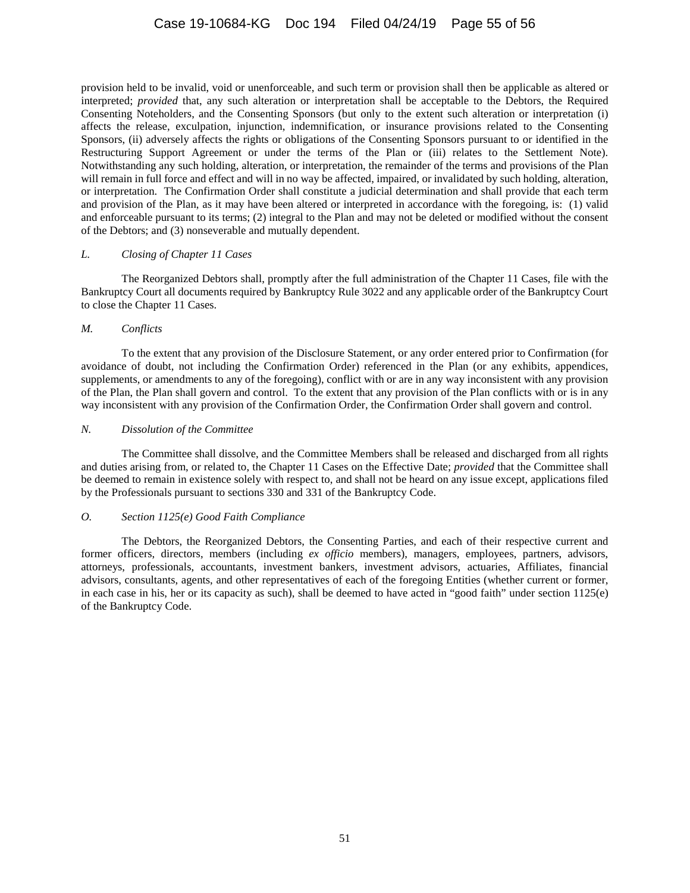provision held to be invalid, void or unenforceable, and such term or provision shall then be applicable as altered or interpreted; *provided* that, any such alteration or interpretation shall be acceptable to the Debtors, the Required Consenting Noteholders, and the Consenting Sponsors (but only to the extent such alteration or interpretation (i) affects the release, exculpation, injunction, indemnification, or insurance provisions related to the Consenting Sponsors, (ii) adversely affects the rights or obligations of the Consenting Sponsors pursuant to or identified in the Restructuring Support Agreement or under the terms of the Plan or (iii) relates to the Settlement Note). Notwithstanding any such holding, alteration, or interpretation, the remainder of the terms and provisions of the Plan will remain in full force and effect and will in no way be affected, impaired, or invalidated by such holding, alteration, or interpretation. The Confirmation Order shall constitute a judicial determination and shall provide that each term and provision of the Plan, as it may have been altered or interpreted in accordance with the foregoing, is: (1) valid and enforceable pursuant to its terms; (2) integral to the Plan and may not be deleted or modified without the consent of the Debtors; and (3) nonseverable and mutually dependent.

### *L. Closing of Chapter 11 Cases*

The Reorganized Debtors shall, promptly after the full administration of the Chapter 11 Cases, file with the Bankruptcy Court all documents required by Bankruptcy Rule 3022 and any applicable order of the Bankruptcy Court to close the Chapter 11 Cases.

### *M. Conflicts*

To the extent that any provision of the Disclosure Statement, or any order entered prior to Confirmation (for avoidance of doubt, not including the Confirmation Order) referenced in the Plan (or any exhibits, appendices, supplements, or amendments to any of the foregoing), conflict with or are in any way inconsistent with any provision of the Plan, the Plan shall govern and control. To the extent that any provision of the Plan conflicts with or is in any way inconsistent with any provision of the Confirmation Order, the Confirmation Order shall govern and control.

# *N. Dissolution of the Committee*

The Committee shall dissolve, and the Committee Members shall be released and discharged from all rights and duties arising from, or related to, the Chapter 11 Cases on the Effective Date; *provided* that the Committee shall be deemed to remain in existence solely with respect to, and shall not be heard on any issue except, applications filed by the Professionals pursuant to sections 330 and 331 of the Bankruptcy Code.

# *O. Section 1125(e) Good Faith Compliance*

The Debtors, the Reorganized Debtors, the Consenting Parties, and each of their respective current and former officers, directors, members (including *ex officio* members), managers, employees, partners, advisors, attorneys, professionals, accountants, investment bankers, investment advisors, actuaries, Affiliates, financial advisors, consultants, agents, and other representatives of each of the foregoing Entities (whether current or former, in each case in his, her or its capacity as such), shall be deemed to have acted in "good faith" under section 1125(e) of the Bankruptcy Code.